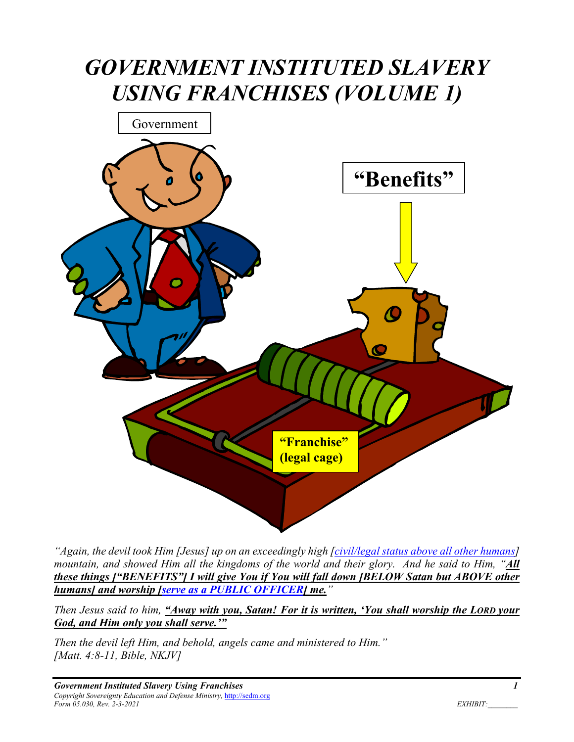# *GOVERNMENT INSTITUTED SLAVERY USING FRANCHISES (VOLUME 1)*



*"Again, the devil took Him [Jesus] up on an exceedingly high [civil/legal status above all other humans] mountain, and showed Him all the kingdoms of the world and their glory. And he said to Him, "All these things ["BENEFITS"] I will give You if You will fall down [BELOW Satan but ABOVE other humans] and worship [serve as a PUBLIC OFFICER] me."* 

*Then Jesus said to him, "Away with you, Satan! For it is written, 'You shall worship the LORD your God, and Him only you shall serve.'"* 

*Then the devil left Him, and behold, angels came and ministered to Him." [Matt. 4:8-11, Bible, NKJV]*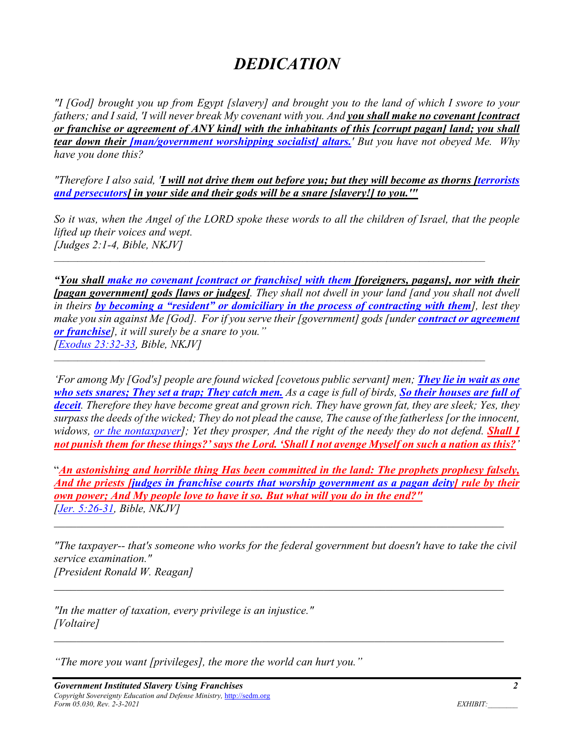# *DEDICATION*

*"I [God] brought you up from Egypt [slavery] and brought you to the land of which I swore to your fathers; and I said, 'I will never break My covenant with you. And you shall make no covenant [contract or franchise or agreement of ANY kind] with the inhabitants of this [corrupt pagan] land; you shall tear down their [man/government worshipping socialist] altars.' But you have not obeyed Me. Why have you done this?* 

*"Therefore I also said, 'I will not drive them out before you; but they will become as thorns [terrorists and persecutors] in your side and their gods will be a snare [slavery!] to you.'"* 

*So it was, when the Angel of the LORD spoke these words to all the children of Israel, that the people lifted up their voices and wept. [Judges 2:1-4, Bible, NKJV]* 

*"You shall make no covenant [contract or franchise] with them [foreigners, pagans], nor with their [pagan government] gods [laws or judges]. They shall not dwell in your land [and you shall not dwell in theirs by becoming a "resident" or domiciliary in the process of contracting with them], lest they make you sin against Me [God]. For if you serve their [government] gods [under <i>contract or agreement or franchise], it will surely be a snare to you." [Exodus 23:32-33, Bible, NKJV]* 

*'For among My [God's] people are found wicked [covetous public servant] men; They lie in wait as one who sets snares; They set a trap; They catch men. As a cage is full of birds, So their houses are full of deceit. Therefore they have become great and grown rich. They have grown fat, they are sleek; Yes, they surpass the deeds of the wicked; They do not plead the cause, The cause of the fatherless [or the innocent, widows, <u>or the nontaxpayer</u>]; Yet they prosper, And the right of the needy they do not defend. Shall I not punish them for these things?' says the Lord. 'Shall I not avenge Myself on such a nation as this?'* 

"*An astonishing and horrible thing Has been committed in the land: The prophets prophesy falsely, And the priests [judges in franchise courts that worship government as a pagan deity] rule by their own power; And My people love to have it so. But what will you do in the end?" [Jer. 5:26-31, Bible, NKJV]* 

*"The taxpayer-- that's someone who works for the federal government but doesn't have to take the civil service examination." [President Ronald W. Reagan]* 

*"In the matter of taxation, every privilege is an injustice." [Voltaire]* 

*"The more you want [privileges], the more the world can hurt you."*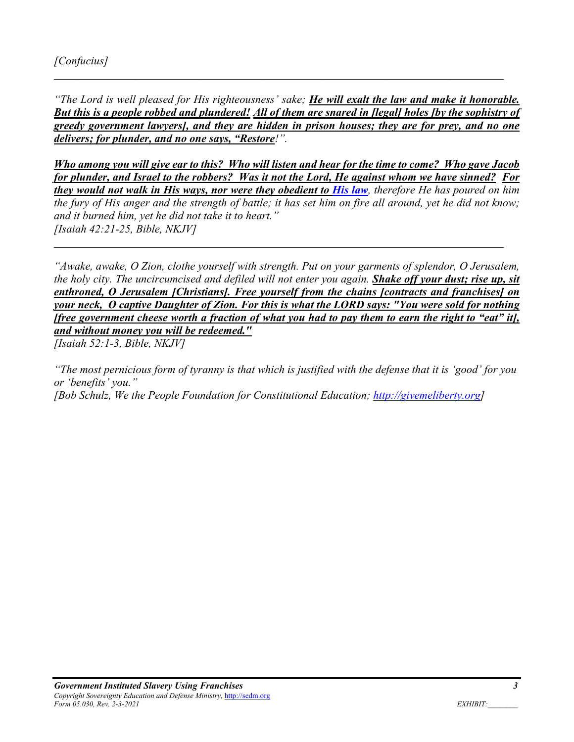*"The Lord is well pleased for His righteousness' sake; He will exalt the law and make it honorable. But this is a people robbed and plundered! All of them are snared in [legal] holes [by the sophistry of greedy government lawyers], and they are hidden in prison houses; they are for prey, and no one delivers; for plunder, and no one says, "Restore!".* 

*Who among you will give ear to this? Who will listen and hear for the time to come? Who gave Jacob for plunder, and Israel to the robbers? Was it not the Lord, He against whom we have sinned? For they would not walk in His ways, nor were they obedient to His law, therefore He has poured on him the fury of His anger and the strength of battle; it has set him on fire all around, yet he did not know; and it burned him, yet he did not take it to heart." [Isaiah 42:21-25, Bible, NKJV]* 

*"Awake, awake, O Zion, clothe yourself with strength. Put on your garments of splendor, O Jerusalem, the holy city. The uncircumcised and defiled will not enter you again. Shake off your dust; rise up, sit enthroned, O Jerusalem [Christians]. Free yourself from the chains [contracts and franchises] on your neck, O captive Daughter of Zion. For this is what the LORD says: "You were sold for nothing [free government cheese worth a fraction of what you had to pay them to earn the right to "eat" it], and without money you will be redeemed."* 

*[Isaiah 52:1-3, Bible, NKJV]* 

*"The most pernicious form of tyranny is that which is justified with the defense that it is 'good' for you or 'benefits' you." [Bob Schulz, We the People Foundation for Constitutional Education; http://givemeliberty.org]*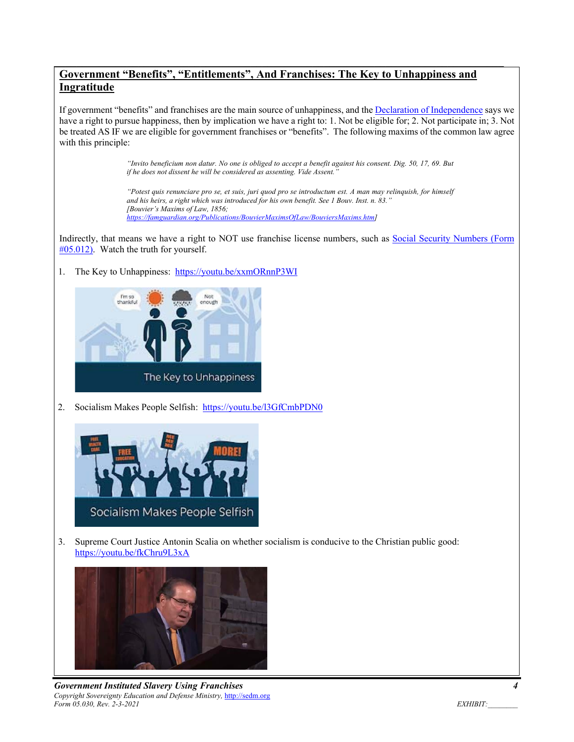#### **Government "Benefits", "Entitlements", And Franchises: The Key to Unhappiness and Ingratitude**

If government "benefits" and franchises are the main source of unhappiness, and the Declaration of Independence says we have a right to pursue happiness, then by implication we have a right to: 1. Not be eligible for; 2. Not participate in; 3. Not be treated AS IF we are eligible for government franchises or "benefits". The following maxims of the common law agree with this principle:

> *"Invito beneficium non datur. No one is obliged to accept a benefit against his consent. Dig. 50, 17, 69. But if he does not dissent he will be considered as assenting. Vide Assent.*

> *"Potest quis renunciare pro se, et suis, juri quod pro se introductum est. A man may relinquish, for himself and his heirs, a right which was introduced for his own benefit. See 1 Bouv. Inst. n. 83." [Bouvier's Maxims of Law, 1856; https://famguardian.org/Publications/BouvierMaximsOfLaw/BouviersMaxims.htm]*

Indirectly, that means we have a right to NOT use franchise license numbers, such as Social Security Numbers (Form #05.012). Watch the truth for yourself.

1. The Key to Unhappiness: https://youtu.be/xxmORnnP3WI



2. Socialism Makes People Selfish: https://youtu.be/l3GfCmbPDN0



3. Supreme Court Justice Antonin Scalia on whether socialism is conducive to the Christian public good: https://youtu.be/fkChru9L3xA



**Government Instituted Slavery Using Franchises** *Copyright Sovereignty Education and Defense Ministry,* http://sedm.org *Form 05.030, Rev. 2-3-2021 EXHIBIT:*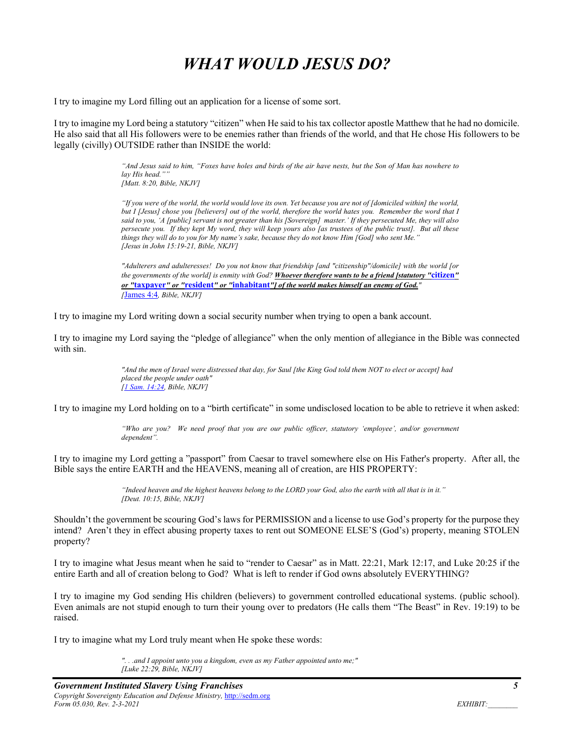# *WHAT WOULD JESUS DO?*

I try to imagine my Lord filling out an application for a license of some sort.

I try to imagine my Lord being a statutory "citizen" when He said to his tax collector apostle Matthew that he had no domicile. He also said that all His followers were to be enemies rather than friends of the world, and that He chose His followers to be legally (civilly) OUTSIDE rather than INSIDE the world:

> *"And Jesus said to him, "Foxes have holes and birds of the air have nests, but the Son of Man has nowhere to*  lay His head." *[Matt. 8:20, Bible, NKJV]*

> *"If you were of the world, the world would love its own. Yet because you are not of [domiciled within] the world, but I [Jesus] chose you [believers] out of the world, therefore the world hates you. Remember the word that I said to you, 'A [public] servant is not greater than his [Sovereign] master.' If they persecuted Me, they will also persecute you. If they kept My word, they will keep yours also [as trustees of the public trust]. But all these things they will do to you for My name's sake, because they do not know Him [God] who sent Me." [Jesus in John 15:19-21, Bible, NKJV]*

> *"Adulterers and adulteresses! Do you not know that friendship [and "citizenship"/domicile] with the world [or the governments of the world] is enmity with God? Whoever therefore wants to be a friend [statutory "***citizen***" or "***taxpayer***" or "***resident***" or "***inhabitant***"] of the world makes himself an enemy of God." [*James 4:4*, Bible, NKJV]*

I try to imagine my Lord writing down a social security number when trying to open a bank account.

I try to imagine my Lord saying the "pledge of allegiance" when the only mention of allegiance in the Bible was connected with sin.

> *"And the men of Israel were distressed that day, for Saul [the King God told them NOT to elect or accept] had placed the people under oath" [1 Sam. 14:24, Bible, NKJV]*

I try to imagine my Lord holding on to a "birth certificate" in some undisclosed location to be able to retrieve it when asked:

*"Who are you? We need proof that you are our public officer, statutory 'employee', and/or government dependent".* 

I try to imagine my Lord getting a "passport" from Caesar to travel somewhere else on His Father's property. After all, the Bible says the entire EARTH and the HEAVENS, meaning all of creation, are HIS PROPERTY:

> *"Indeed heaven and the highest heavens belong to the LORD your God, also the earth with all that is in it." [Deut. 10:15, Bible, NKJV]*

Shouldn't the government be scouring God's laws for PERMISSION and a license to use God's property for the purpose they intend? Aren't they in effect abusing property taxes to rent out SOMEONE ELSE'S (God's) property, meaning STOLEN property?

I try to imagine what Jesus meant when he said to "render to Caesar" as in Matt. 22:21, Mark 12:17, and Luke 20:25 if the entire Earth and all of creation belong to God? What is left to render if God owns absolutely EVERYTHING?

I try to imagine my God sending His children (believers) to government controlled educational systems. (public school). Even animals are not stupid enough to turn their young over to predators (He calls them "The Beast" in Rev. 19:19) to be raised.

I try to imagine what my Lord truly meant when He spoke these words:

*". . .and I appoint unto you a kingdom, even as my Father appointed unto me;" [Luke 22:29, Bible, NKJV]*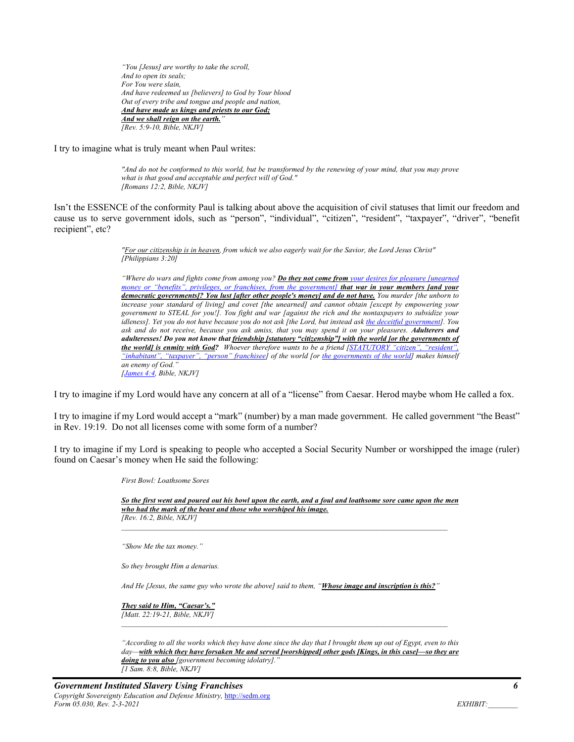*"You [Jesus] are worthy to take the scroll, And to open its seals; For You were slain, And have redeemed us [believers] to God by Your blood Out of every tribe and tongue and people and nation, And have made us kings and priests to our God; And we shall reign on the earth." [Rev. 5:9-10, Bible, NKJV]* 

I try to imagine what is truly meant when Paul writes:

*"And do not be conformed to this world, but be transformed by the renewing of your mind, that you may prove what is that good and acceptable and perfect will of God." [Romans 12:2, Bible, NKJV]* 

Isn't the ESSENCE of the conformity Paul is talking about above the acquisition of civil statuses that limit our freedom and cause us to serve government idols, such as "person", "individual", "citizen", "resident", "taxpayer", "driver", "benefit recipient", etc?

> *"For our citizenship is in heaven, from which we also eagerly wait for the Savior, the Lord Jesus Christ" [Philippians 3:20]*

*"Where do wars and fights come from among you? Do they not come from your desires for pleasure [unearned money or "benefits", privileges, or franchises, from the government] that war in your members [and your democratic governments]? You lust [after other people's money] and do not have. You murder [the unborn to increase your standard of living] and covet [the unearned] and cannot obtain [except by empowering your government to STEAL for you!]. You fight and war [against the rich and the nontaxpayers to subsidize your idleness]. Yet you do not have because you do not ask [the Lord, but instead ask the deceitful government]. You ask and do not receive, because you ask amiss, that you may spend it on your pleasures. Adulterers and adulteresses! Do you not know that friendship [statutory "citizenship"] with the world [or the governments of the world] is enmity with God? Whoever therefore wants to be a friend [STATUTORY "citizen", "resident", "inhabitant", "taxpayer", "person" franchisee] of the world [or the governments of the world] makes himself an enemy of God." [James 4:4, Bible, NKJV]* 

I try to imagine if my Lord would have any concern at all of a "license" from Caesar. Herod maybe whom He called a fox.

I try to imagine if my Lord would accept a "mark" (number) by a man made government. He called government "the Beast" in Rev. 19:19. Do not all licenses come with some form of a number?

I try to imagine if my Lord is speaking to people who accepted a Social Security Number or worshipped the image (ruler) found on Caesar's money when He said the following:

*First Bowl: Loathsome Sores* 

*So the first went and poured out his bowl upon the earth, and a foul and loathsome sore came upon the men who had the mark of the beast and those who worshiped his image. [Rev. 16:2, Bible, NKJV]* 

*"Show Me the tax money."* 

*So they brought Him a denarius.* 

*And He [Jesus, the same guy who wrote the above] said to them, "Whose image and inscription is this?"* 

*They said to Him, "Caesar's." [Matt. 22:19-21, Bible, NKJV]* 

*"According to all the works which they have done since the day that I brought them up out of Egypt, even to this day—with which they have forsaken Me and served [worshipped] other gods [Kings, in this case]—so they are doing to you also [government becoming idolatry]." [1 Sam. 8:8, Bible, NKJV]*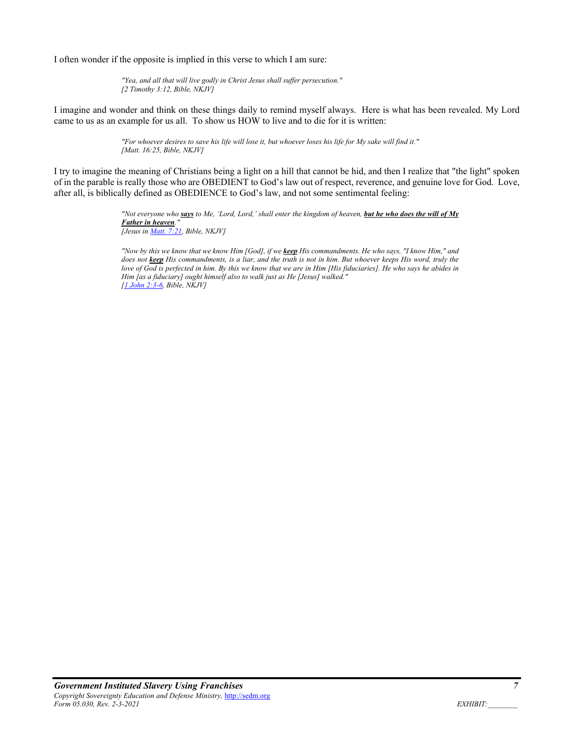I often wonder if the opposite is implied in this verse to which I am sure:

*"Yea, and all that will live godly in Christ Jesus shall suffer persecution." [2 Timothy 3:12, Bible, NKJV]* 

I imagine and wonder and think on these things daily to remind myself always. Here is what has been revealed. My Lord came to us as an example for us all. To show us HOW to live and to die for it is written:

> *"For whoever desires to save his life will lose it, but whoever loses his life for My sake will find it." [Matt. 16:25, Bible, NKJV]*

I try to imagine the meaning of Christians being a light on a hill that cannot be hid, and then I realize that "the light" spoken of in the parable is really those who are OBEDIENT to God's law out of respect, reverence, and genuine love for God. Love, after all, is biblically defined as OBEDIENCE to God's law, and not some sentimental feeling:

> *"Not everyone who says to Me, 'Lord, Lord,' shall enter the kingdom of heaven, but he who does the will of My Father in heaven. [Jesus in Matt. 7:21, Bible, NKJV]*

> *"Now by this we know that we know Him [God], if we keep His commandments. He who says, "I know Him," and does not keep His commandments, is a liar, and the truth is not in him. But whoever keeps His word, truly the love of God is perfected in him. By this we know that we are in Him [His fiduciaries]. He who says he abides in Him [as a fiduciary] ought himself also to walk just as He [Jesus] walked." [1 John 2:3-6, Bible, NKJV]*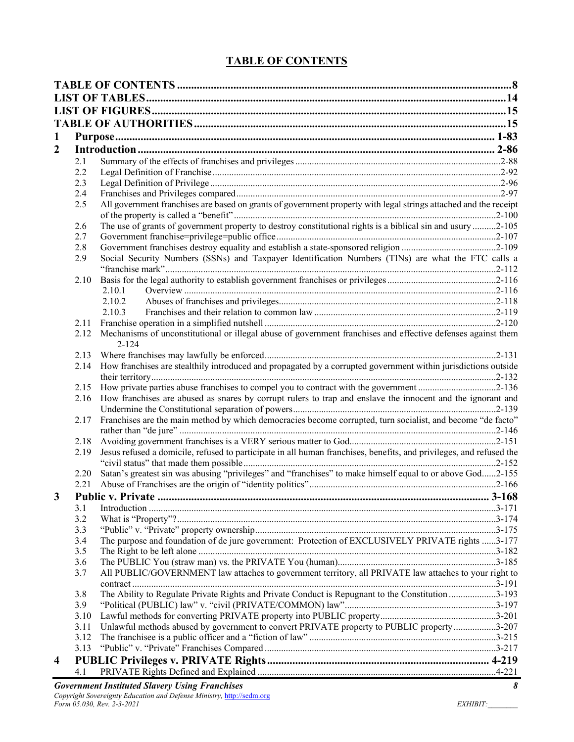# **TABLE OF CONTENTS**

| $\mathbf{1}$<br>$\boldsymbol{2}$<br>2.1<br>2.2<br>2.3<br>2.4<br>All government franchises are based on grants of government property with legal strings attached and the receipt<br>2.5<br>The use of grants of government property to destroy constitutional rights is a biblical sin and usury 2-105<br>2.6<br>2.7<br>2.8<br>Social Security Numbers (SSNs) and Taxpayer Identification Numbers (TINs) are what the FTC calls a<br>2.9<br>2.10<br>2.10.1<br>2.10.2<br>2.10.3<br>2.12 Mechanisms of unconstitutional or illegal abuse of government franchises and effective defenses against them<br>$2 - 124$<br>2.13<br>How franchises are stealthily introduced and propagated by a corrupted government within jurisdictions outside<br>2.14<br>2.15<br>How franchises are abused as snares by corrupt rulers to trap and enslave the innocent and the ignorant and<br>2.16<br>Franchises are the main method by which democracies become corrupted, turn socialist, and become "de facto"<br>2.17<br>2.18<br>Jesus refused a domicile, refused to participate in all human franchises, benefits, and privileges, and refused the<br>2.19<br>Satan's greatest sin was abusing "privileges" and "franchises" to make himself equal to or above God2-155<br>2.20<br>2.21<br>3<br>3.1<br>3.2<br>3.3<br>The purpose and foundation of de jure government: Protection of EXCLUSIVELY PRIVATE rights 3-177<br>3.4<br>3.5<br>3.6<br>All PUBLIC/GOVERNMENT law attaches to government territory, all PRIVATE law attaches to your right to<br>3.7<br>The Ability to Regulate Private Rights and Private Conduct is Repugnant to the Constitution 3-193<br>3.8<br>3.9<br>3.10<br>Unlawful methods abused by government to convert PRIVATE property to PUBLIC property 3-207<br>3.11<br>3.12<br>3.13<br>$\overline{\mathbf{4}}$<br>4.1 |  |  |  |  |
|------------------------------------------------------------------------------------------------------------------------------------------------------------------------------------------------------------------------------------------------------------------------------------------------------------------------------------------------------------------------------------------------------------------------------------------------------------------------------------------------------------------------------------------------------------------------------------------------------------------------------------------------------------------------------------------------------------------------------------------------------------------------------------------------------------------------------------------------------------------------------------------------------------------------------------------------------------------------------------------------------------------------------------------------------------------------------------------------------------------------------------------------------------------------------------------------------------------------------------------------------------------------------------------------------------------------------------------------------------------------------------------------------------------------------------------------------------------------------------------------------------------------------------------------------------------------------------------------------------------------------------------------------------------------------------------------------------------------------------------------------------------------------------------------------------------------------------|--|--|--|--|
|                                                                                                                                                                                                                                                                                                                                                                                                                                                                                                                                                                                                                                                                                                                                                                                                                                                                                                                                                                                                                                                                                                                                                                                                                                                                                                                                                                                                                                                                                                                                                                                                                                                                                                                                                                                                                                    |  |  |  |  |
|                                                                                                                                                                                                                                                                                                                                                                                                                                                                                                                                                                                                                                                                                                                                                                                                                                                                                                                                                                                                                                                                                                                                                                                                                                                                                                                                                                                                                                                                                                                                                                                                                                                                                                                                                                                                                                    |  |  |  |  |
|                                                                                                                                                                                                                                                                                                                                                                                                                                                                                                                                                                                                                                                                                                                                                                                                                                                                                                                                                                                                                                                                                                                                                                                                                                                                                                                                                                                                                                                                                                                                                                                                                                                                                                                                                                                                                                    |  |  |  |  |
|                                                                                                                                                                                                                                                                                                                                                                                                                                                                                                                                                                                                                                                                                                                                                                                                                                                                                                                                                                                                                                                                                                                                                                                                                                                                                                                                                                                                                                                                                                                                                                                                                                                                                                                                                                                                                                    |  |  |  |  |
|                                                                                                                                                                                                                                                                                                                                                                                                                                                                                                                                                                                                                                                                                                                                                                                                                                                                                                                                                                                                                                                                                                                                                                                                                                                                                                                                                                                                                                                                                                                                                                                                                                                                                                                                                                                                                                    |  |  |  |  |
|                                                                                                                                                                                                                                                                                                                                                                                                                                                                                                                                                                                                                                                                                                                                                                                                                                                                                                                                                                                                                                                                                                                                                                                                                                                                                                                                                                                                                                                                                                                                                                                                                                                                                                                                                                                                                                    |  |  |  |  |
|                                                                                                                                                                                                                                                                                                                                                                                                                                                                                                                                                                                                                                                                                                                                                                                                                                                                                                                                                                                                                                                                                                                                                                                                                                                                                                                                                                                                                                                                                                                                                                                                                                                                                                                                                                                                                                    |  |  |  |  |
|                                                                                                                                                                                                                                                                                                                                                                                                                                                                                                                                                                                                                                                                                                                                                                                                                                                                                                                                                                                                                                                                                                                                                                                                                                                                                                                                                                                                                                                                                                                                                                                                                                                                                                                                                                                                                                    |  |  |  |  |
|                                                                                                                                                                                                                                                                                                                                                                                                                                                                                                                                                                                                                                                                                                                                                                                                                                                                                                                                                                                                                                                                                                                                                                                                                                                                                                                                                                                                                                                                                                                                                                                                                                                                                                                                                                                                                                    |  |  |  |  |
|                                                                                                                                                                                                                                                                                                                                                                                                                                                                                                                                                                                                                                                                                                                                                                                                                                                                                                                                                                                                                                                                                                                                                                                                                                                                                                                                                                                                                                                                                                                                                                                                                                                                                                                                                                                                                                    |  |  |  |  |
|                                                                                                                                                                                                                                                                                                                                                                                                                                                                                                                                                                                                                                                                                                                                                                                                                                                                                                                                                                                                                                                                                                                                                                                                                                                                                                                                                                                                                                                                                                                                                                                                                                                                                                                                                                                                                                    |  |  |  |  |
|                                                                                                                                                                                                                                                                                                                                                                                                                                                                                                                                                                                                                                                                                                                                                                                                                                                                                                                                                                                                                                                                                                                                                                                                                                                                                                                                                                                                                                                                                                                                                                                                                                                                                                                                                                                                                                    |  |  |  |  |
|                                                                                                                                                                                                                                                                                                                                                                                                                                                                                                                                                                                                                                                                                                                                                                                                                                                                                                                                                                                                                                                                                                                                                                                                                                                                                                                                                                                                                                                                                                                                                                                                                                                                                                                                                                                                                                    |  |  |  |  |
|                                                                                                                                                                                                                                                                                                                                                                                                                                                                                                                                                                                                                                                                                                                                                                                                                                                                                                                                                                                                                                                                                                                                                                                                                                                                                                                                                                                                                                                                                                                                                                                                                                                                                                                                                                                                                                    |  |  |  |  |
|                                                                                                                                                                                                                                                                                                                                                                                                                                                                                                                                                                                                                                                                                                                                                                                                                                                                                                                                                                                                                                                                                                                                                                                                                                                                                                                                                                                                                                                                                                                                                                                                                                                                                                                                                                                                                                    |  |  |  |  |
|                                                                                                                                                                                                                                                                                                                                                                                                                                                                                                                                                                                                                                                                                                                                                                                                                                                                                                                                                                                                                                                                                                                                                                                                                                                                                                                                                                                                                                                                                                                                                                                                                                                                                                                                                                                                                                    |  |  |  |  |
|                                                                                                                                                                                                                                                                                                                                                                                                                                                                                                                                                                                                                                                                                                                                                                                                                                                                                                                                                                                                                                                                                                                                                                                                                                                                                                                                                                                                                                                                                                                                                                                                                                                                                                                                                                                                                                    |  |  |  |  |
|                                                                                                                                                                                                                                                                                                                                                                                                                                                                                                                                                                                                                                                                                                                                                                                                                                                                                                                                                                                                                                                                                                                                                                                                                                                                                                                                                                                                                                                                                                                                                                                                                                                                                                                                                                                                                                    |  |  |  |  |
|                                                                                                                                                                                                                                                                                                                                                                                                                                                                                                                                                                                                                                                                                                                                                                                                                                                                                                                                                                                                                                                                                                                                                                                                                                                                                                                                                                                                                                                                                                                                                                                                                                                                                                                                                                                                                                    |  |  |  |  |
|                                                                                                                                                                                                                                                                                                                                                                                                                                                                                                                                                                                                                                                                                                                                                                                                                                                                                                                                                                                                                                                                                                                                                                                                                                                                                                                                                                                                                                                                                                                                                                                                                                                                                                                                                                                                                                    |  |  |  |  |
|                                                                                                                                                                                                                                                                                                                                                                                                                                                                                                                                                                                                                                                                                                                                                                                                                                                                                                                                                                                                                                                                                                                                                                                                                                                                                                                                                                                                                                                                                                                                                                                                                                                                                                                                                                                                                                    |  |  |  |  |
|                                                                                                                                                                                                                                                                                                                                                                                                                                                                                                                                                                                                                                                                                                                                                                                                                                                                                                                                                                                                                                                                                                                                                                                                                                                                                                                                                                                                                                                                                                                                                                                                                                                                                                                                                                                                                                    |  |  |  |  |
|                                                                                                                                                                                                                                                                                                                                                                                                                                                                                                                                                                                                                                                                                                                                                                                                                                                                                                                                                                                                                                                                                                                                                                                                                                                                                                                                                                                                                                                                                                                                                                                                                                                                                                                                                                                                                                    |  |  |  |  |
|                                                                                                                                                                                                                                                                                                                                                                                                                                                                                                                                                                                                                                                                                                                                                                                                                                                                                                                                                                                                                                                                                                                                                                                                                                                                                                                                                                                                                                                                                                                                                                                                                                                                                                                                                                                                                                    |  |  |  |  |
|                                                                                                                                                                                                                                                                                                                                                                                                                                                                                                                                                                                                                                                                                                                                                                                                                                                                                                                                                                                                                                                                                                                                                                                                                                                                                                                                                                                                                                                                                                                                                                                                                                                                                                                                                                                                                                    |  |  |  |  |
|                                                                                                                                                                                                                                                                                                                                                                                                                                                                                                                                                                                                                                                                                                                                                                                                                                                                                                                                                                                                                                                                                                                                                                                                                                                                                                                                                                                                                                                                                                                                                                                                                                                                                                                                                                                                                                    |  |  |  |  |
|                                                                                                                                                                                                                                                                                                                                                                                                                                                                                                                                                                                                                                                                                                                                                                                                                                                                                                                                                                                                                                                                                                                                                                                                                                                                                                                                                                                                                                                                                                                                                                                                                                                                                                                                                                                                                                    |  |  |  |  |
|                                                                                                                                                                                                                                                                                                                                                                                                                                                                                                                                                                                                                                                                                                                                                                                                                                                                                                                                                                                                                                                                                                                                                                                                                                                                                                                                                                                                                                                                                                                                                                                                                                                                                                                                                                                                                                    |  |  |  |  |
|                                                                                                                                                                                                                                                                                                                                                                                                                                                                                                                                                                                                                                                                                                                                                                                                                                                                                                                                                                                                                                                                                                                                                                                                                                                                                                                                                                                                                                                                                                                                                                                                                                                                                                                                                                                                                                    |  |  |  |  |
|                                                                                                                                                                                                                                                                                                                                                                                                                                                                                                                                                                                                                                                                                                                                                                                                                                                                                                                                                                                                                                                                                                                                                                                                                                                                                                                                                                                                                                                                                                                                                                                                                                                                                                                                                                                                                                    |  |  |  |  |
|                                                                                                                                                                                                                                                                                                                                                                                                                                                                                                                                                                                                                                                                                                                                                                                                                                                                                                                                                                                                                                                                                                                                                                                                                                                                                                                                                                                                                                                                                                                                                                                                                                                                                                                                                                                                                                    |  |  |  |  |
|                                                                                                                                                                                                                                                                                                                                                                                                                                                                                                                                                                                                                                                                                                                                                                                                                                                                                                                                                                                                                                                                                                                                                                                                                                                                                                                                                                                                                                                                                                                                                                                                                                                                                                                                                                                                                                    |  |  |  |  |
|                                                                                                                                                                                                                                                                                                                                                                                                                                                                                                                                                                                                                                                                                                                                                                                                                                                                                                                                                                                                                                                                                                                                                                                                                                                                                                                                                                                                                                                                                                                                                                                                                                                                                                                                                                                                                                    |  |  |  |  |
|                                                                                                                                                                                                                                                                                                                                                                                                                                                                                                                                                                                                                                                                                                                                                                                                                                                                                                                                                                                                                                                                                                                                                                                                                                                                                                                                                                                                                                                                                                                                                                                                                                                                                                                                                                                                                                    |  |  |  |  |
|                                                                                                                                                                                                                                                                                                                                                                                                                                                                                                                                                                                                                                                                                                                                                                                                                                                                                                                                                                                                                                                                                                                                                                                                                                                                                                                                                                                                                                                                                                                                                                                                                                                                                                                                                                                                                                    |  |  |  |  |
|                                                                                                                                                                                                                                                                                                                                                                                                                                                                                                                                                                                                                                                                                                                                                                                                                                                                                                                                                                                                                                                                                                                                                                                                                                                                                                                                                                                                                                                                                                                                                                                                                                                                                                                                                                                                                                    |  |  |  |  |
|                                                                                                                                                                                                                                                                                                                                                                                                                                                                                                                                                                                                                                                                                                                                                                                                                                                                                                                                                                                                                                                                                                                                                                                                                                                                                                                                                                                                                                                                                                                                                                                                                                                                                                                                                                                                                                    |  |  |  |  |
|                                                                                                                                                                                                                                                                                                                                                                                                                                                                                                                                                                                                                                                                                                                                                                                                                                                                                                                                                                                                                                                                                                                                                                                                                                                                                                                                                                                                                                                                                                                                                                                                                                                                                                                                                                                                                                    |  |  |  |  |
|                                                                                                                                                                                                                                                                                                                                                                                                                                                                                                                                                                                                                                                                                                                                                                                                                                                                                                                                                                                                                                                                                                                                                                                                                                                                                                                                                                                                                                                                                                                                                                                                                                                                                                                                                                                                                                    |  |  |  |  |
|                                                                                                                                                                                                                                                                                                                                                                                                                                                                                                                                                                                                                                                                                                                                                                                                                                                                                                                                                                                                                                                                                                                                                                                                                                                                                                                                                                                                                                                                                                                                                                                                                                                                                                                                                                                                                                    |  |  |  |  |
|                                                                                                                                                                                                                                                                                                                                                                                                                                                                                                                                                                                                                                                                                                                                                                                                                                                                                                                                                                                                                                                                                                                                                                                                                                                                                                                                                                                                                                                                                                                                                                                                                                                                                                                                                                                                                                    |  |  |  |  |
|                                                                                                                                                                                                                                                                                                                                                                                                                                                                                                                                                                                                                                                                                                                                                                                                                                                                                                                                                                                                                                                                                                                                                                                                                                                                                                                                                                                                                                                                                                                                                                                                                                                                                                                                                                                                                                    |  |  |  |  |
|                                                                                                                                                                                                                                                                                                                                                                                                                                                                                                                                                                                                                                                                                                                                                                                                                                                                                                                                                                                                                                                                                                                                                                                                                                                                                                                                                                                                                                                                                                                                                                                                                                                                                                                                                                                                                                    |  |  |  |  |
|                                                                                                                                                                                                                                                                                                                                                                                                                                                                                                                                                                                                                                                                                                                                                                                                                                                                                                                                                                                                                                                                                                                                                                                                                                                                                                                                                                                                                                                                                                                                                                                                                                                                                                                                                                                                                                    |  |  |  |  |
|                                                                                                                                                                                                                                                                                                                                                                                                                                                                                                                                                                                                                                                                                                                                                                                                                                                                                                                                                                                                                                                                                                                                                                                                                                                                                                                                                                                                                                                                                                                                                                                                                                                                                                                                                                                                                                    |  |  |  |  |
|                                                                                                                                                                                                                                                                                                                                                                                                                                                                                                                                                                                                                                                                                                                                                                                                                                                                                                                                                                                                                                                                                                                                                                                                                                                                                                                                                                                                                                                                                                                                                                                                                                                                                                                                                                                                                                    |  |  |  |  |
|                                                                                                                                                                                                                                                                                                                                                                                                                                                                                                                                                                                                                                                                                                                                                                                                                                                                                                                                                                                                                                                                                                                                                                                                                                                                                                                                                                                                                                                                                                                                                                                                                                                                                                                                                                                                                                    |  |  |  |  |
|                                                                                                                                                                                                                                                                                                                                                                                                                                                                                                                                                                                                                                                                                                                                                                                                                                                                                                                                                                                                                                                                                                                                                                                                                                                                                                                                                                                                                                                                                                                                                                                                                                                                                                                                                                                                                                    |  |  |  |  |
|                                                                                                                                                                                                                                                                                                                                                                                                                                                                                                                                                                                                                                                                                                                                                                                                                                                                                                                                                                                                                                                                                                                                                                                                                                                                                                                                                                                                                                                                                                                                                                                                                                                                                                                                                                                                                                    |  |  |  |  |
|                                                                                                                                                                                                                                                                                                                                                                                                                                                                                                                                                                                                                                                                                                                                                                                                                                                                                                                                                                                                                                                                                                                                                                                                                                                                                                                                                                                                                                                                                                                                                                                                                                                                                                                                                                                                                                    |  |  |  |  |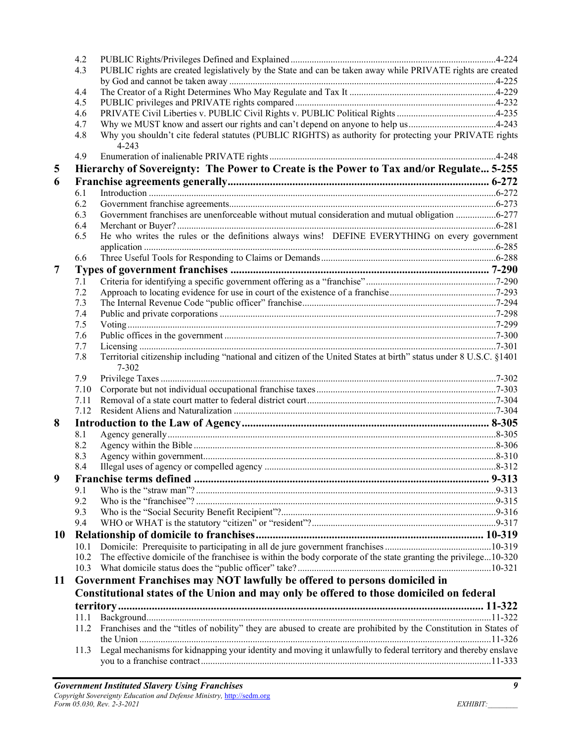|           | 4.2        |                                                                                                                                 |  |
|-----------|------------|---------------------------------------------------------------------------------------------------------------------------------|--|
|           | 4.3        | PUBLIC rights are created legislatively by the State and can be taken away while PRIVATE rights are created                     |  |
|           |            |                                                                                                                                 |  |
|           | 4.4        |                                                                                                                                 |  |
|           | 4.5        |                                                                                                                                 |  |
|           | 4.6        |                                                                                                                                 |  |
|           | 4.7        | Why we MUST know and assert our rights and can't depend on anyone to help us4-243                                               |  |
|           | 4.8        | Why you shouldn't cite federal statutes (PUBLIC RIGHTS) as authority for protecting your PRIVATE rights<br>$4 - 243$            |  |
|           | 4.9        |                                                                                                                                 |  |
| 5         |            | Hierarchy of Sovereignty: The Power to Create is the Power to Tax and/or Regulate 5-255                                         |  |
| 6         |            |                                                                                                                                 |  |
|           | 6.1        |                                                                                                                                 |  |
|           | 6.2        |                                                                                                                                 |  |
|           | 6.3        | Government franchises are unenforceable without mutual consideration and mutual obligation 6-277                                |  |
|           | 6.4        |                                                                                                                                 |  |
|           | 6.5        | He who writes the rules or the definitions always wins! DEFINE EVERYTHING on every government                                   |  |
|           | 6.6        |                                                                                                                                 |  |
| 7         |            |                                                                                                                                 |  |
|           | 7.1        |                                                                                                                                 |  |
|           | 7.2        |                                                                                                                                 |  |
|           | 7.3        |                                                                                                                                 |  |
|           | 7.4        |                                                                                                                                 |  |
|           | 7.5        |                                                                                                                                 |  |
|           | 7.6        |                                                                                                                                 |  |
|           | 7.7        |                                                                                                                                 |  |
|           | 7.8        | Territorial citizenship including "national and citizen of the United States at birth" status under 8 U.S.C. §1401<br>$7 - 302$ |  |
|           | 7.9        |                                                                                                                                 |  |
|           | 7.10       |                                                                                                                                 |  |
|           | 7.11       |                                                                                                                                 |  |
|           | 7.12       |                                                                                                                                 |  |
| 8         |            |                                                                                                                                 |  |
|           | 8.1        |                                                                                                                                 |  |
|           | 8.2        |                                                                                                                                 |  |
|           | 8.3<br>8.4 |                                                                                                                                 |  |
| 9         |            |                                                                                                                                 |  |
|           | 9.1        |                                                                                                                                 |  |
|           | 9.2        |                                                                                                                                 |  |
|           | 9.3        |                                                                                                                                 |  |
|           | 9.4        |                                                                                                                                 |  |
| <b>10</b> |            |                                                                                                                                 |  |
|           | 10.1       |                                                                                                                                 |  |
|           | 10.2       | The effective domicile of the franchisee is within the body corporate of the state granting the privilege10-320                 |  |
|           | 10.3       |                                                                                                                                 |  |
| 11        |            | Government Franchises may NOT lawfully be offered to persons domiciled in                                                       |  |
|           |            | Constitutional states of the Union and may only be offered to those domiciled on federal                                        |  |
|           |            |                                                                                                                                 |  |
|           |            |                                                                                                                                 |  |
|           | 11.1       |                                                                                                                                 |  |
|           | 11.2       | Franchises and the "titles of nobility" they are abused to create are prohibited by the Constitution in States of               |  |
|           | 11.3       | Legal mechanisms for kidnapping your identity and moving it unlawfully to federal territory and thereby enslave                 |  |
|           |            |                                                                                                                                 |  |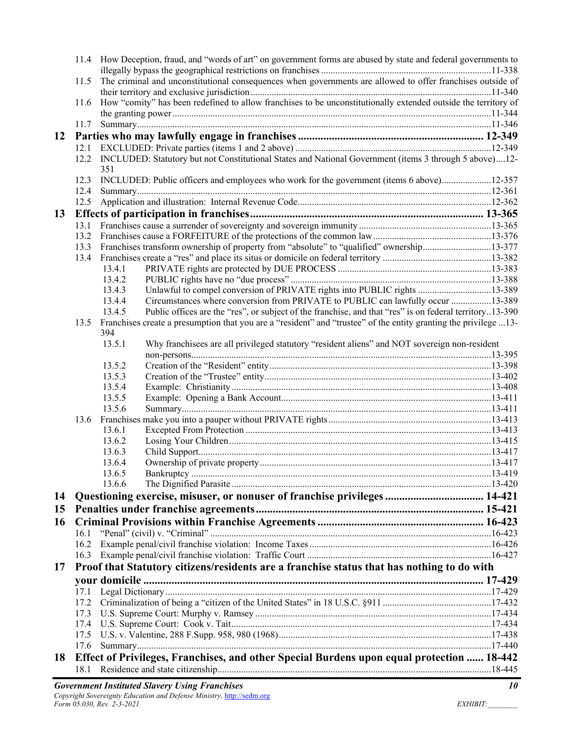|    |      | 11.4 How Deception, fraud, and "words of art" on government forms are abused by state and federal governments to  |  |
|----|------|-------------------------------------------------------------------------------------------------------------------|--|
|    |      |                                                                                                                   |  |
|    | 11.5 | The criminal and unconstitutional consequences when governments are allowed to offer franchises outside of        |  |
|    | 11.6 | How "comity" has been redefined to allow franchises to be unconstitutionally extended outside the territory of    |  |
|    |      |                                                                                                                   |  |
|    |      |                                                                                                                   |  |
| 12 |      |                                                                                                                   |  |
|    |      |                                                                                                                   |  |
|    |      | 12.2 INCLUDED: Statutory but not Constitutional States and National Government (items 3 through 5 above)12-       |  |
|    |      | 351                                                                                                               |  |
|    | 12.3 | INCLUDED: Public officers and employees who work for the government (items 6 above)12-357                         |  |
|    | 12.4 |                                                                                                                   |  |
|    | 12.5 |                                                                                                                   |  |
| 13 |      |                                                                                                                   |  |
|    | 13.1 |                                                                                                                   |  |
|    | 13.2 |                                                                                                                   |  |
|    | 13.3 | Franchises transform ownership of property from "absolute" to "qualified" ownership13-377                         |  |
|    | 13.4 |                                                                                                                   |  |
|    |      | 13.4.1                                                                                                            |  |
|    |      | 13.4.2                                                                                                            |  |
|    |      | Unlawful to compel conversion of PRIVATE rights into PUBLIC rights 13-389<br>13.4.3                               |  |
|    |      | Circumstances where conversion from PRIVATE to PUBLIC can lawfully occur 13-389<br>13.4.4                         |  |
|    |      | Public offices are the "res", or subject of the franchise, and that "res" is on federal territory13-390<br>13.4.5 |  |
|    | 13.5 | Franchises create a presumption that you are a "resident" and "trustee" of the entity granting the privilege13-   |  |
|    |      | 394                                                                                                               |  |
|    |      | Why franchisees are all privileged statutory "resident aliens" and NOT sovereign non-resident<br>13.5.1           |  |
|    |      | 13.5.2                                                                                                            |  |
|    |      | 13.5.3                                                                                                            |  |
|    |      | 13.5.4                                                                                                            |  |
|    |      | 13.5.5                                                                                                            |  |
|    |      | 13.5.6                                                                                                            |  |
|    | 13.6 |                                                                                                                   |  |
|    |      | 13.6.1                                                                                                            |  |
|    |      | 13.6.2                                                                                                            |  |
|    |      | 13.6.3                                                                                                            |  |
|    |      | 13.6.4                                                                                                            |  |
|    |      | 13.6.5                                                                                                            |  |
|    |      | 13.6.6                                                                                                            |  |
| 14 |      | Questioning exercise, misuser, or nonuser of franchise privileges  14-421                                         |  |
| 15 |      |                                                                                                                   |  |
| 16 |      |                                                                                                                   |  |
|    | 16.1 |                                                                                                                   |  |
|    | 16.2 |                                                                                                                   |  |
|    | 16.3 |                                                                                                                   |  |
| 17 |      | Proof that Statutory citizens/residents are a franchise status that has nothing to do with                        |  |
|    |      |                                                                                                                   |  |
|    | 17.1 |                                                                                                                   |  |
|    | 17.2 |                                                                                                                   |  |
|    | 17.3 |                                                                                                                   |  |
|    | 17.4 |                                                                                                                   |  |
|    | 17.5 |                                                                                                                   |  |
|    | 17.6 |                                                                                                                   |  |
| 18 |      | Effect of Privileges, Franchises, and other Special Burdens upon equal protection  18-442                         |  |
|    | 18.1 |                                                                                                                   |  |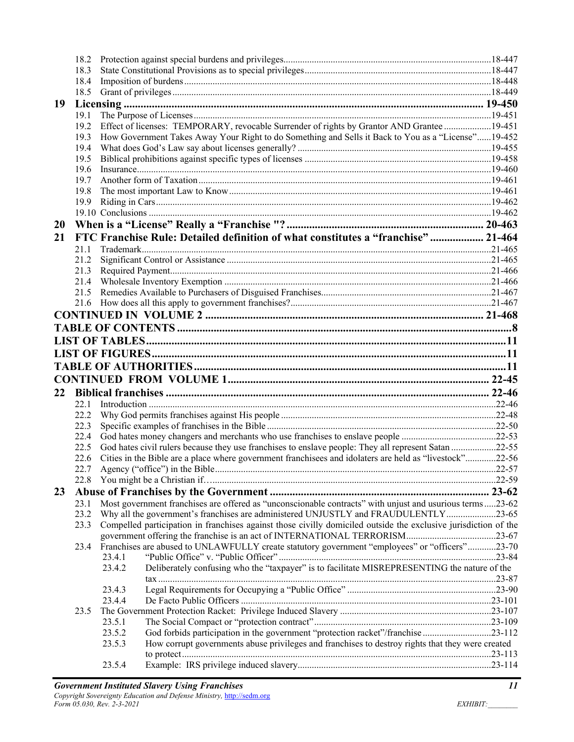|           | 18.2 |                                                                                                                 |  |
|-----------|------|-----------------------------------------------------------------------------------------------------------------|--|
|           | 18.3 |                                                                                                                 |  |
|           | 18.4 |                                                                                                                 |  |
|           | 18.5 |                                                                                                                 |  |
| 19        |      |                                                                                                                 |  |
|           | 19.1 |                                                                                                                 |  |
|           | 19.2 | Effect of licenses: TEMPORARY, revocable Surrender of rights by Grantor AND Grantee 19-451                      |  |
|           | 19.3 | How Government Takes Away Your Right to do Something and Sells it Back to You as a "License"19-452              |  |
|           | 19.4 |                                                                                                                 |  |
|           | 19.5 |                                                                                                                 |  |
|           | 19.6 |                                                                                                                 |  |
|           | 19.7 |                                                                                                                 |  |
|           | 19.8 |                                                                                                                 |  |
|           | 19.9 |                                                                                                                 |  |
|           |      |                                                                                                                 |  |
| <b>20</b> |      |                                                                                                                 |  |
|           |      |                                                                                                                 |  |
| 21        |      | FTC Franchise Rule: Detailed definition of what constitutes a "franchise"  21-464                               |  |
|           | 21.1 |                                                                                                                 |  |
|           | 21.2 |                                                                                                                 |  |
|           | 21.3 |                                                                                                                 |  |
|           | 21.4 |                                                                                                                 |  |
|           |      |                                                                                                                 |  |
|           |      |                                                                                                                 |  |
|           |      |                                                                                                                 |  |
|           |      |                                                                                                                 |  |
|           |      |                                                                                                                 |  |
|           |      |                                                                                                                 |  |
|           |      |                                                                                                                 |  |
|           |      |                                                                                                                 |  |
|           |      |                                                                                                                 |  |
| 22        |      |                                                                                                                 |  |
|           | 22.1 |                                                                                                                 |  |
|           | 22.2 |                                                                                                                 |  |
|           | 22.3 |                                                                                                                 |  |
|           | 22.4 |                                                                                                                 |  |
|           | 22.5 | God hates civil rulers because they use franchises to enslave people: They all represent Satan 22-55            |  |
|           | 22.6 | Cities in the Bible are a place where government franchisees and idolaters are held as "livestock"22-56         |  |
|           | 22.7 |                                                                                                                 |  |
|           |      |                                                                                                                 |  |
| 23        |      |                                                                                                                 |  |
|           | 23.1 | Most government franchises are offered as "unconscionable contracts" with unjust and usurious terms23-62        |  |
|           | 23.2 | Why all the government's franchises are administered UNJUSTLY and FRAUDULENTLY23-65                             |  |
|           | 23.3 | Compelled participation in franchises against those civilly domiciled outside the exclusive jurisdiction of the |  |
|           |      |                                                                                                                 |  |
|           | 23.4 | Franchises are abused to UNLAWFULLY create statutory government "employees" or "officers"23-70                  |  |
|           |      | 23.4.1                                                                                                          |  |
|           |      | Deliberately confusing who the "taxpayer" is to facilitate MISREPRESENTING the nature of the<br>23.4.2          |  |
|           |      |                                                                                                                 |  |
|           |      | 23.4.3                                                                                                          |  |
|           |      | 23.4.4                                                                                                          |  |
|           | 23.5 |                                                                                                                 |  |
|           |      | 23.5.1                                                                                                          |  |
|           |      | God forbids participation in the government "protection racket"/franchise23-112<br>23.5.2                       |  |
|           |      | How corrupt governments abuse privileges and franchises to destroy rights that they were created<br>23.5.3      |  |
|           |      |                                                                                                                 |  |
|           |      | 23.5.4                                                                                                          |  |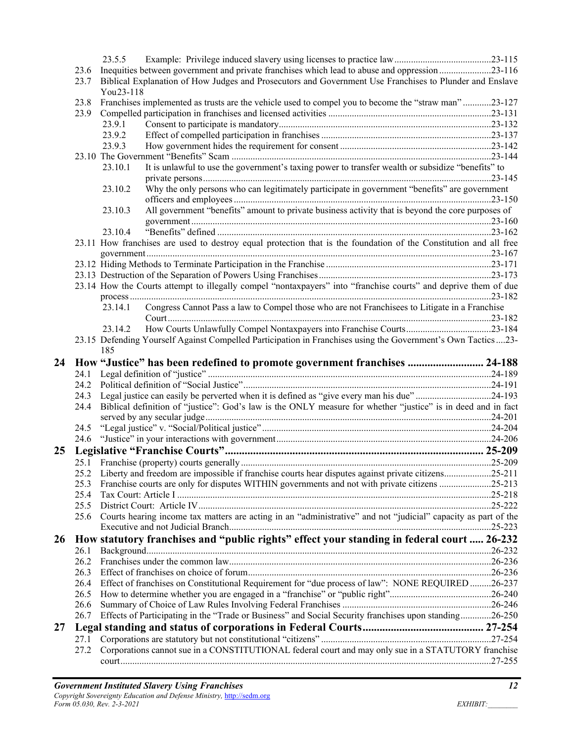|    |              | 23.5.5    |                                                                                                                   |  |
|----|--------------|-----------|-------------------------------------------------------------------------------------------------------------------|--|
|    | 23.6         |           | Inequities between government and private franchises which lead to abuse and oppression23-116                     |  |
|    | 23.7         | You23-118 | Biblical Explanation of How Judges and Prosecutors and Government Use Franchises to Plunder and Enslave           |  |
|    | 23.8         |           | Franchises implemented as trusts are the vehicle used to compel you to become the "straw man"23-127               |  |
|    | 23.9         |           |                                                                                                                   |  |
|    |              | 23.9.1    |                                                                                                                   |  |
|    |              | 23.9.2    |                                                                                                                   |  |
|    |              | 23.9.3    |                                                                                                                   |  |
|    |              |           |                                                                                                                   |  |
|    |              | 23.10.1   | It is unlawful to use the government's taxing power to transfer wealth or subsidize "benefits" to                 |  |
|    |              |           |                                                                                                                   |  |
|    |              | 23.10.2   | Why the only persons who can legitimately participate in government "benefits" are government                     |  |
|    |              |           |                                                                                                                   |  |
|    |              | 23.10.3   | All government "benefits" amount to private business activity that is beyond the core purposes of                 |  |
|    |              |           |                                                                                                                   |  |
|    |              | 23.10.4   |                                                                                                                   |  |
|    |              |           | 23.11 How franchises are used to destroy equal protection that is the foundation of the Constitution and all free |  |
|    |              |           |                                                                                                                   |  |
|    |              |           |                                                                                                                   |  |
|    |              |           |                                                                                                                   |  |
|    |              |           | 23.14 How the Courts attempt to illegally compel "nontaxpayers" into "franchise courts" and deprive them of due   |  |
|    |              |           |                                                                                                                   |  |
|    |              | 23.14.1   | Congress Cannot Pass a law to Compel those who are not Franchisees to Litigate in a Franchise                     |  |
|    |              | 23.14.2   | How Courts Unlawfully Compel Nontaxpayers into Franchise Courts23-184                                             |  |
|    |              |           | 23.15 Defending Yourself Against Compelled Participation in Franchises using the Government's Own Tactics 23-     |  |
|    |              | 185       |                                                                                                                   |  |
|    |              |           |                                                                                                                   |  |
|    |              |           |                                                                                                                   |  |
| 24 |              |           | How "Justice" has been redefined to promote government franchises  24-188                                         |  |
|    | 24.1         |           |                                                                                                                   |  |
|    | 24.2         |           |                                                                                                                   |  |
|    | 24.3         |           | Legal justice can easily be perverted when it is defined as "give every man his due"24-193                        |  |
|    | 24.4         |           | Biblical definition of "justice": God's law is the ONLY measure for whether "justice" is in deed and in fact      |  |
|    |              |           |                                                                                                                   |  |
|    | 24.5         |           |                                                                                                                   |  |
|    | 24.6         |           |                                                                                                                   |  |
| 25 |              |           |                                                                                                                   |  |
|    |              |           |                                                                                                                   |  |
|    |              |           | 25.2 Liberty and freedom are impossible if franchise courts hear disputes against private citizens25-211          |  |
|    | 25.3         |           | Franchise courts are only for disputes WITHIN governments and not with private citizens 25-213                    |  |
|    | 25.4         |           |                                                                                                                   |  |
|    | 25.5         |           |                                                                                                                   |  |
|    | 25.6         |           | Courts hearing income tax matters are acting in an "administrative" and not "judicial" capacity as part of the    |  |
|    |              |           |                                                                                                                   |  |
|    |              |           | How statutory franchises and "public rights" effect your standing in federal court  26-232                        |  |
| 26 | 26.1         |           |                                                                                                                   |  |
|    | 26.2<br>26.3 |           |                                                                                                                   |  |
|    |              |           |                                                                                                                   |  |
|    | 26.4         |           | Effect of franchises on Constitutional Requirement for "due process of law": NONE REQUIRED26-237                  |  |
|    | 26.5<br>26.6 |           |                                                                                                                   |  |
|    | 26.7         |           |                                                                                                                   |  |
|    |              |           | Effects of Participating in the "Trade or Business" and Social Security franchises upon standing26-250            |  |
|    | 27.1         |           |                                                                                                                   |  |
| 27 | 27.2         |           | Corporations cannot sue in a CONSTITUTIONAL federal court and may only sue in a STATUTORY franchise               |  |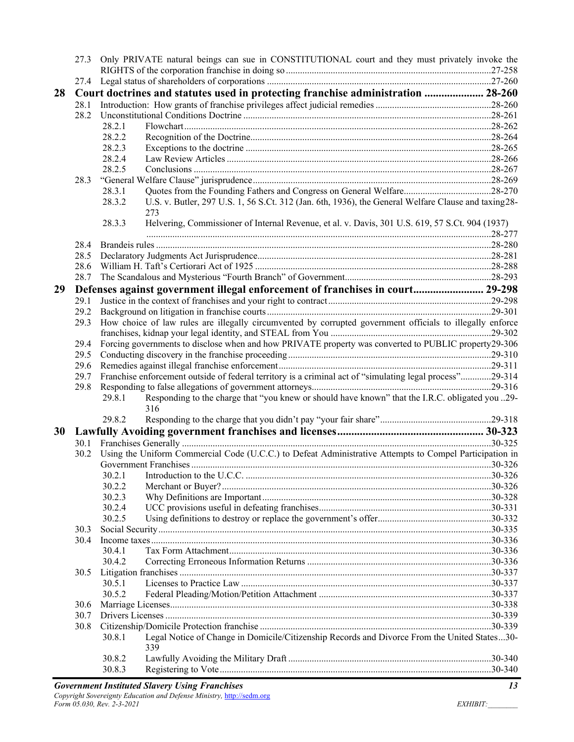|    | 27.3 | Only PRIVATE natural beings can sue in CONSTITUTIONAL court and they must privately invoke the                        |  |
|----|------|-----------------------------------------------------------------------------------------------------------------------|--|
|    |      |                                                                                                                       |  |
|    |      |                                                                                                                       |  |
| 28 |      | Court doctrines and statutes used in protecting franchise administration  28-260                                      |  |
|    | 28.1 |                                                                                                                       |  |
|    | 28.2 |                                                                                                                       |  |
|    |      | 28.2.1                                                                                                                |  |
|    |      | 28.2.2                                                                                                                |  |
|    |      | 28.2.3                                                                                                                |  |
|    |      | 28.2.4                                                                                                                |  |
|    |      | 28.2.5                                                                                                                |  |
|    | 28.3 |                                                                                                                       |  |
|    |      | Quotes from the Founding Fathers and Congress on General Welfare28-270<br>28.3.1                                      |  |
|    |      | U.S. v. Butler, 297 U.S. 1, 56 S.Ct. 312 (Jan. 6th, 1936), the General Welfare Clause and taxing 28-<br>28.3.2<br>273 |  |
|    |      | Helvering, Commissioner of Internal Revenue, et al. v. Davis, 301 U.S. 619, 57 S.Ct. 904 (1937)<br>28.3.3             |  |
|    | 28.4 |                                                                                                                       |  |
|    | 28.5 |                                                                                                                       |  |
|    | 28.6 |                                                                                                                       |  |
|    | 28.7 |                                                                                                                       |  |
| 29 |      | Defenses against government illegal enforcement of franchises in court 29-298                                         |  |
|    | 29.1 |                                                                                                                       |  |
|    | 29.2 |                                                                                                                       |  |
|    | 29.3 | How choice of law rules are illegally circumvented by corrupted government officials to illegally enforce             |  |
|    |      |                                                                                                                       |  |
|    | 29.4 | Forcing governments to disclose when and how PRIVATE property was converted to PUBLIC property29-306                  |  |
|    | 29.5 |                                                                                                                       |  |
|    | 29.6 |                                                                                                                       |  |
|    | 29.7 | Franchise enforcement outside of federal territory is a criminal act of "simulating legal process"29-314              |  |
|    | 29.8 |                                                                                                                       |  |
|    |      | Responding to the charge that "you knew or should have known" that the I.R.C. obligated you 29-<br>29.8.1<br>316      |  |
|    |      | 29.8.2                                                                                                                |  |
| 30 |      |                                                                                                                       |  |
|    | 30.1 |                                                                                                                       |  |
|    | 30.2 | Using the Uniform Commercial Code (U.C.C.) to Defeat Administrative Attempts to Compel Participation in               |  |
|    |      |                                                                                                                       |  |
|    |      | 30.2.1                                                                                                                |  |
|    |      | 30.2.2                                                                                                                |  |
|    |      | 30.2.3                                                                                                                |  |
|    |      | 30.2.4                                                                                                                |  |
|    |      | 30.2.5                                                                                                                |  |
|    | 30.3 |                                                                                                                       |  |
|    | 30.4 |                                                                                                                       |  |
|    |      | 30.4.1                                                                                                                |  |
|    |      | 30.4.2                                                                                                                |  |
|    | 30.5 |                                                                                                                       |  |
|    |      | 30.5.1                                                                                                                |  |
|    |      | 30.5.2                                                                                                                |  |
|    | 30.6 |                                                                                                                       |  |
|    | 30.7 |                                                                                                                       |  |
|    | 30.8 |                                                                                                                       |  |
|    |      | Legal Notice of Change in Domicile/Citizenship Records and Divorce From the United States30-<br>30.8.1<br>339         |  |
|    |      | 30.8.2                                                                                                                |  |
|    |      | 30.8.3                                                                                                                |  |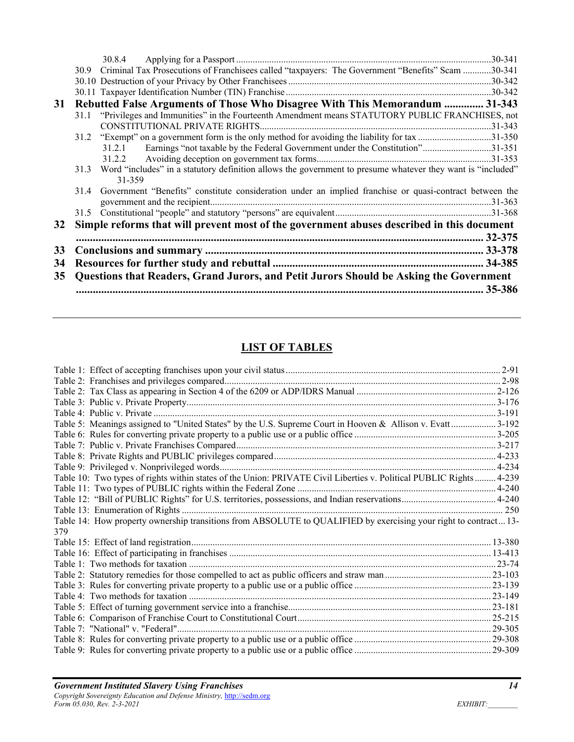|    |                                                                                        | 30.8.4                                                                                                                |             |  |  |
|----|----------------------------------------------------------------------------------------|-----------------------------------------------------------------------------------------------------------------------|-------------|--|--|
|    | 30.9                                                                                   | Criminal Tax Prosecutions of Franchisees called "taxpayers: The Government "Benefits" Scam 30-341                     |             |  |  |
|    |                                                                                        |                                                                                                                       |             |  |  |
|    |                                                                                        |                                                                                                                       |             |  |  |
| 31 |                                                                                        | Rebutted False Arguments of Those Who Disagree With This Memorandum  31-343                                           |             |  |  |
|    |                                                                                        | 31.1 "Privileges and Immunities" in the Fourteenth Amendment means STATUTORY PUBLIC FRANCHISES, not                   |             |  |  |
|    |                                                                                        |                                                                                                                       |             |  |  |
|    | 31.2                                                                                   |                                                                                                                       |             |  |  |
|    |                                                                                        | Earnings "not taxable by the Federal Government under the Constitution"31-351<br>31.2.1                               |             |  |  |
|    |                                                                                        | 31.2.2                                                                                                                |             |  |  |
|    | 31.3                                                                                   | Word "includes" in a statutory definition allows the government to presume whatever they want is "included"<br>31-359 |             |  |  |
|    | 31.4                                                                                   | Government "Benefits" constitute consideration under an implied franchise or quasi-contract between the               |             |  |  |
|    |                                                                                        |                                                                                                                       |             |  |  |
|    | 31.5                                                                                   |                                                                                                                       |             |  |  |
| 32 |                                                                                        | Simple reforms that will prevent most of the government abuses described in this document                             |             |  |  |
|    |                                                                                        |                                                                                                                       | $.32 - 375$ |  |  |
| 33 |                                                                                        |                                                                                                                       |             |  |  |
| 34 |                                                                                        |                                                                                                                       |             |  |  |
| 35 | Questions that Readers, Grand Jurors, and Petit Jurors Should be Asking the Government |                                                                                                                       |             |  |  |
|    |                                                                                        |                                                                                                                       | 35-386      |  |  |
|    |                                                                                        |                                                                                                                       |             |  |  |

# **LIST OF TABLES**

| Table 5: Meanings assigned to "United States" by the U.S. Supreme Court in Hooven & Allison v. Evatt3-192          |  |
|--------------------------------------------------------------------------------------------------------------------|--|
|                                                                                                                    |  |
|                                                                                                                    |  |
|                                                                                                                    |  |
|                                                                                                                    |  |
| Table 10: Two types of rights within states of the Union: PRIVATE Civil Liberties v. Political PUBLIC Rights 4-239 |  |
|                                                                                                                    |  |
|                                                                                                                    |  |
|                                                                                                                    |  |
| Table 14: How property ownership transitions from ABSOLUTE to QUALIFIED by exercising your right to contract 13-   |  |
| 379                                                                                                                |  |
|                                                                                                                    |  |
|                                                                                                                    |  |
|                                                                                                                    |  |
|                                                                                                                    |  |
|                                                                                                                    |  |
|                                                                                                                    |  |
|                                                                                                                    |  |
|                                                                                                                    |  |
|                                                                                                                    |  |
|                                                                                                                    |  |
|                                                                                                                    |  |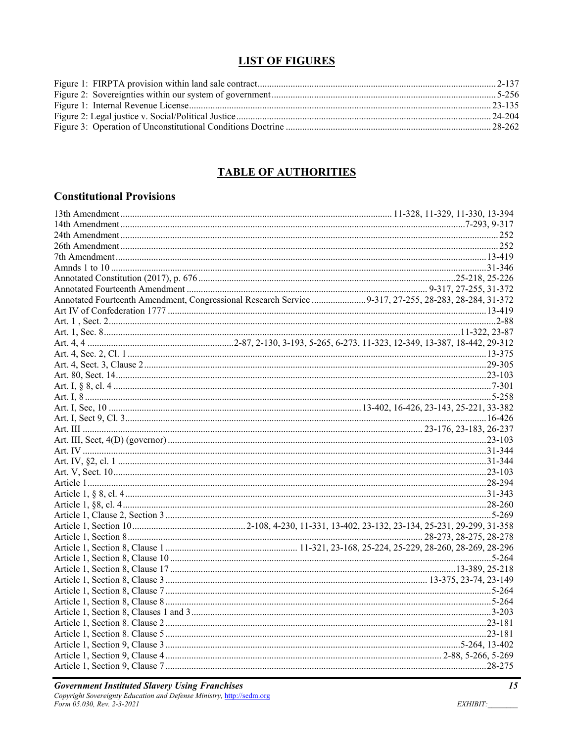#### **LIST OF FIGURES**

#### **TABLE OF AUTHORITIES**

#### **Constitutional Provisions**

| Annotated Fourteenth Amendment, Congressional Research Service 9-317, 27-255, 28-283, 28-284, 31-372 |  |
|------------------------------------------------------------------------------------------------------|--|
|                                                                                                      |  |
|                                                                                                      |  |
|                                                                                                      |  |
|                                                                                                      |  |
|                                                                                                      |  |
|                                                                                                      |  |
|                                                                                                      |  |
|                                                                                                      |  |
|                                                                                                      |  |
|                                                                                                      |  |
|                                                                                                      |  |
|                                                                                                      |  |
|                                                                                                      |  |
|                                                                                                      |  |
|                                                                                                      |  |
|                                                                                                      |  |
|                                                                                                      |  |
|                                                                                                      |  |
|                                                                                                      |  |
|                                                                                                      |  |
|                                                                                                      |  |
|                                                                                                      |  |
|                                                                                                      |  |
|                                                                                                      |  |
|                                                                                                      |  |
|                                                                                                      |  |
|                                                                                                      |  |
|                                                                                                      |  |
|                                                                                                      |  |
|                                                                                                      |  |
|                                                                                                      |  |
|                                                                                                      |  |
|                                                                                                      |  |
|                                                                                                      |  |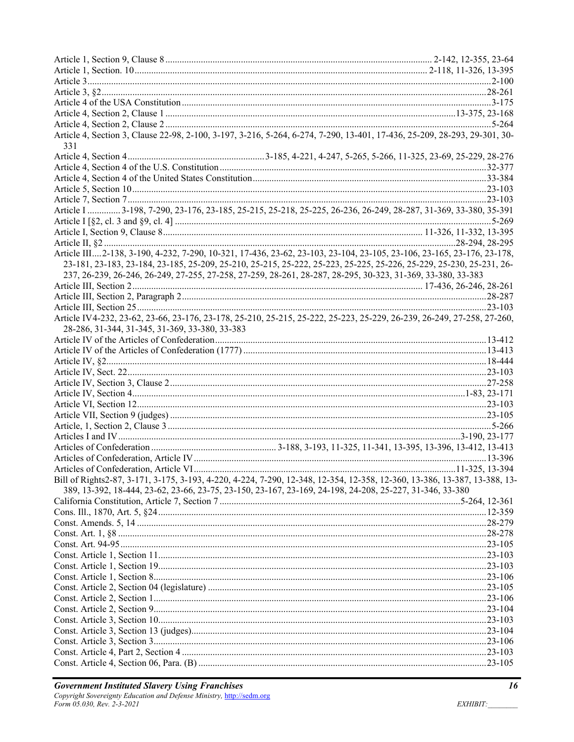| Article 4, Section 3, Clause 22-98, 2-100, 3-197, 3-216, 5-264, 6-274, 7-290, 13-401, 17-436, 25-209, 28-293, 29-301, 30- |  |
|---------------------------------------------------------------------------------------------------------------------------|--|
|                                                                                                                           |  |
| 331                                                                                                                       |  |
|                                                                                                                           |  |
|                                                                                                                           |  |
|                                                                                                                           |  |
|                                                                                                                           |  |
|                                                                                                                           |  |
| Article I   3-198, 7-290, 23-176, 23-185, 25-215, 25-218, 25-225, 26-236, 26-249, 28-287, 31-369, 33-380, 35-391          |  |
|                                                                                                                           |  |
|                                                                                                                           |  |
|                                                                                                                           |  |
| Article III2-138, 3-190, 4-232, 7-290, 10-321, 17-436, 23-62, 23-103, 23-104, 23-105, 23-106, 23-165, 23-176, 23-178,     |  |
| 23-181, 23-183, 23-184, 23-185, 25-209, 25-210, 25-215, 25-222, 25-223, 25-225, 25-226, 25-229, 25-230, 25-231, 26-       |  |
| 237, 26-239, 26-246, 26-249, 27-255, 27-258, 27-259, 28-261, 28-287, 28-295, 30-323, 31-369, 33-380, 33-383               |  |
|                                                                                                                           |  |
|                                                                                                                           |  |
|                                                                                                                           |  |
| Article IV4-232, 23-62, 23-66, 23-176, 23-178, 25-210, 25-215, 25-222, 25-223, 25-229, 26-239, 26-249, 27-258, 27-260,    |  |
| 28-286, 31-344, 31-345, 31-369, 33-380, 33-383                                                                            |  |
|                                                                                                                           |  |
|                                                                                                                           |  |
|                                                                                                                           |  |
|                                                                                                                           |  |
|                                                                                                                           |  |
|                                                                                                                           |  |
|                                                                                                                           |  |
|                                                                                                                           |  |
|                                                                                                                           |  |
|                                                                                                                           |  |
|                                                                                                                           |  |
|                                                                                                                           |  |
|                                                                                                                           |  |
| Bill of Rights2-87, 3-171, 3-175, 3-193, 4-220, 4-224, 7-290, 12-348, 12-354, 12-358, 12-360, 13-386, 13-387, 13-388, 13- |  |
|                                                                                                                           |  |
| 389, 13-392, 18-444, 23-62, 23-66, 23-75, 23-150, 23-167, 23-169, 24-198, 24-208, 25-227, 31-346, 33-380                  |  |
|                                                                                                                           |  |
|                                                                                                                           |  |
|                                                                                                                           |  |
|                                                                                                                           |  |
|                                                                                                                           |  |
|                                                                                                                           |  |
|                                                                                                                           |  |
|                                                                                                                           |  |
|                                                                                                                           |  |
|                                                                                                                           |  |
|                                                                                                                           |  |
|                                                                                                                           |  |
|                                                                                                                           |  |
|                                                                                                                           |  |
|                                                                                                                           |  |
|                                                                                                                           |  |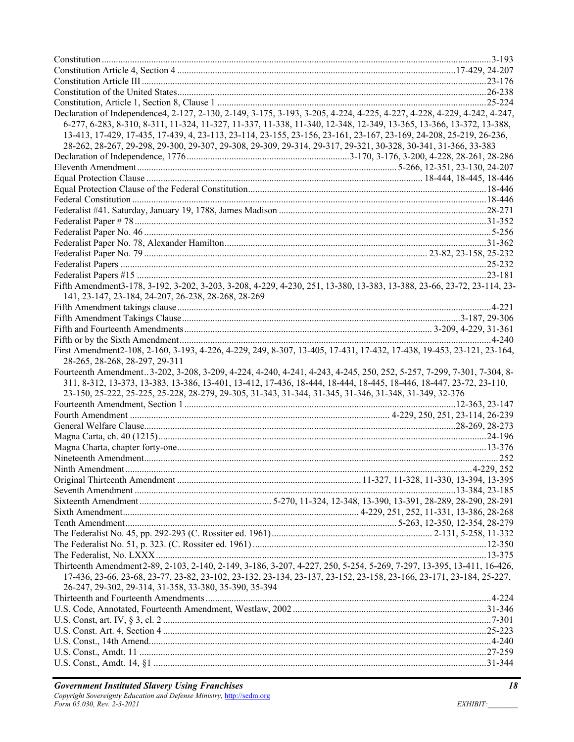| Declaration of Independence4, 2-127, 2-130, 2-149, 3-175, 3-193, 3-205, 4-224, 4-225, 4-227, 4-228, 4-229, 4-242, 4-247, |  |
|--------------------------------------------------------------------------------------------------------------------------|--|
| 6-277, 6-283, 8-310, 8-311, 11-324, 11-327, 11-337, 11-338, 11-340, 12-348, 12-349, 13-365, 13-366, 13-372, 13-388,      |  |
| 13-413, 17-429, 17-435, 17-439, 4, 23-113, 23-114, 23-155, 23-156, 23-161, 23-167, 23-169, 24-208, 25-219, 26-236,       |  |
| 28-262, 28-267, 29-298, 29-300, 29-307, 29-308, 29-309, 29-314, 29-317, 29-321, 30-328, 30-341, 31-366, 33-383           |  |
|                                                                                                                          |  |
|                                                                                                                          |  |
|                                                                                                                          |  |
|                                                                                                                          |  |
|                                                                                                                          |  |
|                                                                                                                          |  |
|                                                                                                                          |  |
|                                                                                                                          |  |
|                                                                                                                          |  |
|                                                                                                                          |  |
|                                                                                                                          |  |
|                                                                                                                          |  |
| Fifth Amendment3-178, 3-192, 3-202, 3-203, 3-208, 4-229, 4-230, 251, 13-380, 13-383, 13-388, 23-66, 23-72, 23-114, 23-   |  |
| 141, 23-147, 23-184, 24-207, 26-238, 28-268, 28-269                                                                      |  |
|                                                                                                                          |  |
|                                                                                                                          |  |
|                                                                                                                          |  |
|                                                                                                                          |  |
| First Amendment2-108, 2-160, 3-193, 4-226, 4-229, 249, 8-307, 13-405, 17-431, 17-432, 17-438, 19-453, 23-121, 23-164,    |  |
| 28-265, 28-268, 28-297, 29-311                                                                                           |  |
| Fourteenth Amendment3-202, 3-208, 3-209, 4-224, 4-240, 4-241, 4-243, 4-245, 250, 252, 5-257, 7-299, 7-301, 7-304, 8-     |  |
| 311, 8-312, 13-373, 13-383, 13-386, 13-401, 13-412, 17-436, 18-444, 18-444, 18-445, 18-446, 18-447, 23-72, 23-110,       |  |
| 23-150, 25-222, 25-225, 25-228, 28-279, 29-305, 31-343, 31-344, 31-345, 31-346, 31-348, 31-349, 32-376                   |  |
|                                                                                                                          |  |
|                                                                                                                          |  |
|                                                                                                                          |  |
|                                                                                                                          |  |
|                                                                                                                          |  |
|                                                                                                                          |  |
|                                                                                                                          |  |
|                                                                                                                          |  |
|                                                                                                                          |  |
|                                                                                                                          |  |
|                                                                                                                          |  |
|                                                                                                                          |  |
|                                                                                                                          |  |
|                                                                                                                          |  |
|                                                                                                                          |  |
| Thirteenth Amendment 2-89, 2-103, 2-140, 2-149, 3-186, 3-207, 4-227, 250, 5-254, 5-269, 7-297, 13-395, 13-411, 16-426,   |  |
| 17-436, 23-66, 23-68, 23-77, 23-82, 23-102, 23-132, 23-134, 23-137, 23-152, 23-158, 23-166, 23-171, 23-184, 25-227,      |  |
| 26-247, 29-302, 29-314, 31-358, 33-380, 35-390, 35-394                                                                   |  |
|                                                                                                                          |  |
|                                                                                                                          |  |
|                                                                                                                          |  |
|                                                                                                                          |  |
|                                                                                                                          |  |
|                                                                                                                          |  |
|                                                                                                                          |  |
|                                                                                                                          |  |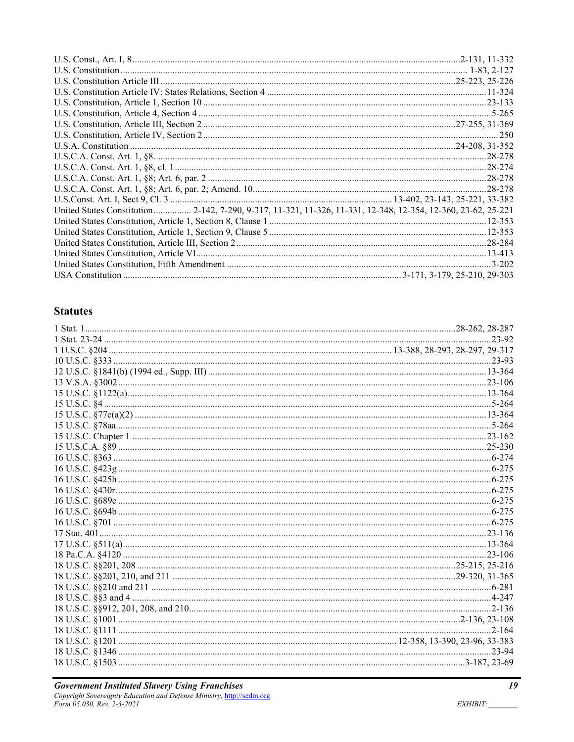| United States Constitution 2-142, 7-290, 9-317, 11-321, 11-326, 11-331, 12-348, 12-354, 12-360, 23-62, 25-221 |  |
|---------------------------------------------------------------------------------------------------------------|--|
|                                                                                                               |  |
|                                                                                                               |  |
|                                                                                                               |  |
|                                                                                                               |  |
|                                                                                                               |  |
|                                                                                                               |  |

# **Statutes**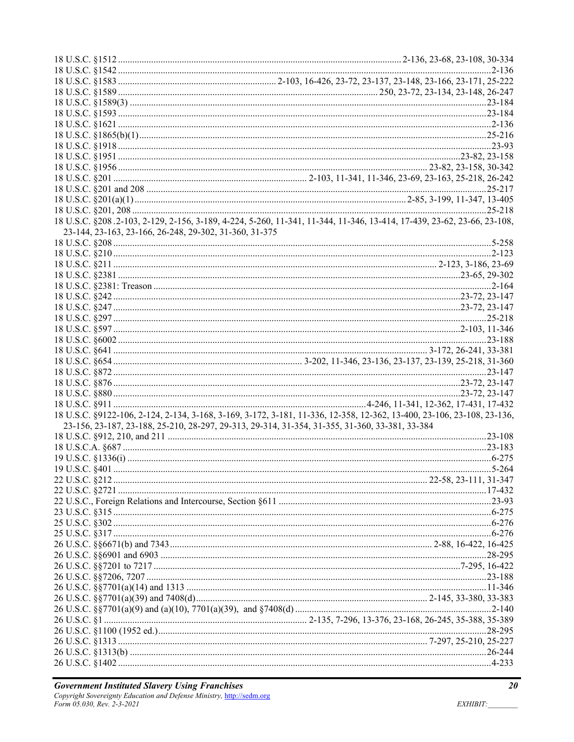| 18 U.S.C. §208.2-103, 2-129, 2-156, 3-189, 4-224, 5-260, 11-341, 11-344, 11-346, 13-414, 17-439, 23-62, 23-66, 23-108,<br>23-144, 23-163, 23-166, 26-248, 29-302, 31-360, 31-375<br>18 U.S.C. §9122-106, 2-124, 2-134, 3-168, 3-169, 3-172, 3-181, 11-336, 12-358, 12-362, 13-400, 23-106, 23-108, 23-136,<br>23-156, 23-187, 23-188, 25-210, 28-297, 29-313, 29-314, 31-354, 31-355, 31-360, 33-381, 33-384 |
|--------------------------------------------------------------------------------------------------------------------------------------------------------------------------------------------------------------------------------------------------------------------------------------------------------------------------------------------------------------------------------------------------------------|
|                                                                                                                                                                                                                                                                                                                                                                                                              |
|                                                                                                                                                                                                                                                                                                                                                                                                              |
|                                                                                                                                                                                                                                                                                                                                                                                                              |
|                                                                                                                                                                                                                                                                                                                                                                                                              |
|                                                                                                                                                                                                                                                                                                                                                                                                              |
|                                                                                                                                                                                                                                                                                                                                                                                                              |
|                                                                                                                                                                                                                                                                                                                                                                                                              |
|                                                                                                                                                                                                                                                                                                                                                                                                              |
|                                                                                                                                                                                                                                                                                                                                                                                                              |
|                                                                                                                                                                                                                                                                                                                                                                                                              |
|                                                                                                                                                                                                                                                                                                                                                                                                              |
|                                                                                                                                                                                                                                                                                                                                                                                                              |
|                                                                                                                                                                                                                                                                                                                                                                                                              |
|                                                                                                                                                                                                                                                                                                                                                                                                              |
|                                                                                                                                                                                                                                                                                                                                                                                                              |
|                                                                                                                                                                                                                                                                                                                                                                                                              |
|                                                                                                                                                                                                                                                                                                                                                                                                              |
|                                                                                                                                                                                                                                                                                                                                                                                                              |
|                                                                                                                                                                                                                                                                                                                                                                                                              |
|                                                                                                                                                                                                                                                                                                                                                                                                              |
|                                                                                                                                                                                                                                                                                                                                                                                                              |
|                                                                                                                                                                                                                                                                                                                                                                                                              |
|                                                                                                                                                                                                                                                                                                                                                                                                              |
|                                                                                                                                                                                                                                                                                                                                                                                                              |
|                                                                                                                                                                                                                                                                                                                                                                                                              |
|                                                                                                                                                                                                                                                                                                                                                                                                              |
|                                                                                                                                                                                                                                                                                                                                                                                                              |
|                                                                                                                                                                                                                                                                                                                                                                                                              |
|                                                                                                                                                                                                                                                                                                                                                                                                              |
|                                                                                                                                                                                                                                                                                                                                                                                                              |
|                                                                                                                                                                                                                                                                                                                                                                                                              |
|                                                                                                                                                                                                                                                                                                                                                                                                              |
|                                                                                                                                                                                                                                                                                                                                                                                                              |
|                                                                                                                                                                                                                                                                                                                                                                                                              |
|                                                                                                                                                                                                                                                                                                                                                                                                              |
|                                                                                                                                                                                                                                                                                                                                                                                                              |
|                                                                                                                                                                                                                                                                                                                                                                                                              |
|                                                                                                                                                                                                                                                                                                                                                                                                              |
|                                                                                                                                                                                                                                                                                                                                                                                                              |
|                                                                                                                                                                                                                                                                                                                                                                                                              |
|                                                                                                                                                                                                                                                                                                                                                                                                              |
|                                                                                                                                                                                                                                                                                                                                                                                                              |
|                                                                                                                                                                                                                                                                                                                                                                                                              |
|                                                                                                                                                                                                                                                                                                                                                                                                              |
|                                                                                                                                                                                                                                                                                                                                                                                                              |
|                                                                                                                                                                                                                                                                                                                                                                                                              |
|                                                                                                                                                                                                                                                                                                                                                                                                              |
|                                                                                                                                                                                                                                                                                                                                                                                                              |
|                                                                                                                                                                                                                                                                                                                                                                                                              |
|                                                                                                                                                                                                                                                                                                                                                                                                              |
|                                                                                                                                                                                                                                                                                                                                                                                                              |
|                                                                                                                                                                                                                                                                                                                                                                                                              |
|                                                                                                                                                                                                                                                                                                                                                                                                              |
|                                                                                                                                                                                                                                                                                                                                                                                                              |
|                                                                                                                                                                                                                                                                                                                                                                                                              |
|                                                                                                                                                                                                                                                                                                                                                                                                              |
|                                                                                                                                                                                                                                                                                                                                                                                                              |
|                                                                                                                                                                                                                                                                                                                                                                                                              |
|                                                                                                                                                                                                                                                                                                                                                                                                              |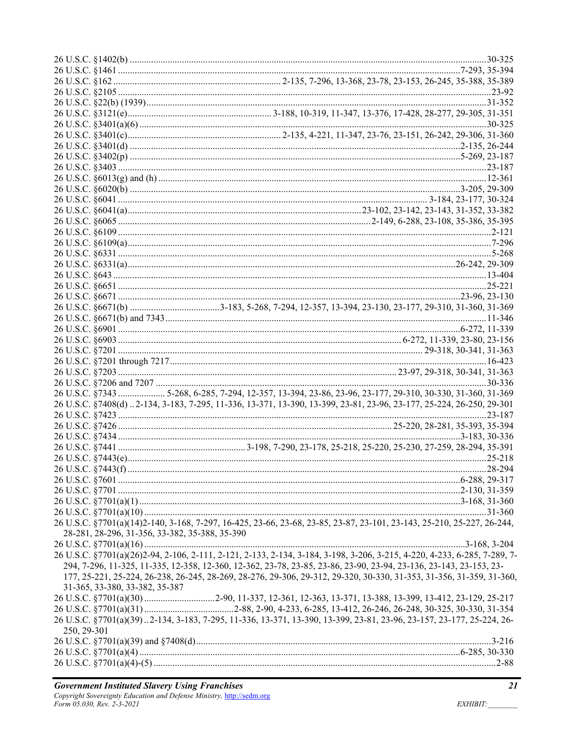| 26 U.S.C. §7343  5-268, 6-285, 7-294, 12-357, 13-394, 23-86, 23-96, 23-177, 29-310, 30-330, 31-360, 31-369<br>26 U.S.C. §7408(d) 2-134, 3-183, 7-295, 11-336, 13-371, 13-390, 13-399, 23-81, 23-96, 23-177, 25-224, 26-250, 29-301<br>26 U.S.C. §7701(a)(14)2-140, 3-168, 7-297, 16-425, 23-66, 23-68, 23-85, 23-87, 23-101, 23-143, 25-210, 25-227, 26-244,<br>28-281, 28-296, 31-356, 33-382, 35-388, 35-390<br>26 U.S.C. §7701(a)(26)2-94, 2-106, 2-111, 2-121, 2-133, 2-134, 3-184, 3-198, 3-206, 3-215, 4-220, 4-233, 6-285, 7-289, 7-<br>294, 7-296, 11-325, 11-335, 12-358, 12-360, 12-362, 23-78, 23-85, 23-86, 23-90, 23-94, 23-136, 23-143, 23-153, 23-<br>177, 25-221, 25-224, 26-238, 26-245, 28-269, 28-276, 29-306, 29-312, 29-320, 30-330, 31-353, 31-356, 31-359, 31-360,<br>31-365, 33-380, 33-382, 35-387<br>26 U.S.C. §7701(a)(30) 2-90, 11-337, 12-361, 12-363, 13-371, 13-388, 13-399, 13-412, 23-129, 25-217<br>26 U.S.C. §7701(a)(39)2-134, 3-183, 7-295, 11-336, 13-371, 13-390, 13-399, 23-81, 23-96, 23-157, 23-177, 25-224, 26-<br>250, 29-301 |  |  |
|---------------------------------------------------------------------------------------------------------------------------------------------------------------------------------------------------------------------------------------------------------------------------------------------------------------------------------------------------------------------------------------------------------------------------------------------------------------------------------------------------------------------------------------------------------------------------------------------------------------------------------------------------------------------------------------------------------------------------------------------------------------------------------------------------------------------------------------------------------------------------------------------------------------------------------------------------------------------------------------------------------------------------------------------------------------------------|--|--|
|                                                                                                                                                                                                                                                                                                                                                                                                                                                                                                                                                                                                                                                                                                                                                                                                                                                                                                                                                                                                                                                                           |  |  |
|                                                                                                                                                                                                                                                                                                                                                                                                                                                                                                                                                                                                                                                                                                                                                                                                                                                                                                                                                                                                                                                                           |  |  |
|                                                                                                                                                                                                                                                                                                                                                                                                                                                                                                                                                                                                                                                                                                                                                                                                                                                                                                                                                                                                                                                                           |  |  |
|                                                                                                                                                                                                                                                                                                                                                                                                                                                                                                                                                                                                                                                                                                                                                                                                                                                                                                                                                                                                                                                                           |  |  |
|                                                                                                                                                                                                                                                                                                                                                                                                                                                                                                                                                                                                                                                                                                                                                                                                                                                                                                                                                                                                                                                                           |  |  |
|                                                                                                                                                                                                                                                                                                                                                                                                                                                                                                                                                                                                                                                                                                                                                                                                                                                                                                                                                                                                                                                                           |  |  |
|                                                                                                                                                                                                                                                                                                                                                                                                                                                                                                                                                                                                                                                                                                                                                                                                                                                                                                                                                                                                                                                                           |  |  |
|                                                                                                                                                                                                                                                                                                                                                                                                                                                                                                                                                                                                                                                                                                                                                                                                                                                                                                                                                                                                                                                                           |  |  |
|                                                                                                                                                                                                                                                                                                                                                                                                                                                                                                                                                                                                                                                                                                                                                                                                                                                                                                                                                                                                                                                                           |  |  |
|                                                                                                                                                                                                                                                                                                                                                                                                                                                                                                                                                                                                                                                                                                                                                                                                                                                                                                                                                                                                                                                                           |  |  |
|                                                                                                                                                                                                                                                                                                                                                                                                                                                                                                                                                                                                                                                                                                                                                                                                                                                                                                                                                                                                                                                                           |  |  |
|                                                                                                                                                                                                                                                                                                                                                                                                                                                                                                                                                                                                                                                                                                                                                                                                                                                                                                                                                                                                                                                                           |  |  |
|                                                                                                                                                                                                                                                                                                                                                                                                                                                                                                                                                                                                                                                                                                                                                                                                                                                                                                                                                                                                                                                                           |  |  |
|                                                                                                                                                                                                                                                                                                                                                                                                                                                                                                                                                                                                                                                                                                                                                                                                                                                                                                                                                                                                                                                                           |  |  |
|                                                                                                                                                                                                                                                                                                                                                                                                                                                                                                                                                                                                                                                                                                                                                                                                                                                                                                                                                                                                                                                                           |  |  |
|                                                                                                                                                                                                                                                                                                                                                                                                                                                                                                                                                                                                                                                                                                                                                                                                                                                                                                                                                                                                                                                                           |  |  |
|                                                                                                                                                                                                                                                                                                                                                                                                                                                                                                                                                                                                                                                                                                                                                                                                                                                                                                                                                                                                                                                                           |  |  |
|                                                                                                                                                                                                                                                                                                                                                                                                                                                                                                                                                                                                                                                                                                                                                                                                                                                                                                                                                                                                                                                                           |  |  |
|                                                                                                                                                                                                                                                                                                                                                                                                                                                                                                                                                                                                                                                                                                                                                                                                                                                                                                                                                                                                                                                                           |  |  |
|                                                                                                                                                                                                                                                                                                                                                                                                                                                                                                                                                                                                                                                                                                                                                                                                                                                                                                                                                                                                                                                                           |  |  |
|                                                                                                                                                                                                                                                                                                                                                                                                                                                                                                                                                                                                                                                                                                                                                                                                                                                                                                                                                                                                                                                                           |  |  |
|                                                                                                                                                                                                                                                                                                                                                                                                                                                                                                                                                                                                                                                                                                                                                                                                                                                                                                                                                                                                                                                                           |  |  |
|                                                                                                                                                                                                                                                                                                                                                                                                                                                                                                                                                                                                                                                                                                                                                                                                                                                                                                                                                                                                                                                                           |  |  |
|                                                                                                                                                                                                                                                                                                                                                                                                                                                                                                                                                                                                                                                                                                                                                                                                                                                                                                                                                                                                                                                                           |  |  |
|                                                                                                                                                                                                                                                                                                                                                                                                                                                                                                                                                                                                                                                                                                                                                                                                                                                                                                                                                                                                                                                                           |  |  |
|                                                                                                                                                                                                                                                                                                                                                                                                                                                                                                                                                                                                                                                                                                                                                                                                                                                                                                                                                                                                                                                                           |  |  |
|                                                                                                                                                                                                                                                                                                                                                                                                                                                                                                                                                                                                                                                                                                                                                                                                                                                                                                                                                                                                                                                                           |  |  |
|                                                                                                                                                                                                                                                                                                                                                                                                                                                                                                                                                                                                                                                                                                                                                                                                                                                                                                                                                                                                                                                                           |  |  |
|                                                                                                                                                                                                                                                                                                                                                                                                                                                                                                                                                                                                                                                                                                                                                                                                                                                                                                                                                                                                                                                                           |  |  |
|                                                                                                                                                                                                                                                                                                                                                                                                                                                                                                                                                                                                                                                                                                                                                                                                                                                                                                                                                                                                                                                                           |  |  |
|                                                                                                                                                                                                                                                                                                                                                                                                                                                                                                                                                                                                                                                                                                                                                                                                                                                                                                                                                                                                                                                                           |  |  |
|                                                                                                                                                                                                                                                                                                                                                                                                                                                                                                                                                                                                                                                                                                                                                                                                                                                                                                                                                                                                                                                                           |  |  |
|                                                                                                                                                                                                                                                                                                                                                                                                                                                                                                                                                                                                                                                                                                                                                                                                                                                                                                                                                                                                                                                                           |  |  |
|                                                                                                                                                                                                                                                                                                                                                                                                                                                                                                                                                                                                                                                                                                                                                                                                                                                                                                                                                                                                                                                                           |  |  |
|                                                                                                                                                                                                                                                                                                                                                                                                                                                                                                                                                                                                                                                                                                                                                                                                                                                                                                                                                                                                                                                                           |  |  |
|                                                                                                                                                                                                                                                                                                                                                                                                                                                                                                                                                                                                                                                                                                                                                                                                                                                                                                                                                                                                                                                                           |  |  |
|                                                                                                                                                                                                                                                                                                                                                                                                                                                                                                                                                                                                                                                                                                                                                                                                                                                                                                                                                                                                                                                                           |  |  |
|                                                                                                                                                                                                                                                                                                                                                                                                                                                                                                                                                                                                                                                                                                                                                                                                                                                                                                                                                                                                                                                                           |  |  |
|                                                                                                                                                                                                                                                                                                                                                                                                                                                                                                                                                                                                                                                                                                                                                                                                                                                                                                                                                                                                                                                                           |  |  |
|                                                                                                                                                                                                                                                                                                                                                                                                                                                                                                                                                                                                                                                                                                                                                                                                                                                                                                                                                                                                                                                                           |  |  |
|                                                                                                                                                                                                                                                                                                                                                                                                                                                                                                                                                                                                                                                                                                                                                                                                                                                                                                                                                                                                                                                                           |  |  |
|                                                                                                                                                                                                                                                                                                                                                                                                                                                                                                                                                                                                                                                                                                                                                                                                                                                                                                                                                                                                                                                                           |  |  |
|                                                                                                                                                                                                                                                                                                                                                                                                                                                                                                                                                                                                                                                                                                                                                                                                                                                                                                                                                                                                                                                                           |  |  |
|                                                                                                                                                                                                                                                                                                                                                                                                                                                                                                                                                                                                                                                                                                                                                                                                                                                                                                                                                                                                                                                                           |  |  |
|                                                                                                                                                                                                                                                                                                                                                                                                                                                                                                                                                                                                                                                                                                                                                                                                                                                                                                                                                                                                                                                                           |  |  |
|                                                                                                                                                                                                                                                                                                                                                                                                                                                                                                                                                                                                                                                                                                                                                                                                                                                                                                                                                                                                                                                                           |  |  |
|                                                                                                                                                                                                                                                                                                                                                                                                                                                                                                                                                                                                                                                                                                                                                                                                                                                                                                                                                                                                                                                                           |  |  |
|                                                                                                                                                                                                                                                                                                                                                                                                                                                                                                                                                                                                                                                                                                                                                                                                                                                                                                                                                                                                                                                                           |  |  |
|                                                                                                                                                                                                                                                                                                                                                                                                                                                                                                                                                                                                                                                                                                                                                                                                                                                                                                                                                                                                                                                                           |  |  |
|                                                                                                                                                                                                                                                                                                                                                                                                                                                                                                                                                                                                                                                                                                                                                                                                                                                                                                                                                                                                                                                                           |  |  |
|                                                                                                                                                                                                                                                                                                                                                                                                                                                                                                                                                                                                                                                                                                                                                                                                                                                                                                                                                                                                                                                                           |  |  |
|                                                                                                                                                                                                                                                                                                                                                                                                                                                                                                                                                                                                                                                                                                                                                                                                                                                                                                                                                                                                                                                                           |  |  |
|                                                                                                                                                                                                                                                                                                                                                                                                                                                                                                                                                                                                                                                                                                                                                                                                                                                                                                                                                                                                                                                                           |  |  |
|                                                                                                                                                                                                                                                                                                                                                                                                                                                                                                                                                                                                                                                                                                                                                                                                                                                                                                                                                                                                                                                                           |  |  |
|                                                                                                                                                                                                                                                                                                                                                                                                                                                                                                                                                                                                                                                                                                                                                                                                                                                                                                                                                                                                                                                                           |  |  |
|                                                                                                                                                                                                                                                                                                                                                                                                                                                                                                                                                                                                                                                                                                                                                                                                                                                                                                                                                                                                                                                                           |  |  |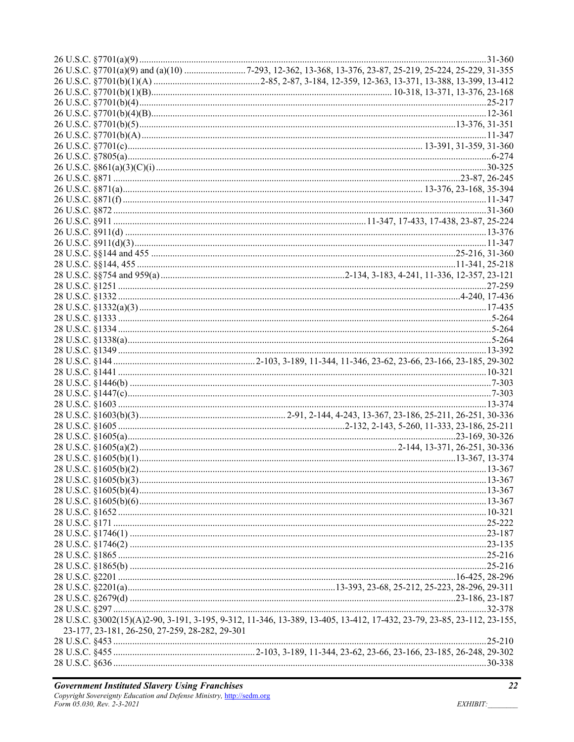|                                                | $.25 - 216$                                                                                                            |  |
|------------------------------------------------|------------------------------------------------------------------------------------------------------------------------|--|
|                                                |                                                                                                                        |  |
|                                                |                                                                                                                        |  |
|                                                |                                                                                                                        |  |
|                                                |                                                                                                                        |  |
|                                                | 28 U.S.C. §3002(15)(A)2-90, 3-191, 3-195, 9-312, 11-346, 13-389, 13-405, 13-412, 17-432, 23-79, 23-85, 23-112, 23-155, |  |
| 23-177, 23-181, 26-250, 27-259, 28-282, 29-301 |                                                                                                                        |  |
|                                                |                                                                                                                        |  |
|                                                |                                                                                                                        |  |
|                                                |                                                                                                                        |  |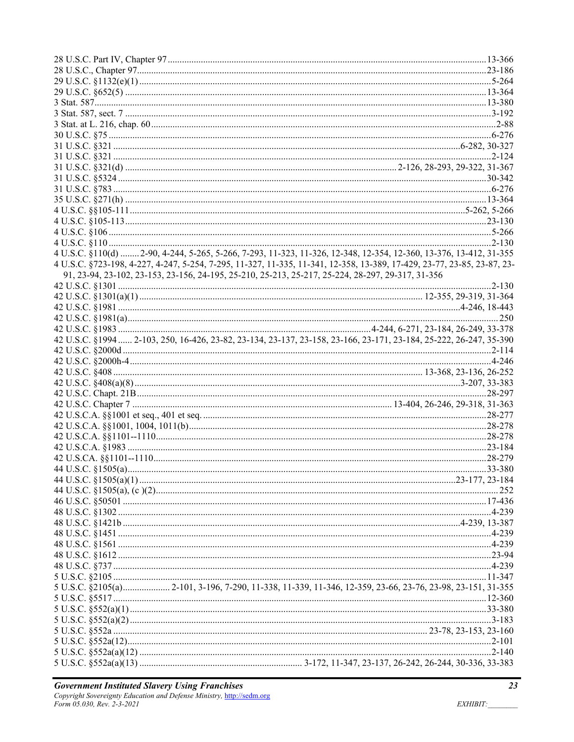| 4 U.S.C. §110(d)  2-90, 4-244, 5-265, 5-266, 7-293, 11-323, 11-326, 12-348, 12-354, 12-360, 13-376, 13-412, 31-355      |  |
|-------------------------------------------------------------------------------------------------------------------------|--|
| 4 U.S.C. §723-198, 4-227, 4-247, 5-254, 7-295, 11-327, 11-335, 11-341, 12-358, 13-389, 17-429, 23-77, 23-85, 23-87, 23- |  |
| 91, 23-94, 23-102, 23-153, 23-156, 24-195, 25-210, 25-213, 25-217, 25-224, 28-297, 29-317, 31-356                       |  |
|                                                                                                                         |  |
|                                                                                                                         |  |
|                                                                                                                         |  |
|                                                                                                                         |  |
|                                                                                                                         |  |
| 42 U.S.C. §1994  2-103, 250, 16-426, 23-82, 23-134, 23-137, 23-158, 23-166, 23-171, 23-184, 25-222, 26-247, 35-390      |  |
|                                                                                                                         |  |
|                                                                                                                         |  |
|                                                                                                                         |  |
|                                                                                                                         |  |
|                                                                                                                         |  |
|                                                                                                                         |  |
|                                                                                                                         |  |
|                                                                                                                         |  |
|                                                                                                                         |  |
|                                                                                                                         |  |
|                                                                                                                         |  |
|                                                                                                                         |  |
|                                                                                                                         |  |
|                                                                                                                         |  |
|                                                                                                                         |  |
|                                                                                                                         |  |
|                                                                                                                         |  |
|                                                                                                                         |  |
|                                                                                                                         |  |
|                                                                                                                         |  |
|                                                                                                                         |  |
|                                                                                                                         |  |
|                                                                                                                         |  |
|                                                                                                                         |  |
|                                                                                                                         |  |
|                                                                                                                         |  |
|                                                                                                                         |  |
|                                                                                                                         |  |
|                                                                                                                         |  |
|                                                                                                                         |  |
|                                                                                                                         |  |
|                                                                                                                         |  |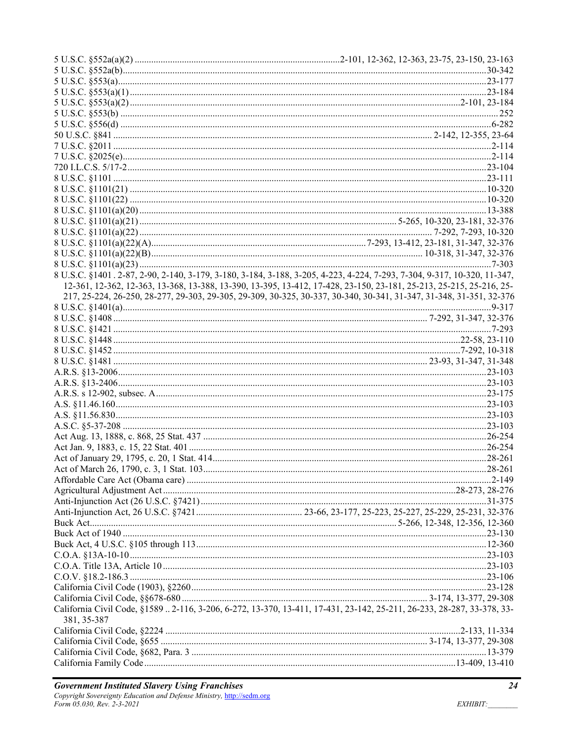|             | 8 U.S.C. §1401.2-87, 2-90, 2-140, 3-179, 3-180, 3-184, 3-188, 3-205, 4-223, 4-224, 7-293, 7-304, 9-317, 10-320, 11-347, |
|-------------|-------------------------------------------------------------------------------------------------------------------------|
|             | 12-361, 12-362, 12-363, 13-368, 13-388, 13-390, 13-395, 13-412, 17-428, 23-150, 23-181, 25-213, 25-215, 25-216, 25-     |
|             | 217, 25-224, 26-250, 28-277, 29-303, 29-305, 29-309, 30-325, 30-337, 30-340, 30-341, 31-347, 31-348, 31-351, 32-376     |
|             |                                                                                                                         |
|             |                                                                                                                         |
|             |                                                                                                                         |
|             |                                                                                                                         |
|             |                                                                                                                         |
|             |                                                                                                                         |
|             |                                                                                                                         |
|             |                                                                                                                         |
|             |                                                                                                                         |
|             |                                                                                                                         |
|             |                                                                                                                         |
|             |                                                                                                                         |
|             |                                                                                                                         |
|             |                                                                                                                         |
|             |                                                                                                                         |
|             |                                                                                                                         |
|             |                                                                                                                         |
|             |                                                                                                                         |
|             |                                                                                                                         |
|             |                                                                                                                         |
|             |                                                                                                                         |
|             |                                                                                                                         |
|             |                                                                                                                         |
|             |                                                                                                                         |
|             |                                                                                                                         |
|             |                                                                                                                         |
|             |                                                                                                                         |
|             |                                                                                                                         |
|             |                                                                                                                         |
|             | California Civil Code, §1589  2-116, 3-206, 6-272, 13-370, 13-411, 17-431, 23-142, 25-211, 26-233, 28-287, 33-378, 33-  |
| 381, 35-387 |                                                                                                                         |
|             |                                                                                                                         |
|             |                                                                                                                         |
|             |                                                                                                                         |
|             |                                                                                                                         |
|             |                                                                                                                         |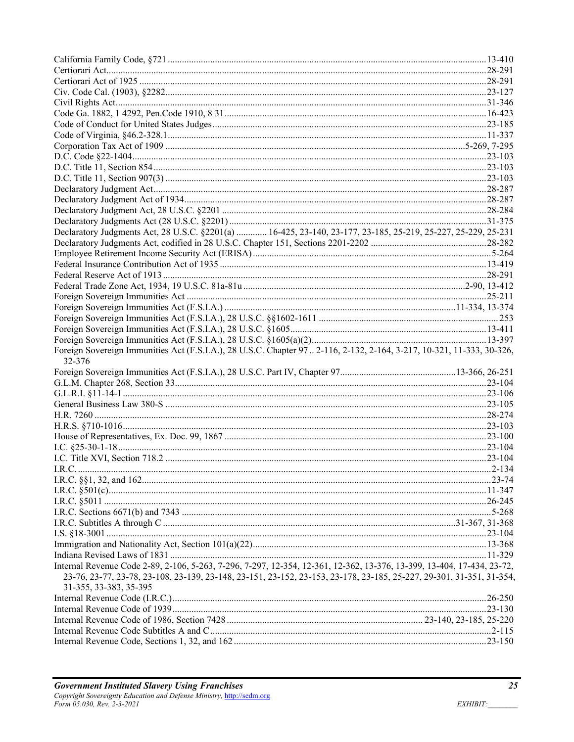| Declaratory Judgments Act, 28 U.S.C. §2201(a)  16-425, 23-140, 23-177, 23-185, 25-219, 25-227, 25-229, 25-231          |  |
|------------------------------------------------------------------------------------------------------------------------|--|
|                                                                                                                        |  |
|                                                                                                                        |  |
|                                                                                                                        |  |
|                                                                                                                        |  |
|                                                                                                                        |  |
|                                                                                                                        |  |
|                                                                                                                        |  |
|                                                                                                                        |  |
|                                                                                                                        |  |
|                                                                                                                        |  |
| Foreign Sovereign Immunities Act (F.S.I.A.), 28 U.S.C. Chapter 97 2-116, 2-132, 2-164, 3-217, 10-321, 11-333, 30-326,  |  |
| 32-376                                                                                                                 |  |
|                                                                                                                        |  |
|                                                                                                                        |  |
|                                                                                                                        |  |
|                                                                                                                        |  |
|                                                                                                                        |  |
|                                                                                                                        |  |
|                                                                                                                        |  |
|                                                                                                                        |  |
|                                                                                                                        |  |
|                                                                                                                        |  |
|                                                                                                                        |  |
|                                                                                                                        |  |
|                                                                                                                        |  |
|                                                                                                                        |  |
|                                                                                                                        |  |
|                                                                                                                        |  |
|                                                                                                                        |  |
|                                                                                                                        |  |
|                                                                                                                        |  |
|                                                                                                                        |  |
| Internal Revenue Code 2-89, 2-106, 5-263, 7-296, 7-297, 12-354, 12-361, 12-362, 13-376, 13-399, 13-404, 17-434, 23-72, |  |
| 23-76, 23-77, 23-78, 23-108, 23-139, 23-148, 23-151, 23-152, 23-153, 23-178, 23-185, 25-227, 29-301, 31-351, 31-354,   |  |
| 31-355, 33-383, 35-395                                                                                                 |  |
|                                                                                                                        |  |
|                                                                                                                        |  |
|                                                                                                                        |  |
|                                                                                                                        |  |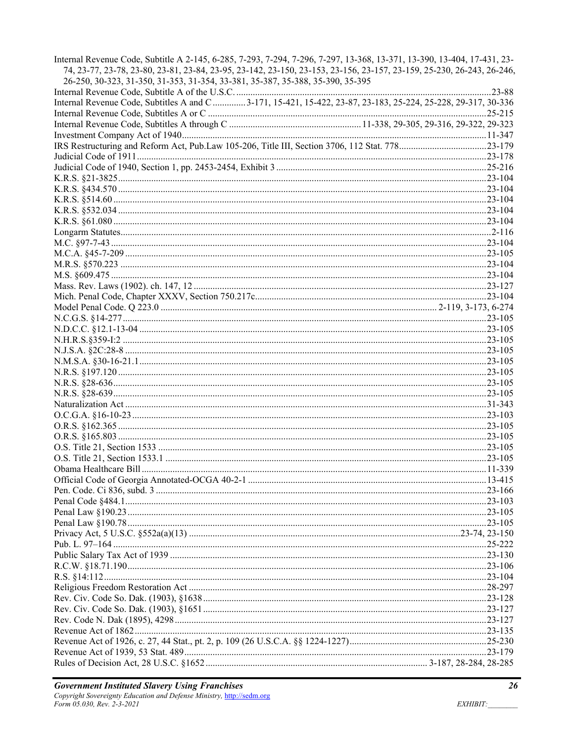| Internal Revenue Code, Subtitle A 2-145, 6-285, 7-293, 7-294, 7-296, 7-297, 13-368, 13-371, 13-390, 13-404, 17-431, 23-<br>74, 23-77, 23-78, 23-80, 23-81, 23-84, 23-95, 23-142, 23-150, 23-153, 23-156, 23-157, 23-159, 25-230, 26-243, 26-246,<br>26-250, 30-323, 31-350, 31-353, 31-354, 33-381, 35-387, 35-388, 35-390, 35-395 |  |
|------------------------------------------------------------------------------------------------------------------------------------------------------------------------------------------------------------------------------------------------------------------------------------------------------------------------------------|--|
|                                                                                                                                                                                                                                                                                                                                    |  |
| Internal Revenue Code, Subtitles A and C 3-171, 15-421, 15-422, 23-87, 23-183, 25-224, 25-228, 29-317, 30-336                                                                                                                                                                                                                      |  |
|                                                                                                                                                                                                                                                                                                                                    |  |
|                                                                                                                                                                                                                                                                                                                                    |  |
|                                                                                                                                                                                                                                                                                                                                    |  |
|                                                                                                                                                                                                                                                                                                                                    |  |
|                                                                                                                                                                                                                                                                                                                                    |  |
|                                                                                                                                                                                                                                                                                                                                    |  |
|                                                                                                                                                                                                                                                                                                                                    |  |
|                                                                                                                                                                                                                                                                                                                                    |  |
|                                                                                                                                                                                                                                                                                                                                    |  |
|                                                                                                                                                                                                                                                                                                                                    |  |
|                                                                                                                                                                                                                                                                                                                                    |  |
|                                                                                                                                                                                                                                                                                                                                    |  |
|                                                                                                                                                                                                                                                                                                                                    |  |
|                                                                                                                                                                                                                                                                                                                                    |  |
|                                                                                                                                                                                                                                                                                                                                    |  |
|                                                                                                                                                                                                                                                                                                                                    |  |
|                                                                                                                                                                                                                                                                                                                                    |  |
|                                                                                                                                                                                                                                                                                                                                    |  |
|                                                                                                                                                                                                                                                                                                                                    |  |
|                                                                                                                                                                                                                                                                                                                                    |  |
|                                                                                                                                                                                                                                                                                                                                    |  |
|                                                                                                                                                                                                                                                                                                                                    |  |
|                                                                                                                                                                                                                                                                                                                                    |  |
|                                                                                                                                                                                                                                                                                                                                    |  |
|                                                                                                                                                                                                                                                                                                                                    |  |
|                                                                                                                                                                                                                                                                                                                                    |  |
|                                                                                                                                                                                                                                                                                                                                    |  |
|                                                                                                                                                                                                                                                                                                                                    |  |
|                                                                                                                                                                                                                                                                                                                                    |  |
|                                                                                                                                                                                                                                                                                                                                    |  |
|                                                                                                                                                                                                                                                                                                                                    |  |
|                                                                                                                                                                                                                                                                                                                                    |  |
|                                                                                                                                                                                                                                                                                                                                    |  |
|                                                                                                                                                                                                                                                                                                                                    |  |
|                                                                                                                                                                                                                                                                                                                                    |  |
|                                                                                                                                                                                                                                                                                                                                    |  |
|                                                                                                                                                                                                                                                                                                                                    |  |
|                                                                                                                                                                                                                                                                                                                                    |  |
|                                                                                                                                                                                                                                                                                                                                    |  |
|                                                                                                                                                                                                                                                                                                                                    |  |
|                                                                                                                                                                                                                                                                                                                                    |  |
|                                                                                                                                                                                                                                                                                                                                    |  |
|                                                                                                                                                                                                                                                                                                                                    |  |
|                                                                                                                                                                                                                                                                                                                                    |  |
|                                                                                                                                                                                                                                                                                                                                    |  |
|                                                                                                                                                                                                                                                                                                                                    |  |
|                                                                                                                                                                                                                                                                                                                                    |  |
|                                                                                                                                                                                                                                                                                                                                    |  |
|                                                                                                                                                                                                                                                                                                                                    |  |
|                                                                                                                                                                                                                                                                                                                                    |  |
|                                                                                                                                                                                                                                                                                                                                    |  |
|                                                                                                                                                                                                                                                                                                                                    |  |
|                                                                                                                                                                                                                                                                                                                                    |  |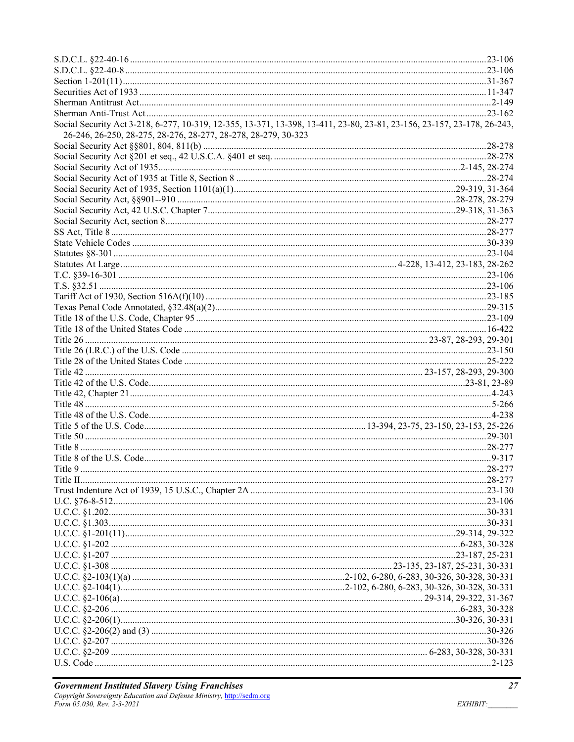| Social Security Act 3-218, 6-277, 10-319, 12-355, 13-371, 13-398, 13-411, 23-80, 23-81, 23-156, 23-157, 23-178, 26-243,<br>26-246, 26-250, 28-275, 28-276, 28-277, 28-278, 28-279, 30-323 |  |
|-------------------------------------------------------------------------------------------------------------------------------------------------------------------------------------------|--|
|                                                                                                                                                                                           |  |
|                                                                                                                                                                                           |  |
|                                                                                                                                                                                           |  |
|                                                                                                                                                                                           |  |
|                                                                                                                                                                                           |  |
|                                                                                                                                                                                           |  |
|                                                                                                                                                                                           |  |
|                                                                                                                                                                                           |  |
|                                                                                                                                                                                           |  |
|                                                                                                                                                                                           |  |
|                                                                                                                                                                                           |  |
|                                                                                                                                                                                           |  |
|                                                                                                                                                                                           |  |
|                                                                                                                                                                                           |  |
|                                                                                                                                                                                           |  |
|                                                                                                                                                                                           |  |
|                                                                                                                                                                                           |  |
|                                                                                                                                                                                           |  |
|                                                                                                                                                                                           |  |
|                                                                                                                                                                                           |  |
|                                                                                                                                                                                           |  |
|                                                                                                                                                                                           |  |
|                                                                                                                                                                                           |  |
|                                                                                                                                                                                           |  |
|                                                                                                                                                                                           |  |
|                                                                                                                                                                                           |  |
|                                                                                                                                                                                           |  |
|                                                                                                                                                                                           |  |
|                                                                                                                                                                                           |  |
|                                                                                                                                                                                           |  |
|                                                                                                                                                                                           |  |
|                                                                                                                                                                                           |  |
|                                                                                                                                                                                           |  |
|                                                                                                                                                                                           |  |
|                                                                                                                                                                                           |  |
|                                                                                                                                                                                           |  |
|                                                                                                                                                                                           |  |
|                                                                                                                                                                                           |  |
|                                                                                                                                                                                           |  |
|                                                                                                                                                                                           |  |
|                                                                                                                                                                                           |  |
|                                                                                                                                                                                           |  |
|                                                                                                                                                                                           |  |
|                                                                                                                                                                                           |  |
|                                                                                                                                                                                           |  |
|                                                                                                                                                                                           |  |
|                                                                                                                                                                                           |  |
|                                                                                                                                                                                           |  |
|                                                                                                                                                                                           |  |
|                                                                                                                                                                                           |  |
|                                                                                                                                                                                           |  |
|                                                                                                                                                                                           |  |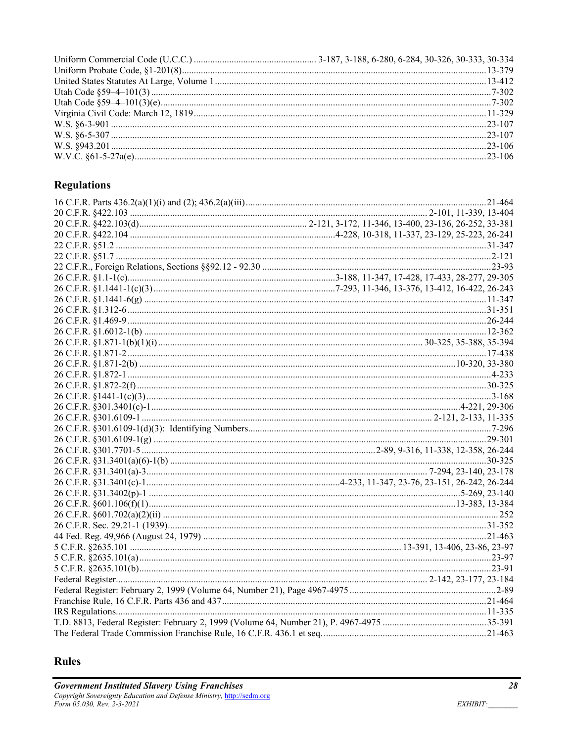## **Regulations**

# **Rules**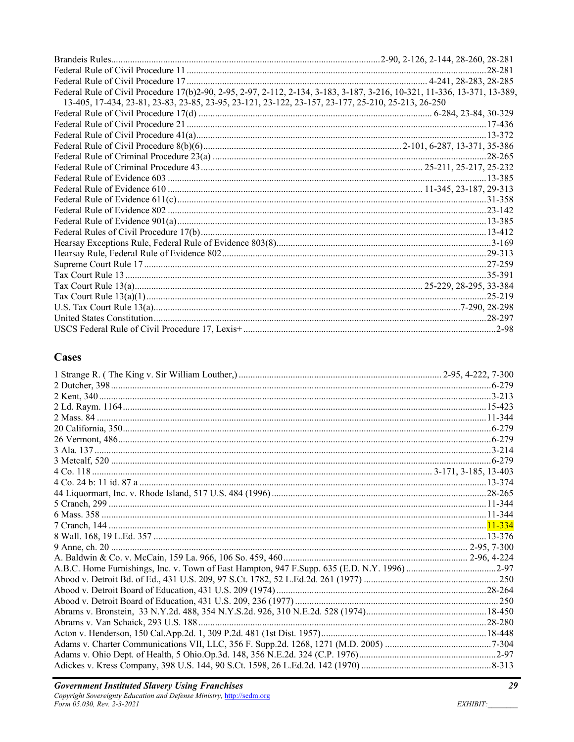|                                                                                                                           | .28-281     |
|---------------------------------------------------------------------------------------------------------------------------|-------------|
|                                                                                                                           |             |
| Federal Rule of Civil Procedure 17(b)2-90, 2-95, 2-97, 2-112, 2-134, 3-183, 3-187, 3-216, 10-321, 11-336, 13-371, 13-389, |             |
| 13-405, 17-434, 23-81, 23-83, 23-85, 23-95, 23-121, 23-122, 23-157, 23-177, 25-210, 25-213, 26-250                        |             |
|                                                                                                                           |             |
|                                                                                                                           |             |
|                                                                                                                           |             |
|                                                                                                                           |             |
|                                                                                                                           | .28-265     |
|                                                                                                                           |             |
|                                                                                                                           |             |
|                                                                                                                           |             |
|                                                                                                                           |             |
|                                                                                                                           |             |
|                                                                                                                           |             |
|                                                                                                                           |             |
|                                                                                                                           |             |
|                                                                                                                           |             |
|                                                                                                                           |             |
|                                                                                                                           |             |
|                                                                                                                           |             |
|                                                                                                                           | $.25 - 219$ |
|                                                                                                                           |             |
|                                                                                                                           |             |
|                                                                                                                           |             |

### **Cases**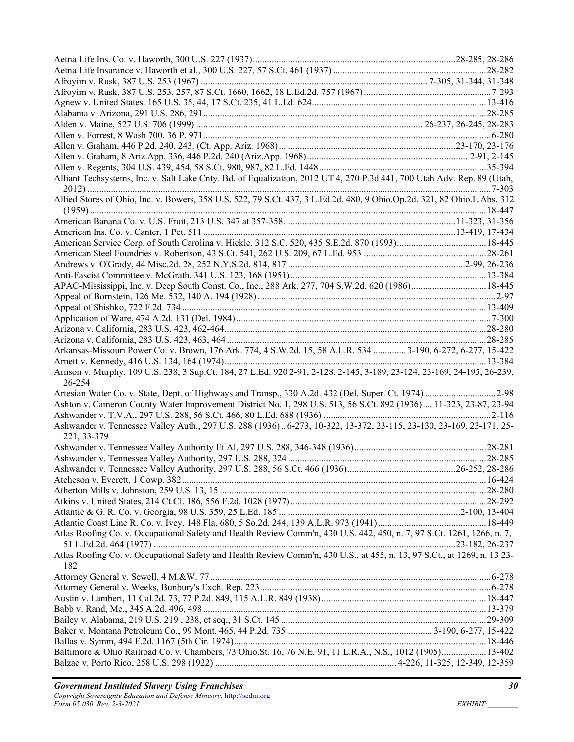| Alliant Techsystems, Inc. v. Salt Lake Cnty. Bd. of Equalization, 2012 UT 4, 270 P.3d 441, 700 Utah Adv. Rep. 89 (Utah,         |  |
|---------------------------------------------------------------------------------------------------------------------------------|--|
|                                                                                                                                 |  |
| Allied Stores of Ohio, Inc. v. Bowers, 358 U.S. 522, 79 S.Ct. 437, 3 L.Ed.2d. 480, 9 Ohio.Op.2d. 321, 82 Ohio.L.Abs. 312        |  |
|                                                                                                                                 |  |
|                                                                                                                                 |  |
|                                                                                                                                 |  |
|                                                                                                                                 |  |
|                                                                                                                                 |  |
|                                                                                                                                 |  |
| APAC-Mississippi, Inc. v. Deep South Const. Co., Inc., 288 Ark. 277, 704 S.W.2d. 620 (1986) 18-445                              |  |
|                                                                                                                                 |  |
|                                                                                                                                 |  |
|                                                                                                                                 |  |
|                                                                                                                                 |  |
|                                                                                                                                 |  |
| Arkansas-Missouri Power Co. v. Brown, 176 Ark. 774, 4 S.W.2d. 15, 58 A.L.R. 534  3-190, 6-272, 6-277, 15-422                    |  |
|                                                                                                                                 |  |
| Arnson v. Murphy, 109 U.S. 238, 3 Sup.Ct. 184, 27 L.Ed. 920 2-91, 2-128, 2-145, 3-189, 23-124, 23-169, 24-195, 26-239,          |  |
| 26-254                                                                                                                          |  |
| Artesian Water Co. v. State, Dept. of Highways and Transp., 330 A.2d. 432 (Del. Super. Ct. 1974) 2-98                           |  |
| Ashton v. Cameron County Water Improvement District No. 1, 298 U.S. 513, 56 S.Ct. 892 (1936) 11-323, 23-87, 23-94               |  |
|                                                                                                                                 |  |
| Ashwander v. Tennessee Valley Auth., 297 U.S. 288 (1936) 6-273, 10-322, 13-372, 23-115, 23-130, 23-169, 23-171, 25-             |  |
| 221, 33-379                                                                                                                     |  |
|                                                                                                                                 |  |
|                                                                                                                                 |  |
|                                                                                                                                 |  |
|                                                                                                                                 |  |
|                                                                                                                                 |  |
|                                                                                                                                 |  |
|                                                                                                                                 |  |
|                                                                                                                                 |  |
|                                                                                                                                 |  |
| Atlas Roofing Co. v. Occupational Safety and Health Review Comm'n, 430 U.S. 442, 450, n. 7, 97 S.Ct. 1261, 1266, n. 7,          |  |
|                                                                                                                                 |  |
| Atlas Roofing Co. v. Occupational Safety and Health Review Comm'n, 430 U.S., at 455, n. 13, 97 S.Ct., at 1269, n. 13 23-<br>182 |  |
|                                                                                                                                 |  |
|                                                                                                                                 |  |
|                                                                                                                                 |  |
|                                                                                                                                 |  |
|                                                                                                                                 |  |
|                                                                                                                                 |  |
|                                                                                                                                 |  |
|                                                                                                                                 |  |
| Baltimore & Ohio Railroad Co. v. Chambers, 73 Ohio.St. 16, 76 N.E. 91, 11 L.R.A., N.S., 1012 (1905)13-402                       |  |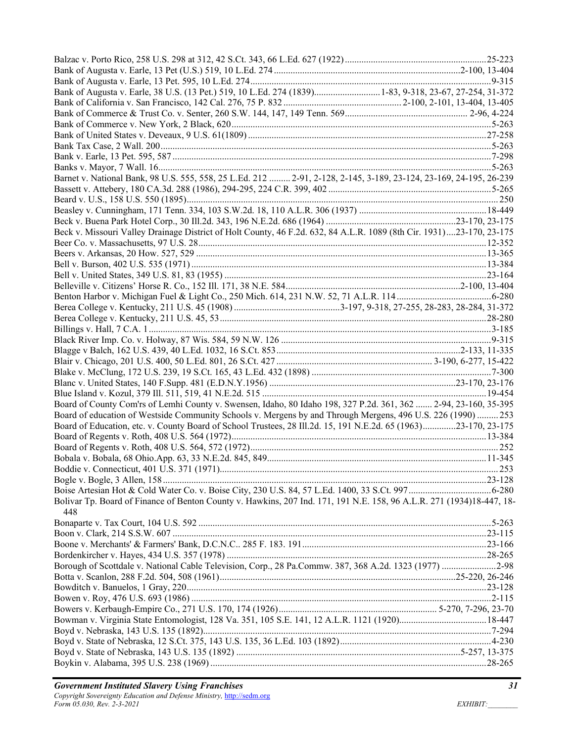| Bank of Augusta v. Earle, 38 U.S. (13 Pet.) 519, 10 L.Ed. 274 (1839) 1-83, 9-318, 23-67, 27-254, 31-372               |  |
|-----------------------------------------------------------------------------------------------------------------------|--|
|                                                                                                                       |  |
|                                                                                                                       |  |
|                                                                                                                       |  |
|                                                                                                                       |  |
|                                                                                                                       |  |
|                                                                                                                       |  |
|                                                                                                                       |  |
| Barnet v. National Bank, 98 U.S. 555, 558, 25 L.Ed. 212  2-91, 2-128, 2-145, 3-189, 23-124, 23-169, 24-195, 26-239    |  |
|                                                                                                                       |  |
|                                                                                                                       |  |
|                                                                                                                       |  |
|                                                                                                                       |  |
| Beck v. Missouri Valley Drainage District of Holt County, 46 F.2d. 632, 84 A.L.R. 1089 (8th Cir. 1931)23-170, 23-175  |  |
|                                                                                                                       |  |
|                                                                                                                       |  |
|                                                                                                                       |  |
|                                                                                                                       |  |
|                                                                                                                       |  |
|                                                                                                                       |  |
|                                                                                                                       |  |
|                                                                                                                       |  |
|                                                                                                                       |  |
|                                                                                                                       |  |
|                                                                                                                       |  |
|                                                                                                                       |  |
|                                                                                                                       |  |
|                                                                                                                       |  |
|                                                                                                                       |  |
|                                                                                                                       |  |
| Board of County Com'rs of Lemhi County v. Swensen, Idaho, 80 Idaho 198, 327 P.2d. 361, 362  2-94, 23-160, 35-395      |  |
| Board of education of Westside Community Schools v. Mergens by and Through Mergens, 496 U.S. 226 (1990)  253          |  |
| Board of Education, etc. v. County Board of School Trustees, 28 Ill.2d. 15, 191 N.E.2d. 65 (1963)23-170, 23-175       |  |
|                                                                                                                       |  |
|                                                                                                                       |  |
|                                                                                                                       |  |
|                                                                                                                       |  |
|                                                                                                                       |  |
|                                                                                                                       |  |
| Bolivar Tp. Board of Finance of Benton County v. Hawkins, 207 Ind. 171, 191 N.E. 158, 96 A.L.R. 271 (1934)18-447, 18- |  |
| 448                                                                                                                   |  |
|                                                                                                                       |  |
|                                                                                                                       |  |
|                                                                                                                       |  |
|                                                                                                                       |  |
| Borough of Scottdale v. National Cable Television, Corp., 28 Pa.Commw. 387, 368 A.2d. 1323 (1977) 2-98                |  |
|                                                                                                                       |  |
|                                                                                                                       |  |
|                                                                                                                       |  |
|                                                                                                                       |  |
|                                                                                                                       |  |
|                                                                                                                       |  |
|                                                                                                                       |  |
|                                                                                                                       |  |
|                                                                                                                       |  |
|                                                                                                                       |  |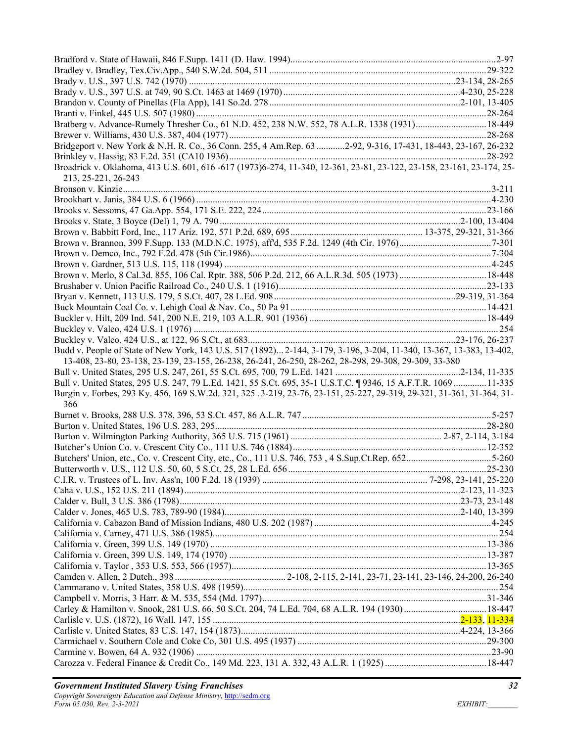| Bratberg v. Advance-Rumely Thresher Co., 61 N.D. 452, 238 N.W. 552, 78 A.L.R. 1338 (1931) 18-449                              |  |
|-------------------------------------------------------------------------------------------------------------------------------|--|
|                                                                                                                               |  |
| Bridgeport v. New York & N.H. R. Co., 36 Conn. 255, 4 Am.Rep. 63 2-92, 9-316, 17-431, 18-443, 23-167, 26-232                  |  |
|                                                                                                                               |  |
| Broadrick v. Oklahoma, 413 U.S. 601, 616 -617 (1973)6-274, 11-340, 12-361, 23-81, 23-122, 23-158, 23-161, 23-174, 25-         |  |
| 213, 25-221, 26-243                                                                                                           |  |
|                                                                                                                               |  |
|                                                                                                                               |  |
|                                                                                                                               |  |
|                                                                                                                               |  |
|                                                                                                                               |  |
|                                                                                                                               |  |
|                                                                                                                               |  |
|                                                                                                                               |  |
|                                                                                                                               |  |
|                                                                                                                               |  |
|                                                                                                                               |  |
|                                                                                                                               |  |
|                                                                                                                               |  |
|                                                                                                                               |  |
|                                                                                                                               |  |
| Budd v. People of State of New York, 143 U.S. 517 (1892) 2-144, 3-179, 3-196, 3-204, 11-340, 13-367, 13-383, 13-402,          |  |
| 13-408, 23-80, 23-138, 23-139, 23-155, 26-238, 26-241, 26-250, 28-262, 28-298, 29-308, 29-309, 33-380                         |  |
|                                                                                                                               |  |
|                                                                                                                               |  |
|                                                                                                                               |  |
| Bull v. United States, 295 U.S. 247, 79 L.Ed. 1421, 55 S.Ct. 695, 35-1 U.S.T.C. 19346, 15 A.F.T.R. 1069 11-335                |  |
| Burgin v. Forbes, 293 Ky. 456, 169 S.W.2d. 321, 325 .3-219, 23-76, 23-151, 25-227, 29-319, 29-321, 31-361, 31-364, 31-<br>366 |  |
|                                                                                                                               |  |
|                                                                                                                               |  |
|                                                                                                                               |  |
|                                                                                                                               |  |
| Butchers' Union, etc., Co. v. Crescent City, etc., Co., 111 U.S. 746, 753, 4 S.Sup.Ct.Rep. 6525-260                           |  |
|                                                                                                                               |  |
|                                                                                                                               |  |
|                                                                                                                               |  |
|                                                                                                                               |  |
|                                                                                                                               |  |
|                                                                                                                               |  |
|                                                                                                                               |  |
|                                                                                                                               |  |
|                                                                                                                               |  |
|                                                                                                                               |  |
|                                                                                                                               |  |
|                                                                                                                               |  |
|                                                                                                                               |  |
| Carley & Hamilton v. Snook, 281 U.S. 66, 50 S.Ct. 204, 74 L.Ed. 704, 68 A.L.R. 194 (1930)  18-447                             |  |
|                                                                                                                               |  |
|                                                                                                                               |  |
|                                                                                                                               |  |
|                                                                                                                               |  |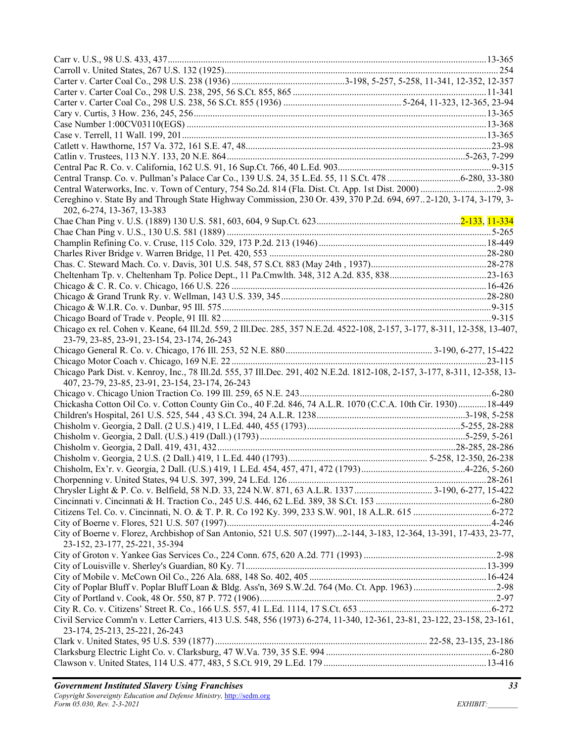| Central Transp. Co. v. Pullman's Palace Car Co., 139 U.S. 24, 35 L.Ed. 55, 11 S.Ct. 478 6-280, 33-380                                                                     |  |
|---------------------------------------------------------------------------------------------------------------------------------------------------------------------------|--|
|                                                                                                                                                                           |  |
| Cereghino v. State By and Through State Highway Commission, 230 Or. 439, 370 P.2d. 694, 6972-120, 3-174, 3-179, 3-<br>202, 6-274, 13-367, 13-383                          |  |
|                                                                                                                                                                           |  |
|                                                                                                                                                                           |  |
|                                                                                                                                                                           |  |
|                                                                                                                                                                           |  |
|                                                                                                                                                                           |  |
|                                                                                                                                                                           |  |
|                                                                                                                                                                           |  |
|                                                                                                                                                                           |  |
|                                                                                                                                                                           |  |
|                                                                                                                                                                           |  |
| Chicago ex rel. Cohen v. Keane, 64 Ill.2d. 559, 2 Ill.Dec. 285, 357 N.E.2d. 4522-108, 2-157, 3-177, 8-311, 12-358, 13-407,<br>23-79, 23-85, 23-91, 23-154, 23-174, 26-243 |  |
|                                                                                                                                                                           |  |
|                                                                                                                                                                           |  |
| Chicago Park Dist. v. Kenroy, Inc., 78 Ill.2d. 555, 37 Ill.Dec. 291, 402 N.E.2d. 1812-108, 2-157, 3-177, 8-311, 12-358, 13-                                               |  |
| 407, 23-79, 23-85, 23-91, 23-154, 23-174, 26-243                                                                                                                          |  |
|                                                                                                                                                                           |  |
| Chickasha Cotton Oil Co. v. Cotton County Gin Co., 40 F.2d. 846, 74 A.L.R. 1070 (C.C.A. 10th Cir. 1930)18-449                                                             |  |
|                                                                                                                                                                           |  |
|                                                                                                                                                                           |  |
|                                                                                                                                                                           |  |
|                                                                                                                                                                           |  |
|                                                                                                                                                                           |  |
|                                                                                                                                                                           |  |
|                                                                                                                                                                           |  |
|                                                                                                                                                                           |  |
|                                                                                                                                                                           |  |
|                                                                                                                                                                           |  |
|                                                                                                                                                                           |  |
| City of Boerne v. Florez, Archbishop of San Antonio, 521 U.S. 507 (1997)2-144, 3-183, 12-364, 13-391, 17-433, 23-77,<br>23-152, 23-177, 25-221, 35-394                    |  |
|                                                                                                                                                                           |  |
|                                                                                                                                                                           |  |
|                                                                                                                                                                           |  |
|                                                                                                                                                                           |  |
|                                                                                                                                                                           |  |
|                                                                                                                                                                           |  |
| Civil Service Comm'n v. Letter Carriers, 413 U.S. 548, 556 (1973) 6-274, 11-340, 12-361, 23-81, 23-122, 23-158, 23-161,                                                   |  |
| 23-174, 25-213, 25-221, 26-243                                                                                                                                            |  |
|                                                                                                                                                                           |  |
|                                                                                                                                                                           |  |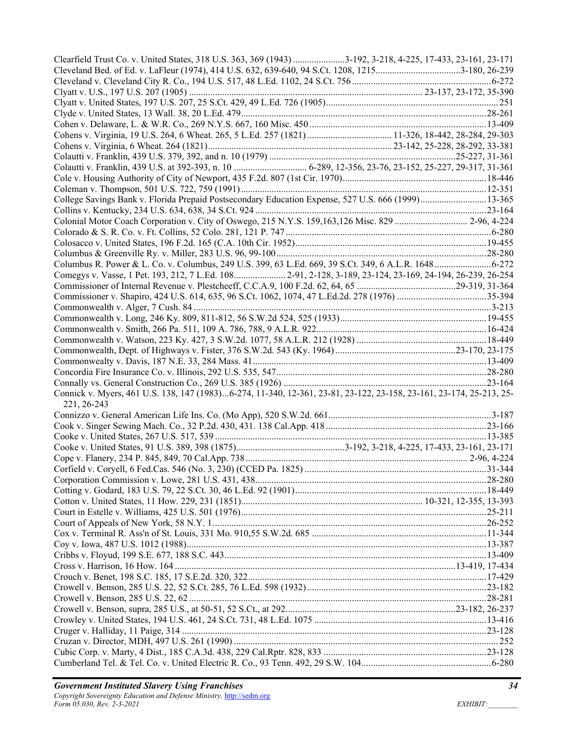| Clearfield Trust Co. v. United States, 318 U.S. 363, 369 (1943) 3-192, 3-218, 4-225, 17-433, 23-161, 23-171         |  |
|---------------------------------------------------------------------------------------------------------------------|--|
|                                                                                                                     |  |
|                                                                                                                     |  |
|                                                                                                                     |  |
|                                                                                                                     |  |
|                                                                                                                     |  |
|                                                                                                                     |  |
|                                                                                                                     |  |
|                                                                                                                     |  |
|                                                                                                                     |  |
|                                                                                                                     |  |
|                                                                                                                     |  |
| College Savings Bank v. Florida Prepaid Postsecondary Education Expense, 527 U.S. 666 (1999)13-365                  |  |
|                                                                                                                     |  |
| Colonial Motor Coach Corporation v. City of Oswego, 215 N.Y.S. 159,163,126 Misc. 829  2-96, 4-224                   |  |
|                                                                                                                     |  |
|                                                                                                                     |  |
|                                                                                                                     |  |
|                                                                                                                     |  |
| Comegys v. Vasse, 1 Pet. 193, 212, 7 L.Ed. 108 2-91, 2-128, 3-189, 23-124, 23-169, 24-194, 26-239, 26-254           |  |
|                                                                                                                     |  |
|                                                                                                                     |  |
|                                                                                                                     |  |
|                                                                                                                     |  |
|                                                                                                                     |  |
|                                                                                                                     |  |
|                                                                                                                     |  |
|                                                                                                                     |  |
|                                                                                                                     |  |
| Connick v. Myers, 461 U.S. 138, 147 (1983)6-274, 11-340, 12-361, 23-81, 23-122, 23-158, 23-161, 23-174, 25-213, 25- |  |
| 221, 26-243                                                                                                         |  |
|                                                                                                                     |  |
|                                                                                                                     |  |
|                                                                                                                     |  |
|                                                                                                                     |  |
|                                                                                                                     |  |
|                                                                                                                     |  |
|                                                                                                                     |  |
|                                                                                                                     |  |
|                                                                                                                     |  |
|                                                                                                                     |  |
|                                                                                                                     |  |
|                                                                                                                     |  |
|                                                                                                                     |  |
|                                                                                                                     |  |
|                                                                                                                     |  |
|                                                                                                                     |  |
|                                                                                                                     |  |
|                                                                                                                     |  |
|                                                                                                                     |  |
|                                                                                                                     |  |
|                                                                                                                     |  |
|                                                                                                                     |  |
|                                                                                                                     |  |
|                                                                                                                     |  |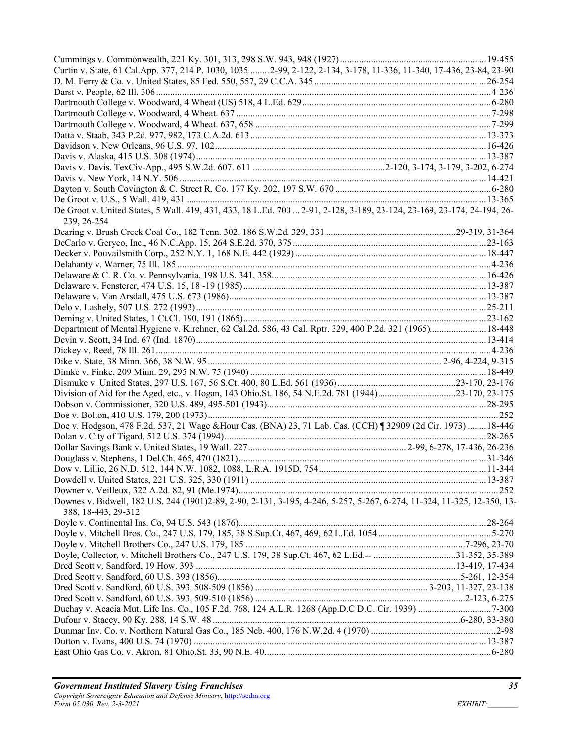| Curtin v. State, 61 Cal.App. 377, 214 P. 1030, 1035  2-99, 2-122, 2-134, 3-178, 11-336, 11-340, 17-436, 23-84, 23-90                           |  |
|------------------------------------------------------------------------------------------------------------------------------------------------|--|
|                                                                                                                                                |  |
|                                                                                                                                                |  |
|                                                                                                                                                |  |
|                                                                                                                                                |  |
|                                                                                                                                                |  |
|                                                                                                                                                |  |
|                                                                                                                                                |  |
|                                                                                                                                                |  |
|                                                                                                                                                |  |
|                                                                                                                                                |  |
|                                                                                                                                                |  |
|                                                                                                                                                |  |
|                                                                                                                                                |  |
| De Groot v. United States, 5 Wall. 419, 431, 433, 18 L.Ed. 700  2-91, 2-128, 3-189, 23-124, 23-169, 23-174, 24-194, 26-<br>239, 26-254         |  |
|                                                                                                                                                |  |
|                                                                                                                                                |  |
|                                                                                                                                                |  |
|                                                                                                                                                |  |
|                                                                                                                                                |  |
|                                                                                                                                                |  |
|                                                                                                                                                |  |
|                                                                                                                                                |  |
|                                                                                                                                                |  |
|                                                                                                                                                |  |
| Department of Mental Hygiene v. Kirchner, 62 Cal.2d. 586, 43 Cal. Rptr. 329, 400 P.2d. 321 (1965) 18-448                                       |  |
|                                                                                                                                                |  |
|                                                                                                                                                |  |
|                                                                                                                                                |  |
|                                                                                                                                                |  |
|                                                                                                                                                |  |
|                                                                                                                                                |  |
|                                                                                                                                                |  |
|                                                                                                                                                |  |
| Doe v. Hodgson, 478 F.2d. 537, 21 Wage &Hour Cas. (BNA) 23, 71 Lab. Cas. (CCH) 132909 (2d Cir. 1973)  18-446                                   |  |
|                                                                                                                                                |  |
|                                                                                                                                                |  |
|                                                                                                                                                |  |
|                                                                                                                                                |  |
|                                                                                                                                                |  |
|                                                                                                                                                |  |
| Downes v. Bidwell, 182 U.S. 244 (1901)2-89, 2-90, 2-131, 3-195, 4-246, 5-257, 5-267, 6-274, 11-324, 11-325, 12-350, 13-<br>388, 18-443, 29-312 |  |
|                                                                                                                                                |  |
|                                                                                                                                                |  |
|                                                                                                                                                |  |
| Doyle, Collector, v. Mitchell Brothers Co., 247 U.S. 179, 38 Sup.Ct. 467, 62 L.Ed.-- 31-352, 35-389                                            |  |
|                                                                                                                                                |  |
|                                                                                                                                                |  |
|                                                                                                                                                |  |
|                                                                                                                                                |  |
|                                                                                                                                                |  |
|                                                                                                                                                |  |
|                                                                                                                                                |  |
|                                                                                                                                                |  |
|                                                                                                                                                |  |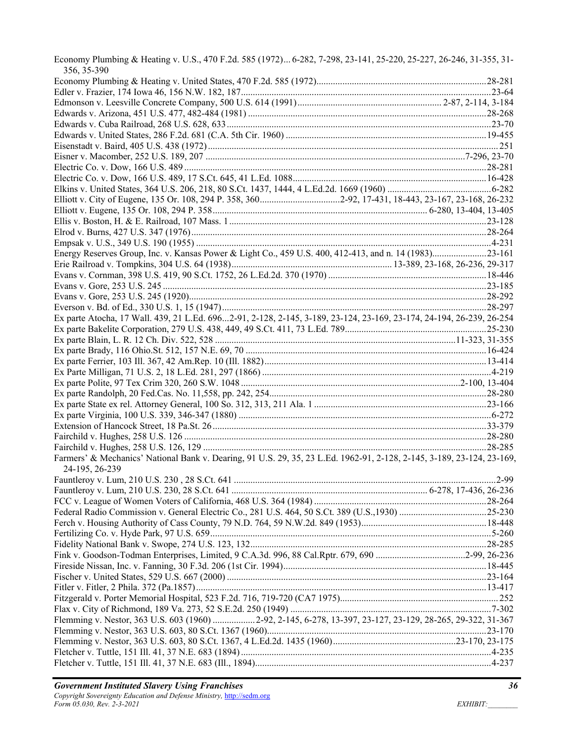| Economy Plumbing & Heating v. U.S., 470 F.2d. 585 (1972) 6-282, 7-298, 23-141, 25-220, 25-227, 26-246, 31-355, 31-<br>356, 35-390 |  |
|-----------------------------------------------------------------------------------------------------------------------------------|--|
|                                                                                                                                   |  |
|                                                                                                                                   |  |
|                                                                                                                                   |  |
|                                                                                                                                   |  |
|                                                                                                                                   |  |
|                                                                                                                                   |  |
|                                                                                                                                   |  |
|                                                                                                                                   |  |
|                                                                                                                                   |  |
|                                                                                                                                   |  |
|                                                                                                                                   |  |
|                                                                                                                                   |  |
|                                                                                                                                   |  |
|                                                                                                                                   |  |
|                                                                                                                                   |  |
|                                                                                                                                   |  |
| Energy Reserves Group, Inc. v. Kansas Power & Light Co., 459 U.S. 400, 412-413, and n. 14 (1983)23-161                            |  |
|                                                                                                                                   |  |
|                                                                                                                                   |  |
|                                                                                                                                   |  |
|                                                                                                                                   |  |
| Ex parte Atocha, 17 Wall. 439, 21 L.Ed. 6962-91, 2-128, 2-145, 3-189, 23-124, 23-169, 23-174, 24-194, 26-239, 26-254              |  |
|                                                                                                                                   |  |
|                                                                                                                                   |  |
|                                                                                                                                   |  |
|                                                                                                                                   |  |
|                                                                                                                                   |  |
|                                                                                                                                   |  |
|                                                                                                                                   |  |
|                                                                                                                                   |  |
|                                                                                                                                   |  |
|                                                                                                                                   |  |
|                                                                                                                                   |  |
|                                                                                                                                   |  |
| Farmers' & Mechanics' National Bank v. Dearing, 91 U.S. 29, 35, 23 L.Ed. 1962-91, 2-128, 2-145, 3-189, 23-124, 23-169,            |  |
| 24-195, 26-239                                                                                                                    |  |
|                                                                                                                                   |  |
|                                                                                                                                   |  |
|                                                                                                                                   |  |
|                                                                                                                                   |  |
|                                                                                                                                   |  |
|                                                                                                                                   |  |
|                                                                                                                                   |  |
|                                                                                                                                   |  |
|                                                                                                                                   |  |
|                                                                                                                                   |  |
|                                                                                                                                   |  |
|                                                                                                                                   |  |
|                                                                                                                                   |  |
| Flemming v. Nestor, 363 U.S. 603 (1960) 2-92, 2-145, 6-278, 13-397, 23-127, 23-129, 28-265, 29-322, 31-367                        |  |
|                                                                                                                                   |  |
|                                                                                                                                   |  |
|                                                                                                                                   |  |
|                                                                                                                                   |  |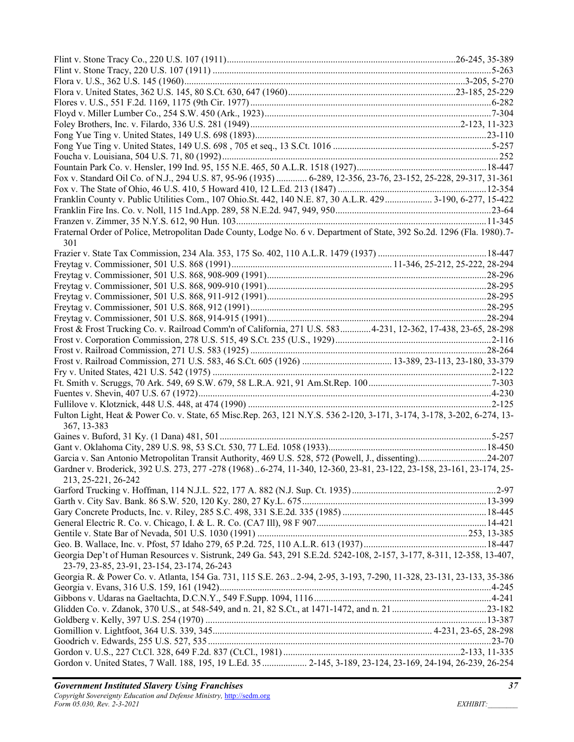| Fox v. Standard Oil Co. of N.J., 294 U.S. 87, 95-96 (1935)  6-289, 12-356, 23-76, 23-152, 25-228, 29-317, 31-361                                                     |
|----------------------------------------------------------------------------------------------------------------------------------------------------------------------|
|                                                                                                                                                                      |
| Franklin County v. Public Utilities Com., 107 Ohio.St. 442, 140 N.E. 87, 30 A.L.R. 429  3-190, 6-277, 15-422                                                         |
|                                                                                                                                                                      |
|                                                                                                                                                                      |
| Fraternal Order of Police, Metropolitan Dade County, Lodge No. 6 v. Department of State, 392 So.2d. 1296 (Fla. 1980).7-<br>301                                       |
|                                                                                                                                                                      |
|                                                                                                                                                                      |
|                                                                                                                                                                      |
|                                                                                                                                                                      |
|                                                                                                                                                                      |
|                                                                                                                                                                      |
|                                                                                                                                                                      |
| Frost & Frost Trucking Co. v. Railroad Comm'n of California, 271 U.S. 5834-231, 12-362, 17-438, 23-65, 28-298                                                        |
|                                                                                                                                                                      |
|                                                                                                                                                                      |
|                                                                                                                                                                      |
|                                                                                                                                                                      |
|                                                                                                                                                                      |
|                                                                                                                                                                      |
|                                                                                                                                                                      |
| Fulton Light, Heat & Power Co. v. State, 65 Misc.Rep. 263, 121 N.Y.S. 536 2-120, 3-171, 3-174, 3-178, 3-202, 6-274, 13-<br>367, 13-383                               |
|                                                                                                                                                                      |
|                                                                                                                                                                      |
| Garcia v. San Antonio Metropolitan Transit Authority, 469 U.S. 528, 572 (Powell, J., dissenting)24-207                                                               |
| Gardner v. Broderick, 392 U.S. 273, 277 -278 (1968) 6-274, 11-340, 12-360, 23-81, 23-122, 23-158, 23-161, 23-174, 25-<br>213, 25-221, 26-242                         |
|                                                                                                                                                                      |
|                                                                                                                                                                      |
|                                                                                                                                                                      |
|                                                                                                                                                                      |
|                                                                                                                                                                      |
|                                                                                                                                                                      |
| Georgia Dep't of Human Resources v. Sistrunk, 249 Ga. 543, 291 S.E.2d. 5242-108, 2-157, 3-177, 8-311, 12-358, 13-407,<br>23-79, 23-85, 23-91, 23-154, 23-174, 26-243 |
| Georgia R. & Power Co. v. Atlanta, 154 Ga. 731, 115 S.E. 2632-94, 2-95, 3-193, 7-290, 11-328, 23-131, 23-133, 35-386                                                 |
|                                                                                                                                                                      |
|                                                                                                                                                                      |
|                                                                                                                                                                      |
|                                                                                                                                                                      |
|                                                                                                                                                                      |
|                                                                                                                                                                      |
|                                                                                                                                                                      |
| Gordon v. United States, 7 Wall. 188, 195, 19 L.Ed. 35  2-145, 3-189, 23-124, 23-169, 24-194, 26-239, 26-254                                                         |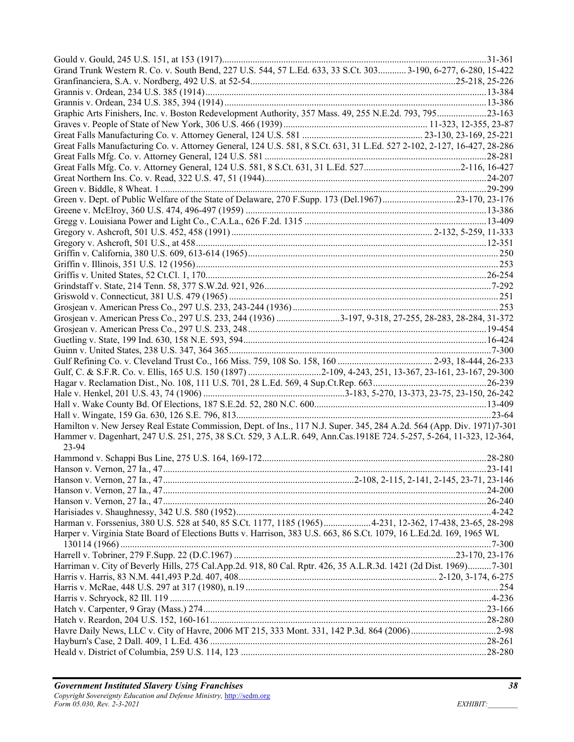| Grand Trunk Western R. Co. v. South Bend, 227 U.S. 544, 57 L.Ed. 633, 33 S.Ct. 303 3-190, 6-277, 6-280, 15-422          |  |
|-------------------------------------------------------------------------------------------------------------------------|--|
|                                                                                                                         |  |
|                                                                                                                         |  |
|                                                                                                                         |  |
| Graphic Arts Finishers, Inc. v. Boston Redevelopment Authority, 357 Mass. 49, 255 N.E.2d. 793, 79523-163                |  |
|                                                                                                                         |  |
|                                                                                                                         |  |
| Great Falls Manufacturing Co. v. Attorney General, 124 U.S. 581, 8 S.Ct. 631, 31 L.Ed. 527 2-102, 2-127, 16-427, 28-286 |  |
|                                                                                                                         |  |
|                                                                                                                         |  |
|                                                                                                                         |  |
|                                                                                                                         |  |
| Green v. Dept. of Public Welfare of the State of Delaware, 270 F.Supp. 173 (Del.1967)23-170, 23-176                     |  |
|                                                                                                                         |  |
|                                                                                                                         |  |
|                                                                                                                         |  |
|                                                                                                                         |  |
|                                                                                                                         |  |
|                                                                                                                         |  |
|                                                                                                                         |  |
|                                                                                                                         |  |
|                                                                                                                         |  |
|                                                                                                                         |  |
|                                                                                                                         |  |
| Grosjean v. American Press Co., 297 U.S. 233, 244 (1936) 3-197, 9-318, 27-255, 28-283, 28-284, 31-372                   |  |
|                                                                                                                         |  |
|                                                                                                                         |  |
|                                                                                                                         |  |
|                                                                                                                         |  |
|                                                                                                                         |  |
|                                                                                                                         |  |
|                                                                                                                         |  |
|                                                                                                                         |  |
|                                                                                                                         |  |
| Hamilton v. New Jersey Real Estate Commission, Dept. of Ins., 117 N.J. Super. 345, 284 A.2d. 564 (App. Div. 1971)7-301  |  |
| Hammer v. Dagenhart, 247 U.S. 251, 275, 38 S.Ct. 529, 3 A.L.R. 649, Ann.Cas.1918E 724.5-257, 5-264, 11-323, 12-364,     |  |
| 23-94                                                                                                                   |  |
|                                                                                                                         |  |
|                                                                                                                         |  |
|                                                                                                                         |  |
|                                                                                                                         |  |
|                                                                                                                         |  |
|                                                                                                                         |  |
| Harman v. Forssenius, 380 U.S. 528 at 540, 85 S.Ct. 1177, 1185 (1965)4-231, 12-362, 17-438, 23-65, 28-298               |  |
| Harper v. Virginia State Board of Elections Butts v. Harrison, 383 U.S. 663, 86 S.Ct. 1079, 16 L.Ed.2d. 169, 1965 WL    |  |
|                                                                                                                         |  |
|                                                                                                                         |  |
| Harriman v. City of Beverly Hills, 275 Cal.App.2d. 918, 80 Cal. Rptr. 426, 35 A.L.R.3d. 1421 (2d Dist. 1969)7-301       |  |
|                                                                                                                         |  |
|                                                                                                                         |  |
|                                                                                                                         |  |
|                                                                                                                         |  |
|                                                                                                                         |  |
|                                                                                                                         |  |
|                                                                                                                         |  |
|                                                                                                                         |  |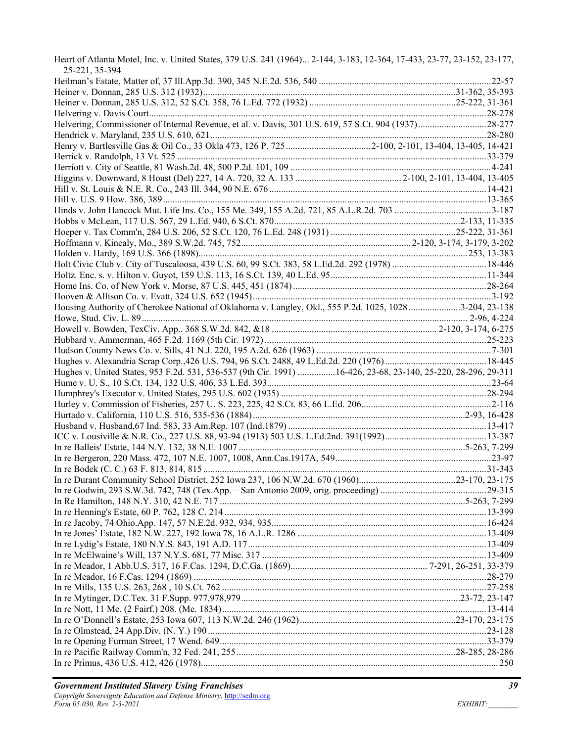| Heart of Atlanta Motel, Inc. v. United States, 379 U.S. 241 (1964) 2-144, 3-183, 12-364, 17-433, 23-77, 23-152, 23-177,<br>25-221, 35-394 |  |
|-------------------------------------------------------------------------------------------------------------------------------------------|--|
|                                                                                                                                           |  |
|                                                                                                                                           |  |
|                                                                                                                                           |  |
|                                                                                                                                           |  |
|                                                                                                                                           |  |
|                                                                                                                                           |  |
|                                                                                                                                           |  |
|                                                                                                                                           |  |
|                                                                                                                                           |  |
|                                                                                                                                           |  |
|                                                                                                                                           |  |
|                                                                                                                                           |  |
|                                                                                                                                           |  |
|                                                                                                                                           |  |
|                                                                                                                                           |  |
|                                                                                                                                           |  |
|                                                                                                                                           |  |
|                                                                                                                                           |  |
|                                                                                                                                           |  |
|                                                                                                                                           |  |
|                                                                                                                                           |  |
|                                                                                                                                           |  |
| Housing Authority of Cherokee National of Oklahoma v. Langley, Okl., 555 P.2d. 1025, 1028 3-204, 23-138                                   |  |
|                                                                                                                                           |  |
|                                                                                                                                           |  |
|                                                                                                                                           |  |
|                                                                                                                                           |  |
|                                                                                                                                           |  |
| Hughes v. United States, 953 F.2d. 531, 536-537 (9th Cir. 1991) 16-426, 23-68, 23-140, 25-220, 28-296, 29-311                             |  |
|                                                                                                                                           |  |
|                                                                                                                                           |  |
|                                                                                                                                           |  |
|                                                                                                                                           |  |
|                                                                                                                                           |  |
|                                                                                                                                           |  |
|                                                                                                                                           |  |
|                                                                                                                                           |  |
|                                                                                                                                           |  |
| In re Durant Community School District, 252 Iowa 237, 106 N.W.2d. 670 (1960)23-170, 23-175                                                |  |
|                                                                                                                                           |  |
|                                                                                                                                           |  |
|                                                                                                                                           |  |
|                                                                                                                                           |  |
|                                                                                                                                           |  |
|                                                                                                                                           |  |
|                                                                                                                                           |  |
|                                                                                                                                           |  |
|                                                                                                                                           |  |
|                                                                                                                                           |  |
|                                                                                                                                           |  |
|                                                                                                                                           |  |
|                                                                                                                                           |  |
|                                                                                                                                           |  |
|                                                                                                                                           |  |
|                                                                                                                                           |  |
|                                                                                                                                           |  |
|                                                                                                                                           |  |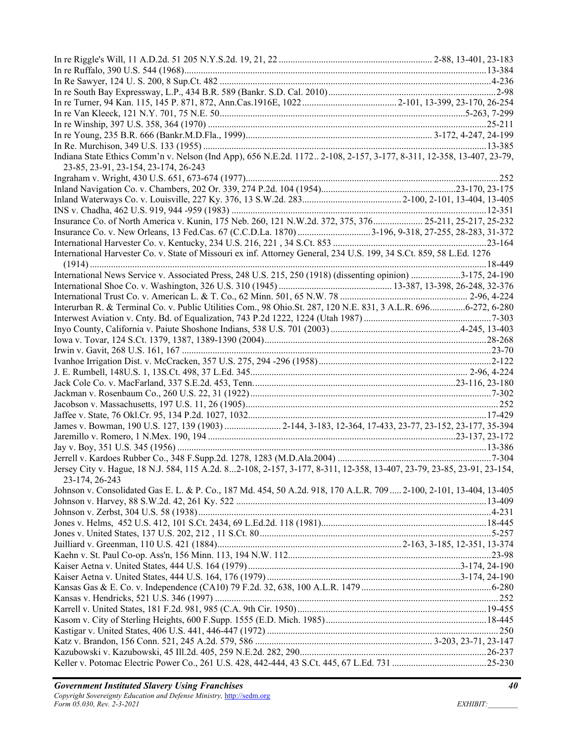| Indiana State Ethics Comm'n v. Nelson (Ind App), 656 N.E.2d. 1172 2-108, 2-157, 3-177, 8-311, 12-358, 13-407, 23-79,   |  |
|------------------------------------------------------------------------------------------------------------------------|--|
| 23-85, 23-91, 23-154, 23-174, 26-243                                                                                   |  |
|                                                                                                                        |  |
|                                                                                                                        |  |
|                                                                                                                        |  |
|                                                                                                                        |  |
|                                                                                                                        |  |
| Insurance Co. of North America v. Kunin, 175 Neb. 260, 121 N.W.2d. 372, 375, 376 25-211, 25-217, 25-232                |  |
|                                                                                                                        |  |
|                                                                                                                        |  |
| International Harvester Co. v. State of Missouri ex inf. Attorney General, 234 U.S. 199, 34 S.Ct. 859, 58 L.Ed. 1276   |  |
|                                                                                                                        |  |
| International News Service v. Associated Press, 248 U.S. 215, 250 (1918) (dissenting opinion) 3-175, 24-190            |  |
|                                                                                                                        |  |
|                                                                                                                        |  |
| Interurban R. & Terminal Co. v. Public Utilities Com., 98 Ohio.St. 287, 120 N.E. 831, 3 A.L.R. 6966-272, 6-280         |  |
|                                                                                                                        |  |
|                                                                                                                        |  |
|                                                                                                                        |  |
|                                                                                                                        |  |
|                                                                                                                        |  |
|                                                                                                                        |  |
|                                                                                                                        |  |
|                                                                                                                        |  |
|                                                                                                                        |  |
|                                                                                                                        |  |
|                                                                                                                        |  |
| James v. Bowman, 190 U.S. 127, 139 (1903)  2-144, 3-183, 12-364, 17-433, 23-77, 23-152, 23-177, 35-394                 |  |
|                                                                                                                        |  |
|                                                                                                                        |  |
|                                                                                                                        |  |
| Jersey City v. Hague, 18 N.J. 584, 115 A.2d. 82-108, 2-157, 3-177, 8-311, 12-358, 13-407, 23-79, 23-85, 23-91, 23-154, |  |
| 23-174, 26-243                                                                                                         |  |
| Johnson v. Consolidated Gas E. L. & P. Co., 187 Md. 454, 50 A.2d. 918, 170 A.L.R. 709  2-100, 2-101, 13-404, 13-405    |  |
|                                                                                                                        |  |
|                                                                                                                        |  |
|                                                                                                                        |  |
|                                                                                                                        |  |
|                                                                                                                        |  |
|                                                                                                                        |  |
|                                                                                                                        |  |
|                                                                                                                        |  |
|                                                                                                                        |  |
|                                                                                                                        |  |
|                                                                                                                        |  |
|                                                                                                                        |  |
|                                                                                                                        |  |
|                                                                                                                        |  |
|                                                                                                                        |  |
|                                                                                                                        |  |
|                                                                                                                        |  |
|                                                                                                                        |  |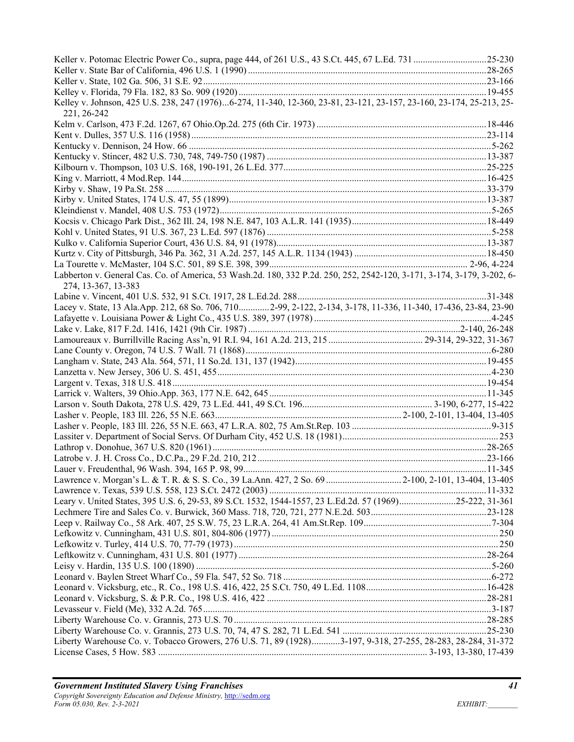| Kelley v. Johnson, 425 U.S. 238, 247 (1976)6-274, 11-340, 12-360, 23-81, 23-121, 23-157, 23-160, 23-174, 25-213, 25-<br>221, 26-242            |  |
|------------------------------------------------------------------------------------------------------------------------------------------------|--|
|                                                                                                                                                |  |
|                                                                                                                                                |  |
|                                                                                                                                                |  |
|                                                                                                                                                |  |
|                                                                                                                                                |  |
|                                                                                                                                                |  |
|                                                                                                                                                |  |
|                                                                                                                                                |  |
|                                                                                                                                                |  |
|                                                                                                                                                |  |
|                                                                                                                                                |  |
|                                                                                                                                                |  |
|                                                                                                                                                |  |
|                                                                                                                                                |  |
| Labberton v. General Cas. Co. of America, 53 Wash.2d. 180, 332 P.2d. 250, 252, 2542-120, 3-171, 3-174, 3-179, 3-202, 6-<br>274, 13-367, 13-383 |  |
|                                                                                                                                                |  |
| Lacey v. State, 13 Ala.App. 212, 68 So. 706, 7102-99, 2-122, 2-134, 3-178, 11-336, 11-340, 17-436, 23-84, 23-90                                |  |
|                                                                                                                                                |  |
|                                                                                                                                                |  |
|                                                                                                                                                |  |
|                                                                                                                                                |  |
|                                                                                                                                                |  |
|                                                                                                                                                |  |
|                                                                                                                                                |  |
|                                                                                                                                                |  |
|                                                                                                                                                |  |
|                                                                                                                                                |  |
|                                                                                                                                                |  |
|                                                                                                                                                |  |
|                                                                                                                                                |  |
|                                                                                                                                                |  |
|                                                                                                                                                |  |
|                                                                                                                                                |  |
|                                                                                                                                                |  |
| Leary v. United States, 395 U.S. 6, 29-53, 89 S.Ct. 1532, 1544-1557, 23 L.Ed.2d. 57 (1969)25-222, 31-361                                       |  |
|                                                                                                                                                |  |
|                                                                                                                                                |  |
|                                                                                                                                                |  |
|                                                                                                                                                |  |
|                                                                                                                                                |  |
|                                                                                                                                                |  |
|                                                                                                                                                |  |
|                                                                                                                                                |  |
|                                                                                                                                                |  |
|                                                                                                                                                |  |
|                                                                                                                                                |  |
|                                                                                                                                                |  |
| Liberty Warehouse Co. v. Tobacco Growers, 276 U.S. 71, 89 (1928)3-197, 9-318, 27-255, 28-283, 28-284, 31-372                                   |  |
|                                                                                                                                                |  |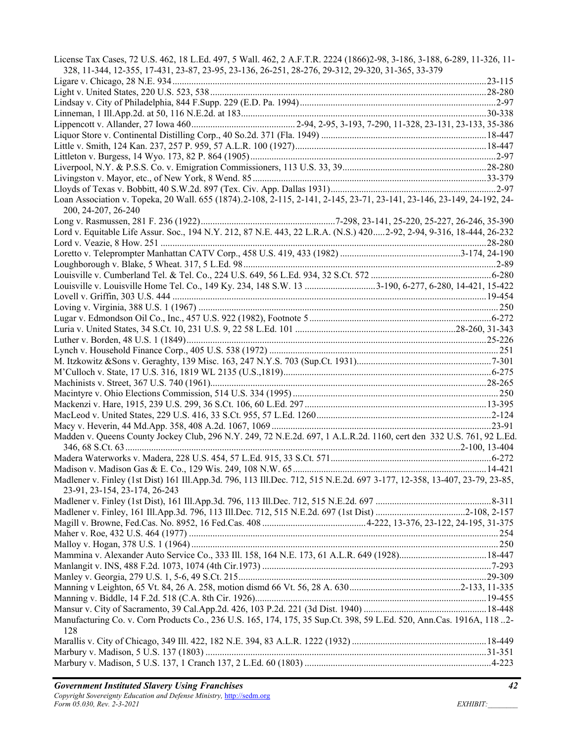| License Tax Cases, 72 U.S. 462, 18 L.Ed. 497, 5 Wall. 462, 2 A.F.T.R. 2224 (1866)2-98, 3-186, 3-188, 6-289, 11-326, 11-<br>328, 11-344, 12-355, 17-431, 23-87, 23-95, 23-136, 26-251, 28-276, 29-312, 29-320, 31-365, 33-379 |  |
|------------------------------------------------------------------------------------------------------------------------------------------------------------------------------------------------------------------------------|--|
|                                                                                                                                                                                                                              |  |
|                                                                                                                                                                                                                              |  |
|                                                                                                                                                                                                                              |  |
|                                                                                                                                                                                                                              |  |
|                                                                                                                                                                                                                              |  |
|                                                                                                                                                                                                                              |  |
|                                                                                                                                                                                                                              |  |
|                                                                                                                                                                                                                              |  |
|                                                                                                                                                                                                                              |  |
|                                                                                                                                                                                                                              |  |
|                                                                                                                                                                                                                              |  |
| Loan Association v. Topeka, 20 Wall. 655 (1874).2-108, 2-115, 2-141, 2-145, 23-71, 23-141, 23-146, 23-149, 24-192, 24-                                                                                                       |  |
| 200, 24-207, 26-240                                                                                                                                                                                                          |  |
|                                                                                                                                                                                                                              |  |
| Lord v. Equitable Life Assur. Soc., 194 N.Y. 212, 87 N.E. 443, 22 L.R.A. (N.S.) 4202-92, 2-94, 9-316, 18-444, 26-232                                                                                                         |  |
|                                                                                                                                                                                                                              |  |
|                                                                                                                                                                                                                              |  |
|                                                                                                                                                                                                                              |  |
|                                                                                                                                                                                                                              |  |
| Louisville v. Louisville Home Tel. Co., 149 Ky. 234, 148 S.W. 13 3-190, 6-277, 6-280, 14-421, 15-422                                                                                                                         |  |
|                                                                                                                                                                                                                              |  |
|                                                                                                                                                                                                                              |  |
|                                                                                                                                                                                                                              |  |
|                                                                                                                                                                                                                              |  |
|                                                                                                                                                                                                                              |  |
|                                                                                                                                                                                                                              |  |
|                                                                                                                                                                                                                              |  |
|                                                                                                                                                                                                                              |  |
|                                                                                                                                                                                                                              |  |
|                                                                                                                                                                                                                              |  |
|                                                                                                                                                                                                                              |  |
|                                                                                                                                                                                                                              |  |
|                                                                                                                                                                                                                              |  |
|                                                                                                                                                                                                                              |  |
| Madden v. Queens County Jockey Club, 296 N.Y. 249, 72 N.E.2d. 697, 1 A.L.R.2d. 1160, cert den 332 U.S. 761, 92 L.Ed.                                                                                                         |  |
|                                                                                                                                                                                                                              |  |
|                                                                                                                                                                                                                              |  |
|                                                                                                                                                                                                                              |  |
| Madlener v. Finley (1st Dist) 161 Ill.App.3d. 796, 113 Ill.Dec. 712, 515 N.E.2d. 697 3-177, 12-358, 13-407, 23-79, 23-85,                                                                                                    |  |
| 23-91, 23-154, 23-174, 26-243                                                                                                                                                                                                |  |
|                                                                                                                                                                                                                              |  |
|                                                                                                                                                                                                                              |  |
|                                                                                                                                                                                                                              |  |
|                                                                                                                                                                                                                              |  |
|                                                                                                                                                                                                                              |  |
|                                                                                                                                                                                                                              |  |
|                                                                                                                                                                                                                              |  |
|                                                                                                                                                                                                                              |  |
|                                                                                                                                                                                                                              |  |
|                                                                                                                                                                                                                              |  |
|                                                                                                                                                                                                                              |  |
| Manufacturing Co. v. Corn Products Co., 236 U.S. 165, 174, 175, 35 Sup.Ct. 398, 59 L.Ed. 520, Ann.Cas. 1916A, 118 2-                                                                                                         |  |
| 128                                                                                                                                                                                                                          |  |
|                                                                                                                                                                                                                              |  |
|                                                                                                                                                                                                                              |  |
|                                                                                                                                                                                                                              |  |
|                                                                                                                                                                                                                              |  |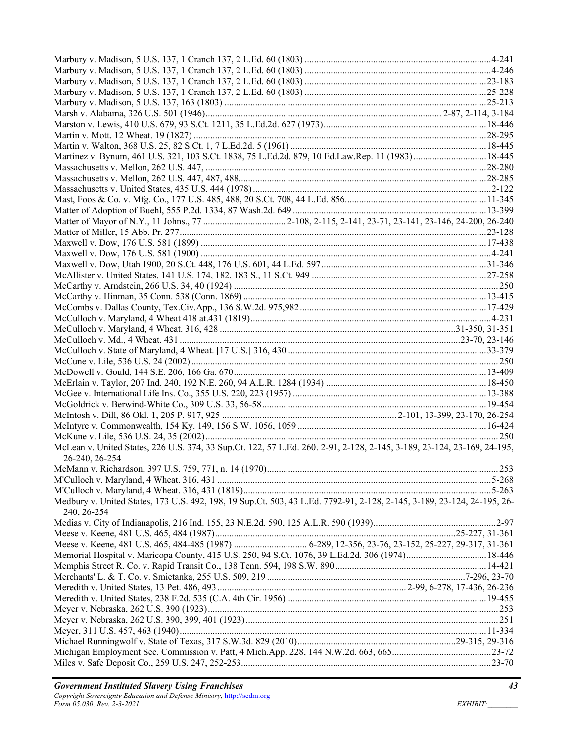| McLean v. United States, 226 U.S. 374, 33 Sup.Ct. 122, 57 L.Ed. 260. 2-91, 2-128, 2-145, 3-189, 23-124, 23-169, 24-195,<br>26-240, 26-254 |  |
|-------------------------------------------------------------------------------------------------------------------------------------------|--|
|                                                                                                                                           |  |
|                                                                                                                                           |  |
|                                                                                                                                           |  |
| Medbury v. United States, 173 U.S. 492, 198, 19 Sup.Ct. 503, 43 L.Ed. 7792-91, 2-128, 2-145, 3-189, 23-124, 24-195, 26-                   |  |
| 240, 26-254                                                                                                                               |  |
|                                                                                                                                           |  |
|                                                                                                                                           |  |
| Memorial Hospital v. Maricopa County, 415 U.S. 250, 94 S.Ct. 1076, 39 L.Ed.2d. 306 (1974) 18-446                                          |  |
|                                                                                                                                           |  |
|                                                                                                                                           |  |
|                                                                                                                                           |  |
|                                                                                                                                           |  |
|                                                                                                                                           |  |
|                                                                                                                                           |  |
|                                                                                                                                           |  |
|                                                                                                                                           |  |
|                                                                                                                                           |  |
|                                                                                                                                           |  |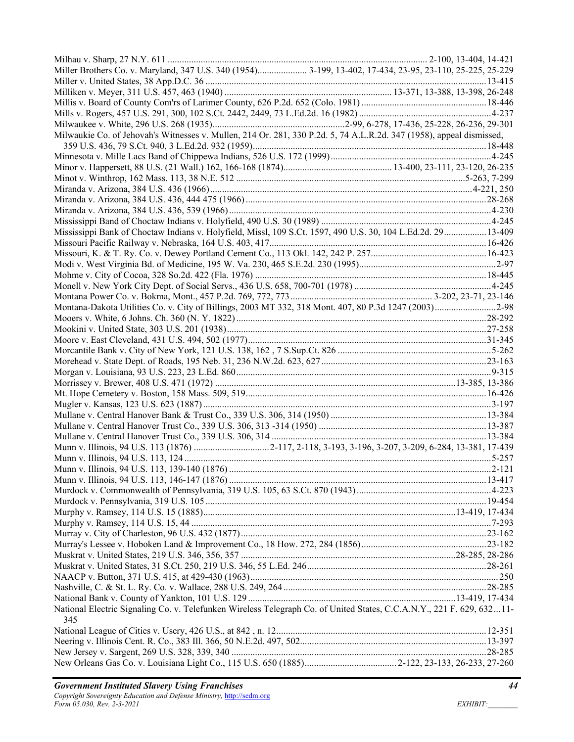| Miller Brothers Co. v. Maryland, 347 U.S. 340 (1954) 3-199, 13-402, 17-434, 23-95, 23-110, 25-225, 25-229             |  |
|-----------------------------------------------------------------------------------------------------------------------|--|
|                                                                                                                       |  |
|                                                                                                                       |  |
|                                                                                                                       |  |
|                                                                                                                       |  |
|                                                                                                                       |  |
| Milwaukie Co. of Jehovah's Witnesses v. Mullen, 214 Or. 281, 330 P.2d. 5, 74 A.L.R.2d. 347 (1958), appeal dismissed,  |  |
|                                                                                                                       |  |
|                                                                                                                       |  |
|                                                                                                                       |  |
|                                                                                                                       |  |
|                                                                                                                       |  |
|                                                                                                                       |  |
|                                                                                                                       |  |
|                                                                                                                       |  |
| Mississippi Bank of Choctaw Indians v. Holyfield, Missl, 109 S.Ct. 1597, 490 U.S. 30, 104 L.Ed.2d. 2913-409           |  |
|                                                                                                                       |  |
|                                                                                                                       |  |
|                                                                                                                       |  |
|                                                                                                                       |  |
|                                                                                                                       |  |
|                                                                                                                       |  |
| Montana-Dakota Utilities Co. v. City of Billings, 2003 MT 332, 318 Mont. 407, 80 P.3d 1247 (2003)2-98                 |  |
|                                                                                                                       |  |
|                                                                                                                       |  |
|                                                                                                                       |  |
|                                                                                                                       |  |
|                                                                                                                       |  |
|                                                                                                                       |  |
|                                                                                                                       |  |
|                                                                                                                       |  |
|                                                                                                                       |  |
|                                                                                                                       |  |
|                                                                                                                       |  |
|                                                                                                                       |  |
|                                                                                                                       |  |
|                                                                                                                       |  |
|                                                                                                                       |  |
|                                                                                                                       |  |
|                                                                                                                       |  |
|                                                                                                                       |  |
|                                                                                                                       |  |
|                                                                                                                       |  |
|                                                                                                                       |  |
|                                                                                                                       |  |
|                                                                                                                       |  |
|                                                                                                                       |  |
|                                                                                                                       |  |
|                                                                                                                       |  |
| National Electric Signaling Co. v. Telefunken Wireless Telegraph Co. of United States, C.C.A.N.Y., 221 F. 629, 63211- |  |
| 345                                                                                                                   |  |
|                                                                                                                       |  |
|                                                                                                                       |  |
|                                                                                                                       |  |
|                                                                                                                       |  |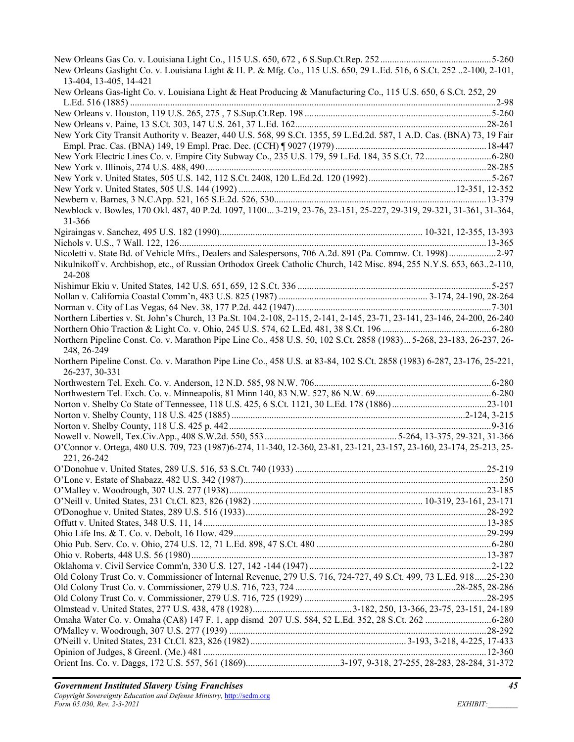| New Orleans Gaslight Co. v. Louisiana Light & H. P. & Mfg. Co., 115 U.S. 650, 29 L.Ed. 516, 6 S.Ct. 252 2-100, 2-101,<br>13-404, 13-405, 14-421 |  |
|-------------------------------------------------------------------------------------------------------------------------------------------------|--|
| New Orleans Gas-light Co. v. Louisiana Light & Heat Producing & Manufacturing Co., 115 U.S. 650, 6 S.Ct. 252, 29                                |  |
|                                                                                                                                                 |  |
|                                                                                                                                                 |  |
| New York City Transit Authority v. Beazer, 440 U.S. 568, 99 S.Ct. 1355, 59 L.Ed.2d. 587, 1 A.D. Cas. (BNA) 73, 19 Fair                          |  |
|                                                                                                                                                 |  |
|                                                                                                                                                 |  |
|                                                                                                                                                 |  |
|                                                                                                                                                 |  |
|                                                                                                                                                 |  |
| Newblock v. Bowles, 170 Okl. 487, 40 P.2d. 1097, 1100 3-219, 23-76, 23-151, 25-227, 29-319, 29-321, 31-361, 31-364,<br>31-366                   |  |
|                                                                                                                                                 |  |
|                                                                                                                                                 |  |
| Nicoletti v. State Bd. of Vehicle Mfrs., Dealers and Salespersons, 706 A.2d. 891 (Pa. Commw. Ct. 1998)2-97                                      |  |
| Nikulnikoff v. Archbishop, etc., of Russian Orthodox Greek Catholic Church, 142 Misc. 894, 255 N.Y.S. 653, 6632-110,<br>24-208                  |  |
|                                                                                                                                                 |  |
|                                                                                                                                                 |  |
|                                                                                                                                                 |  |
| Northern Liberties v. St. John's Church, 13 Pa.St. 104.2-108, 2-115, 2-141, 2-145, 23-71, 23-141, 23-146, 24-200, 26-240                        |  |
|                                                                                                                                                 |  |
| Northern Pipeline Const. Co. v. Marathon Pipe Line Co., 458 U.S. 50, 102 S.Ct. 2858 (1983) 5-268, 23-183, 26-237, 26-<br>248, 26-249            |  |
| Northern Pipeline Const. Co. v. Marathon Pipe Line Co., 458 U.S. at 83-84, 102 S.Ct. 2858 (1983) 6-287, 23-176, 25-221,<br>26-237, 30-331       |  |
|                                                                                                                                                 |  |
|                                                                                                                                                 |  |
|                                                                                                                                                 |  |
|                                                                                                                                                 |  |
|                                                                                                                                                 |  |
|                                                                                                                                                 |  |
| O'Connor v. Ortega, 480 U.S. 709, 723 (1987)6-274, 11-340, 12-360, 23-81, 23-121, 23-157, 23-160, 23-174, 25-213, 25-<br>221, 26-242            |  |
| .25-219                                                                                                                                         |  |
|                                                                                                                                                 |  |
|                                                                                                                                                 |  |
|                                                                                                                                                 |  |
|                                                                                                                                                 |  |
|                                                                                                                                                 |  |
|                                                                                                                                                 |  |
|                                                                                                                                                 |  |
|                                                                                                                                                 |  |
| Old Colony Trust Co. v. Commissioner of Internal Revenue, 279 U.S. 716, 724-727, 49 S.Ct. 499, 73 L.Ed. 91825-230                               |  |
|                                                                                                                                                 |  |
|                                                                                                                                                 |  |
|                                                                                                                                                 |  |
|                                                                                                                                                 |  |
|                                                                                                                                                 |  |
|                                                                                                                                                 |  |
|                                                                                                                                                 |  |
|                                                                                                                                                 |  |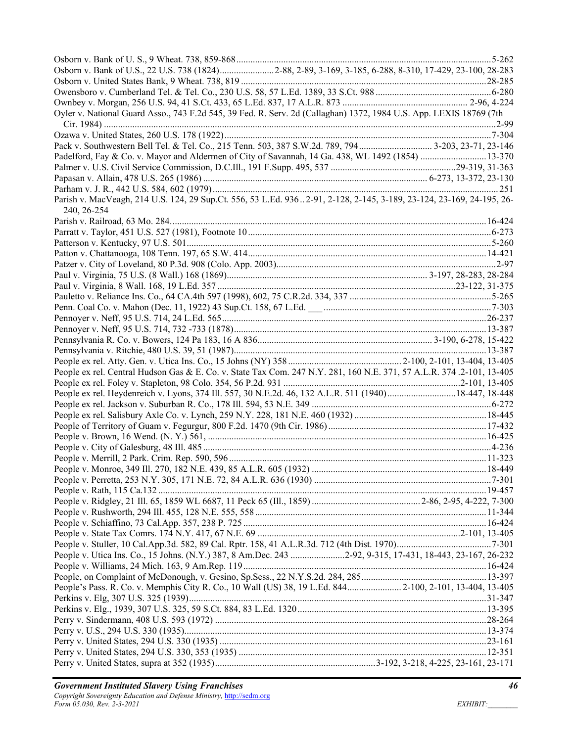| Osborn v. Bank of U.S., 22 U.S. 738 (1824)2-88, 2-89, 3-169, 3-185, 6-288, 8-310, 17-429, 23-100, 28-283             |  |
|----------------------------------------------------------------------------------------------------------------------|--|
|                                                                                                                      |  |
|                                                                                                                      |  |
|                                                                                                                      |  |
| Oyler v. National Guard Asso., 743 F.2d 545, 39 Fed. R. Serv. 2d (Callaghan) 1372, 1984 U.S. App. LEXIS 18769 (7th   |  |
|                                                                                                                      |  |
|                                                                                                                      |  |
|                                                                                                                      |  |
| Padelford, Fay & Co. v. Mayor and Aldermen of City of Savannah, 14 Ga. 438, WL 1492 (1854) 13-370                    |  |
|                                                                                                                      |  |
|                                                                                                                      |  |
|                                                                                                                      |  |
| Parish v. MacVeagh, 214 U.S. 124, 29 Sup.Ct. 556, 53 L.Ed. 9362-91, 2-128, 2-145, 3-189, 23-124, 23-169, 24-195, 26- |  |
| 240, 26-254                                                                                                          |  |
|                                                                                                                      |  |
|                                                                                                                      |  |
|                                                                                                                      |  |
|                                                                                                                      |  |
|                                                                                                                      |  |
|                                                                                                                      |  |
|                                                                                                                      |  |
|                                                                                                                      |  |
|                                                                                                                      |  |
|                                                                                                                      |  |
|                                                                                                                      |  |
|                                                                                                                      |  |
|                                                                                                                      |  |
|                                                                                                                      |  |
| People ex rel. Central Hudson Gas & E. Co. v. State Tax Com. 247 N.Y. 281, 160 N.E. 371, 57 A.L.R. 374.2-101, 13-405 |  |
|                                                                                                                      |  |
| People ex rel. Heydenreich v. Lyons, 374 Ill. 557, 30 N.E.2d. 46, 132 A.L.R. 511 (1940)18-447, 18-448                |  |
|                                                                                                                      |  |
|                                                                                                                      |  |
|                                                                                                                      |  |
|                                                                                                                      |  |
|                                                                                                                      |  |
|                                                                                                                      |  |
|                                                                                                                      |  |
|                                                                                                                      |  |
|                                                                                                                      |  |
|                                                                                                                      |  |
|                                                                                                                      |  |
|                                                                                                                      |  |
|                                                                                                                      |  |
| People v. Utica Ins. Co., 15 Johns. (N.Y.) 387, 8 Am.Dec. 243 2-92, 9-315, 17-431, 18-443, 23-167, 26-232            |  |
|                                                                                                                      |  |
|                                                                                                                      |  |
| People's Pass. R. Co. v. Memphis City R. Co., 10 Wall (US) 38, 19 L.Ed. 844 2-100, 2-101, 13-404, 13-405             |  |
|                                                                                                                      |  |
|                                                                                                                      |  |
|                                                                                                                      |  |
|                                                                                                                      |  |
|                                                                                                                      |  |
|                                                                                                                      |  |
|                                                                                                                      |  |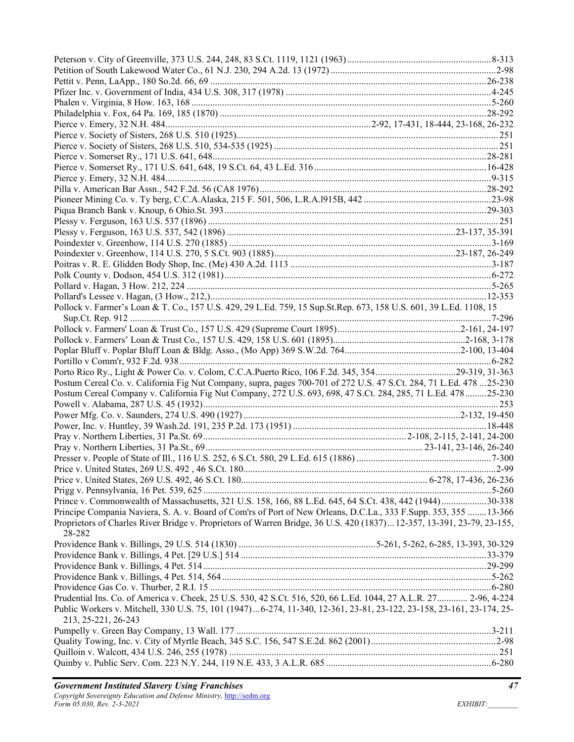| Pollock v. Farmer's Loan & T. Co., 157 U.S. 429, 29 L.Ed. 759, 15 Sup.St.Rep. 673, 158 U.S. 601, 39 L.Ed. 1108, 15                          |  |
|---------------------------------------------------------------------------------------------------------------------------------------------|--|
|                                                                                                                                             |  |
|                                                                                                                                             |  |
|                                                                                                                                             |  |
|                                                                                                                                             |  |
|                                                                                                                                             |  |
| Porto Rico Ry., Light & Power Co. v. Colom, C.C.A.Puerto Rico, 106 F.2d. 345, 35429-319, 31-363                                             |  |
| Postum Cereal Co. v. California Fig Nut Company, supra, pages 700-701 of 272 U.S. 47 S.Ct. 284, 71 L.Ed. 478 25-230                         |  |
| Postum Cereal Company v. California Fig Nut Company, 272 U.S. 693, 698, 47 S.Ct. 284, 285, 71 L.Ed. 47825-230                               |  |
|                                                                                                                                             |  |
|                                                                                                                                             |  |
|                                                                                                                                             |  |
|                                                                                                                                             |  |
|                                                                                                                                             |  |
|                                                                                                                                             |  |
|                                                                                                                                             |  |
|                                                                                                                                             |  |
|                                                                                                                                             |  |
|                                                                                                                                             |  |
| Prince v. Commonwealth of Massachusetts, 321 U.S. 158, 166, 88 L.Ed. 645, 64 S.Ct. 438, 442 (1944) 30-338                                   |  |
| Principe Compania Naviera, S. A. v. Board of Com'rs of Port of New Orleans, D.C.La., 333 F.Supp. 353, 355 13-366                            |  |
| Proprietors of Charles River Bridge v. Proprietors of Warren Bridge, 36 U.S. 420 (1837) 12-357, 13-391, 23-79, 23-155,<br>28-282            |  |
|                                                                                                                                             |  |
|                                                                                                                                             |  |
|                                                                                                                                             |  |
|                                                                                                                                             |  |
|                                                                                                                                             |  |
| Prudential Ins. Co. of America v. Cheek, 25 U.S. 530, 42 S.Ct. 516, 520, 66 L.Ed. 1044, 27 A.L.R. 27 2-96, 4-224                            |  |
| Public Workers v. Mitchell, 330 U.S. 75, 101 (1947)6-274, 11-340, 12-361, 23-81, 23-122, 23-158, 23-161, 23-174, 25-<br>213, 25-221, 26-243 |  |
|                                                                                                                                             |  |
|                                                                                                                                             |  |
|                                                                                                                                             |  |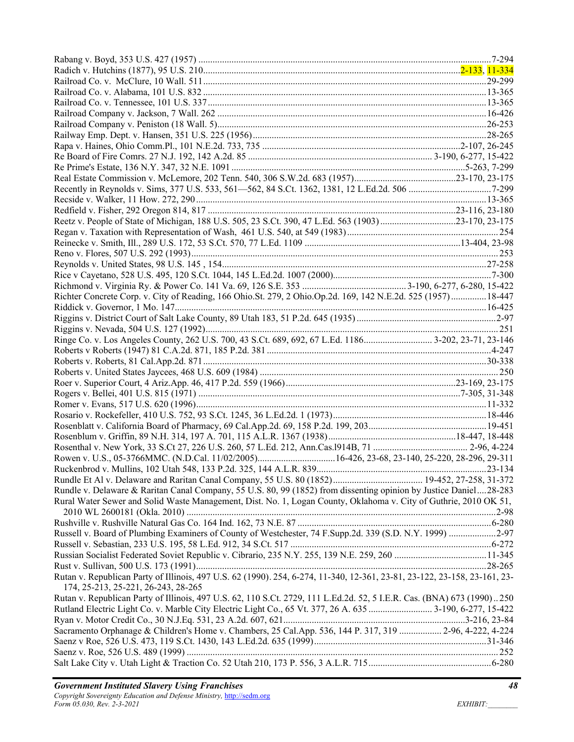| Richter Concrete Corp. v. City of Reading, 166 Ohio.St. 279, 2 Ohio.Op.2d. 169, 142 N.E.2d. 525 (1957)18-447                                                     |  |
|------------------------------------------------------------------------------------------------------------------------------------------------------------------|--|
|                                                                                                                                                                  |  |
|                                                                                                                                                                  |  |
|                                                                                                                                                                  |  |
|                                                                                                                                                                  |  |
|                                                                                                                                                                  |  |
|                                                                                                                                                                  |  |
|                                                                                                                                                                  |  |
|                                                                                                                                                                  |  |
|                                                                                                                                                                  |  |
|                                                                                                                                                                  |  |
|                                                                                                                                                                  |  |
|                                                                                                                                                                  |  |
|                                                                                                                                                                  |  |
|                                                                                                                                                                  |  |
|                                                                                                                                                                  |  |
|                                                                                                                                                                  |  |
|                                                                                                                                                                  |  |
| Rundle v. Delaware & Raritan Canal Company, 55 U.S. 80, 99 (1852) from dissenting opinion by Justice Daniel28-283                                                |  |
| Rural Water Sewer and Solid Waste Management, Dist. No. 1, Logan County, Oklahoma v. City of Guthrie, 2010 OK 51,                                                |  |
|                                                                                                                                                                  |  |
|                                                                                                                                                                  |  |
| Russell v. Board of Plumbing Examiners of County of Westchester, 74 F.Supp.2d. 339 (S.D. N.Y. 1999) 2-97                                                         |  |
|                                                                                                                                                                  |  |
|                                                                                                                                                                  |  |
|                                                                                                                                                                  |  |
| Rutan v. Republican Party of Illinois, 497 U.S. 62 (1990). 254, 6-274, 11-340, 12-361, 23-81, 23-122, 23-158, 23-161, 23-<br>174, 25-213, 25-221, 26-243, 28-265 |  |
| Rutan v. Republican Party of Illinois, 497 U.S. 62, 110 S.Ct. 2729, 111 L.Ed.2d. 52, 5 I.E.R. Cas. (BNA) 673 (1990). 250                                         |  |
| Rutland Electric Light Co. v. Marble City Electric Light Co., 65 Vt. 377, 26 A. 635  3-190, 6-277, 15-422                                                        |  |
|                                                                                                                                                                  |  |
| Sacramento Orphanage & Children's Home v. Chambers, 25 Cal.App. 536, 144 P. 317, 319  2-96, 4-222, 4-224                                                         |  |
|                                                                                                                                                                  |  |
|                                                                                                                                                                  |  |
|                                                                                                                                                                  |  |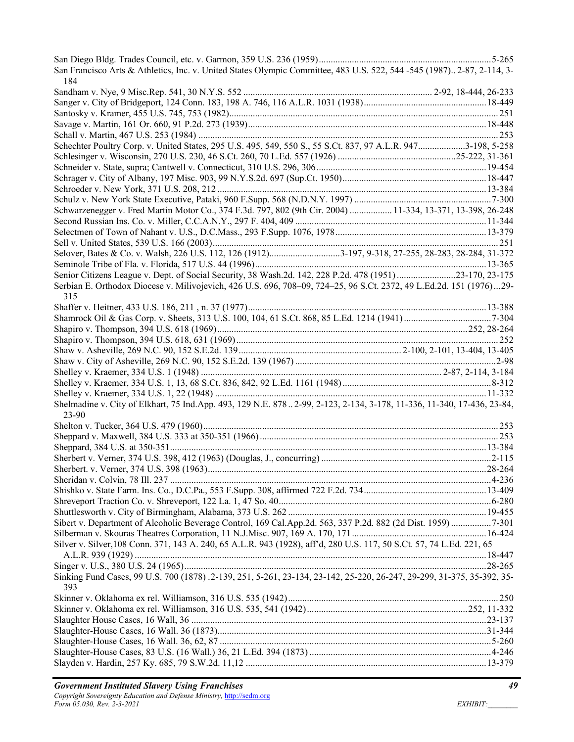| San Francisco Arts & Athletics, Inc. v. United States Olympic Committee, 483 U.S. 522, 544 -545 (1987) 2-87, 2-114, 3-<br>184  |  |
|--------------------------------------------------------------------------------------------------------------------------------|--|
|                                                                                                                                |  |
|                                                                                                                                |  |
|                                                                                                                                |  |
|                                                                                                                                |  |
|                                                                                                                                |  |
| Schechter Poultry Corp. v. United States, 295 U.S. 495, 549, 550 S., 55 S.Ct. 837, 97 A.L.R. 9473-198, 5-258                   |  |
|                                                                                                                                |  |
|                                                                                                                                |  |
|                                                                                                                                |  |
|                                                                                                                                |  |
|                                                                                                                                |  |
| Schwarzenegger v. Fred Martin Motor Co., 374 F.3d. 797, 802 (9th Cir. 2004)  11-334, 13-371, 13-398, 26-248                    |  |
|                                                                                                                                |  |
|                                                                                                                                |  |
|                                                                                                                                |  |
| Selover, Bates & Co. v. Walsh, 226 U.S. 112, 126 (1912)3-197, 9-318, 27-255, 28-283, 28-284, 31-372                            |  |
|                                                                                                                                |  |
| Senior Citizens League v. Dept. of Social Security, 38 Wash.2d. 142, 228 P.2d. 478 (1951)23-170, 23-175                        |  |
| Serbian E. Orthodox Diocese v. Milivojevich, 426 U.S. 696, 708-09, 724-25, 96 S.Ct. 2372, 49 L.Ed.2d. 151 (1976)29-<br>315     |  |
|                                                                                                                                |  |
|                                                                                                                                |  |
|                                                                                                                                |  |
|                                                                                                                                |  |
|                                                                                                                                |  |
|                                                                                                                                |  |
|                                                                                                                                |  |
|                                                                                                                                |  |
|                                                                                                                                |  |
| Shelmadine v. City of Elkhart, 75 Ind.App. 493, 129 N.E. 8782-99, 2-123, 2-134, 3-178, 11-336, 11-340, 17-436, 23-84,<br>23-90 |  |
|                                                                                                                                |  |
|                                                                                                                                |  |
|                                                                                                                                |  |
|                                                                                                                                |  |
|                                                                                                                                |  |
|                                                                                                                                |  |
|                                                                                                                                |  |
|                                                                                                                                |  |
|                                                                                                                                |  |
| Sibert v. Department of Alcoholic Beverage Control, 169 Cal.App.2d. 563, 337 P.2d. 882 (2d Dist. 1959) 7-301                   |  |
|                                                                                                                                |  |
| Silver v. Silver, 108 Conn. 371, 143 A. 240, 65 A.L.R. 943 (1928), aff d, 280 U.S. 117, 50 S.Ct. 57, 74 L.Ed. 221, 65          |  |
|                                                                                                                                |  |
| Sinking Fund Cases, 99 U.S. 700 (1878) .2-139, 251, 5-261, 23-134, 23-142, 25-220, 26-247, 29-299, 31-375, 35-392, 35-<br>393  |  |
|                                                                                                                                |  |
|                                                                                                                                |  |
|                                                                                                                                |  |
|                                                                                                                                |  |
|                                                                                                                                |  |
|                                                                                                                                |  |
|                                                                                                                                |  |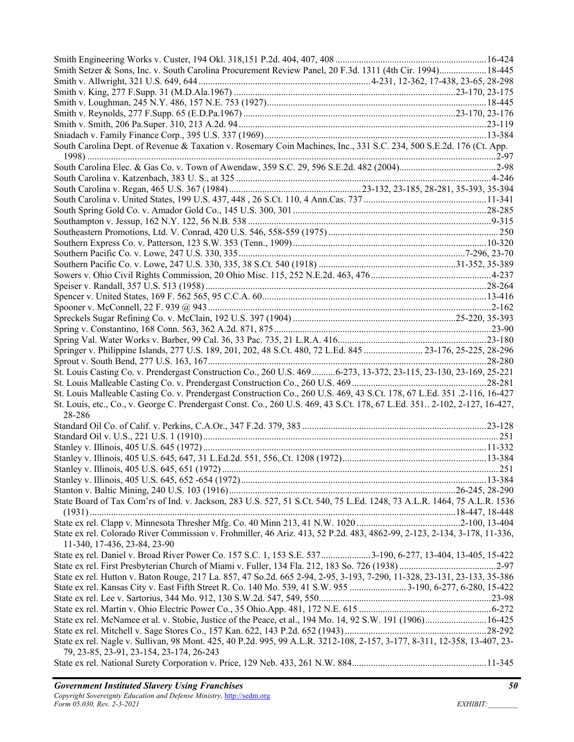| Smith Setzer & Sons, Inc. v. South Carolina Procurement Review Panel, 20 F.3d. 1311 (4th Cir. 1994)18-445                 |  |
|---------------------------------------------------------------------------------------------------------------------------|--|
|                                                                                                                           |  |
|                                                                                                                           |  |
|                                                                                                                           |  |
|                                                                                                                           |  |
|                                                                                                                           |  |
|                                                                                                                           |  |
| South Carolina Dept. of Revenue & Taxation v. Rosemary Coin Machines, Inc., 331 S.C. 234, 500 S.E.2d. 176 (Ct. App.       |  |
|                                                                                                                           |  |
|                                                                                                                           |  |
|                                                                                                                           |  |
|                                                                                                                           |  |
|                                                                                                                           |  |
|                                                                                                                           |  |
|                                                                                                                           |  |
|                                                                                                                           |  |
|                                                                                                                           |  |
|                                                                                                                           |  |
|                                                                                                                           |  |
|                                                                                                                           |  |
|                                                                                                                           |  |
|                                                                                                                           |  |
|                                                                                                                           |  |
|                                                                                                                           |  |
|                                                                                                                           |  |
|                                                                                                                           |  |
|                                                                                                                           |  |
| Springer v. Philippine Islands, 277 U.S. 189, 201, 202, 48 S.Ct. 480, 72 L.Ed. 845  23-176, 25-225, 28-296                |  |
|                                                                                                                           |  |
| St. Louis Casting Co. v. Prendergast Construction Co., 260 U.S. 4696-273, 13-372, 23-115, 23-130, 23-169, 25-221          |  |
|                                                                                                                           |  |
| St. Louis Malleable Casting Co. v. Prendergast Construction Co., 260 U.S. 469, 43 S.Ct. 178, 67 L.Ed. 351 .2-116, 16-427  |  |
|                                                                                                                           |  |
| St. Louis, etc., Co., v. George C. Prendergast Const. Co., 260 U.S. 469, 43 S.Ct. 178, 67 L.Ed. 351 2-102, 2-127, 16-427, |  |
| 28-286                                                                                                                    |  |
|                                                                                                                           |  |
|                                                                                                                           |  |
|                                                                                                                           |  |
|                                                                                                                           |  |
|                                                                                                                           |  |
|                                                                                                                           |  |
|                                                                                                                           |  |
| State Board of Tax Com'rs of Ind. v. Jackson, 283 U.S. 527, 51 S.Ct. 540, 75 L.Ed. 1248, 73 A.L.R. 1464, 75 A.L.R. 1536   |  |
|                                                                                                                           |  |
|                                                                                                                           |  |
| State ex rel. Colorado River Commission v. Frohmiller, 46 Ariz. 413, 52 P.2d. 483, 4862-99, 2-123, 2-134, 3-178, 11-336,  |  |
| 11-340, 17-436, 23-84, 23-90                                                                                              |  |
| State ex rel. Daniel v. Broad River Power Co. 157 S.C. 1, 153 S.E. 5373-190, 6-277, 13-404, 13-405, 15-422                |  |
|                                                                                                                           |  |
| State ex rel. Hutton v. Baton Rouge, 217 La. 857, 47 So.2d. 665 2-94, 2-95, 3-193, 7-290, 11-328, 23-131, 23-133, 35-386  |  |
| State ex rel. Kansas City v. East Fifth Street R. Co. 140 Mo. 539, 41 S.W. 955 3-190, 6-277, 6-280, 15-422                |  |
|                                                                                                                           |  |
|                                                                                                                           |  |
|                                                                                                                           |  |
| State ex rel. McNamee et al. v. Stobie, Justice of the Peace, et al., 194 Mo. 14, 92 S.W. 191 (1906) 16-425               |  |
|                                                                                                                           |  |
| State ex rel. Nagle v. Sullivan, 98 Mont. 425, 40 P.2d. 995, 99 A.L.R. 3212-108, 2-157, 3-177, 8-311, 12-358, 13-407, 23- |  |
| 79, 23-85, 23-91, 23-154, 23-174, 26-243                                                                                  |  |
|                                                                                                                           |  |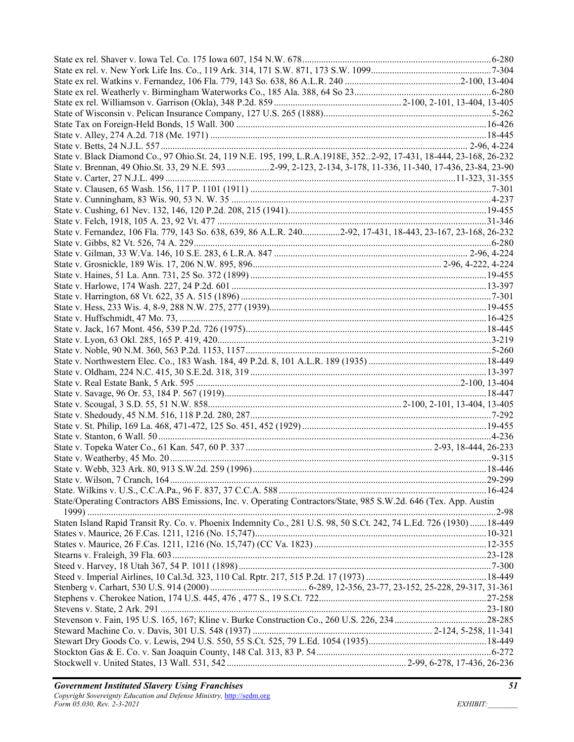| State v. Black Diamond Co., 97 Ohio.St. 24, 119 N.E. 195, 199, L.R.A.1918E, 3522-92, 17-431, 18-444, 23-168, 26-232 |  |
|---------------------------------------------------------------------------------------------------------------------|--|
| State v. Brennan, 49 Ohio.St. 33, 29 N.E. 593 2-99, 2-123, 2-134, 3-178, 11-336, 11-340, 17-436, 23-84, 23-90       |  |
|                                                                                                                     |  |
|                                                                                                                     |  |
|                                                                                                                     |  |
|                                                                                                                     |  |
|                                                                                                                     |  |
| State v. Fernandez, 106 Fla. 779, 143 So. 638, 639, 86 A.L.R. 2402-92, 17-431, 18-443, 23-167, 23-168, 26-232       |  |
|                                                                                                                     |  |
|                                                                                                                     |  |
|                                                                                                                     |  |
|                                                                                                                     |  |
|                                                                                                                     |  |
|                                                                                                                     |  |
|                                                                                                                     |  |
|                                                                                                                     |  |
|                                                                                                                     |  |
|                                                                                                                     |  |
|                                                                                                                     |  |
|                                                                                                                     |  |
|                                                                                                                     |  |
|                                                                                                                     |  |
|                                                                                                                     |  |
|                                                                                                                     |  |
|                                                                                                                     |  |
|                                                                                                                     |  |
|                                                                                                                     |  |
|                                                                                                                     |  |
|                                                                                                                     |  |
|                                                                                                                     |  |
|                                                                                                                     |  |
|                                                                                                                     |  |
|                                                                                                                     |  |
| State/Operating Contractors ABS Emissions, Inc. v. Operating Contractors/State, 985 S.W.2d. 646 (Tex. App. Austin   |  |
|                                                                                                                     |  |
| Staten Island Rapid Transit Ry. Co. v. Phoenix Indemnity Co., 281 U.S. 98, 50 S.Ct. 242, 74 L.Ed. 726 (1930) 18-449 |  |
|                                                                                                                     |  |
|                                                                                                                     |  |
|                                                                                                                     |  |
|                                                                                                                     |  |
|                                                                                                                     |  |
|                                                                                                                     |  |
|                                                                                                                     |  |
|                                                                                                                     |  |
|                                                                                                                     |  |
|                                                                                                                     |  |
|                                                                                                                     |  |
|                                                                                                                     |  |
|                                                                                                                     |  |
|                                                                                                                     |  |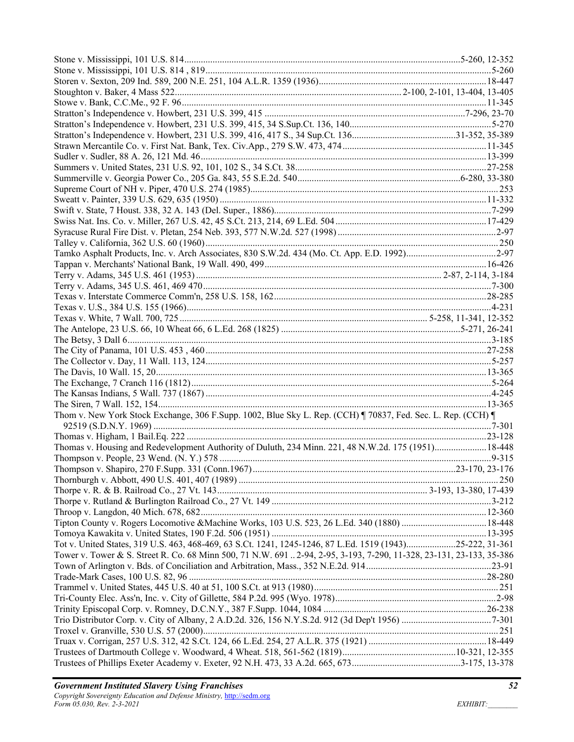| Thom v. New York Stock Exchange, 306 F.Supp. 1002, Blue Sky L. Rep. (CCH) ¶ 70837, Fed. Sec. L. Rep. (CCH) ¶        |  |
|---------------------------------------------------------------------------------------------------------------------|--|
|                                                                                                                     |  |
|                                                                                                                     |  |
| Thomas v. Housing and Redevelopment Authority of Duluth, 234 Minn. 221, 48 N.W.2d. 175 (1951)18-448                 |  |
|                                                                                                                     |  |
|                                                                                                                     |  |
|                                                                                                                     |  |
|                                                                                                                     |  |
|                                                                                                                     |  |
|                                                                                                                     |  |
|                                                                                                                     |  |
|                                                                                                                     |  |
| Tot v. United States, 319 U.S. 463, 468-469, 63 S.Ct. 1241, 1245-1246, 87 L.Ed. 1519 (1943)25-222, 31-361           |  |
| Tower v. Tower & S. Street R. Co. 68 Minn 500, 71 N.W. 691 2-94, 2-95, 3-193, 7-290, 11-328, 23-131, 23-133, 35-386 |  |
|                                                                                                                     |  |
|                                                                                                                     |  |
|                                                                                                                     |  |
|                                                                                                                     |  |
|                                                                                                                     |  |
|                                                                                                                     |  |
|                                                                                                                     |  |
|                                                                                                                     |  |
|                                                                                                                     |  |
|                                                                                                                     |  |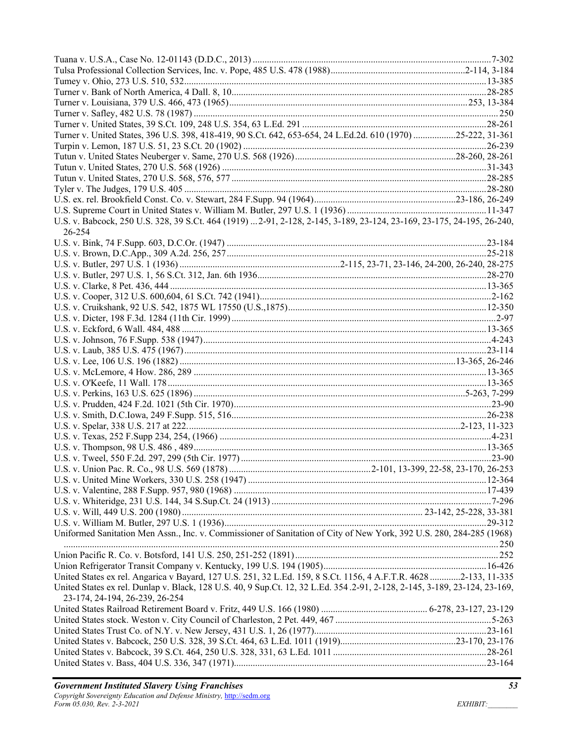| Turner v. United States, 396 U.S. 398, 418-419, 90 S.Ct. 642, 653-654, 24 L.Ed.2d. 610 (1970) 25-222, 31-361              |  |
|---------------------------------------------------------------------------------------------------------------------------|--|
|                                                                                                                           |  |
|                                                                                                                           |  |
|                                                                                                                           |  |
|                                                                                                                           |  |
|                                                                                                                           |  |
|                                                                                                                           |  |
|                                                                                                                           |  |
|                                                                                                                           |  |
| U.S. v. Babcock, 250 U.S. 328, 39 S.Ct. 464 (1919)  2-91, 2-128, 2-145, 3-189, 23-124, 23-169, 23-175, 24-195, 26-240,    |  |
| 26-254                                                                                                                    |  |
|                                                                                                                           |  |
|                                                                                                                           |  |
|                                                                                                                           |  |
|                                                                                                                           |  |
|                                                                                                                           |  |
|                                                                                                                           |  |
|                                                                                                                           |  |
|                                                                                                                           |  |
|                                                                                                                           |  |
|                                                                                                                           |  |
|                                                                                                                           |  |
|                                                                                                                           |  |
|                                                                                                                           |  |
|                                                                                                                           |  |
|                                                                                                                           |  |
|                                                                                                                           |  |
|                                                                                                                           |  |
|                                                                                                                           |  |
|                                                                                                                           |  |
|                                                                                                                           |  |
|                                                                                                                           |  |
|                                                                                                                           |  |
|                                                                                                                           |  |
|                                                                                                                           |  |
|                                                                                                                           |  |
|                                                                                                                           |  |
|                                                                                                                           |  |
|                                                                                                                           |  |
|                                                                                                                           |  |
| Uniformed Sanitation Men Assn., Inc. v. Commissioner of Sanitation of City of New York, 392 U.S. 280, 284-285 (1968)      |  |
|                                                                                                                           |  |
|                                                                                                                           |  |
|                                                                                                                           |  |
| United States ex rel. Angarica v Bayard, 127 U.S. 251, 32 L.Ed. 159, 8 S.Ct. 1156, 4 A.F.T.R. 4628 2-133, 11-335          |  |
| United States ex rel. Dunlap v. Black, 128 U.S. 40, 9 Sup.Ct. 12, 32 L.Ed. 354.2-91, 2-128, 2-145, 3-189, 23-124, 23-169, |  |
| 23-174, 24-194, 26-239, 26-254                                                                                            |  |
|                                                                                                                           |  |
|                                                                                                                           |  |
|                                                                                                                           |  |
|                                                                                                                           |  |
|                                                                                                                           |  |
|                                                                                                                           |  |
|                                                                                                                           |  |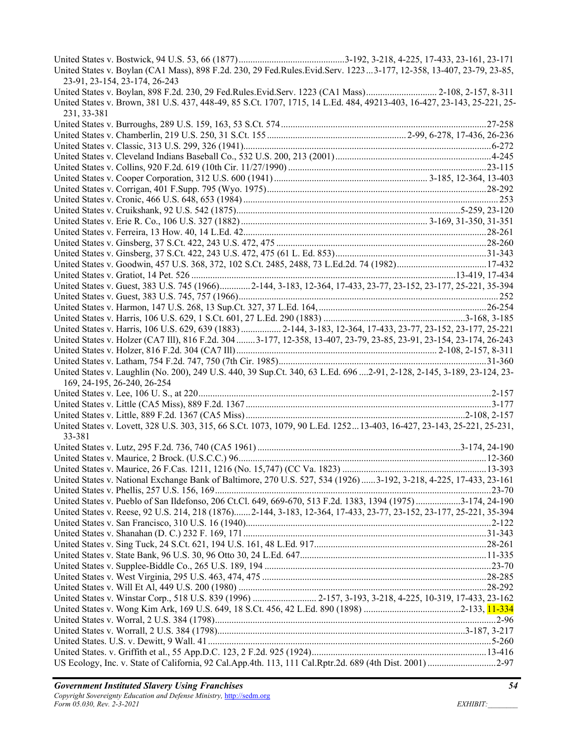| United States v. Boylan (CA1 Mass), 898 F.2d. 230, 29 Fed.Rules.Evid.Serv. 12233-177, 12-358, 13-407, 23-79, 23-85,<br>23-91, 23-154, 23-174, 26-243                                                                           |  |
|--------------------------------------------------------------------------------------------------------------------------------------------------------------------------------------------------------------------------------|--|
| United States v. Boylan, 898 F.2d. 230, 29 Fed.Rules.Evid.Serv. 1223 (CA1 Mass) 2-108, 2-157, 8-311<br>United States v. Brown, 381 U.S. 437, 448-49, 85 S.Ct. 1707, 1715, 14 L.Ed. 484, 49213-403, 16-427, 23-143, 25-221, 25- |  |
| 231, 33-381                                                                                                                                                                                                                    |  |
|                                                                                                                                                                                                                                |  |
|                                                                                                                                                                                                                                |  |
|                                                                                                                                                                                                                                |  |
|                                                                                                                                                                                                                                |  |
|                                                                                                                                                                                                                                |  |
|                                                                                                                                                                                                                                |  |
|                                                                                                                                                                                                                                |  |
|                                                                                                                                                                                                                                |  |
|                                                                                                                                                                                                                                |  |
|                                                                                                                                                                                                                                |  |
|                                                                                                                                                                                                                                |  |
|                                                                                                                                                                                                                                |  |
|                                                                                                                                                                                                                                |  |
|                                                                                                                                                                                                                                |  |
| United States v. Guest, 383 U.S. 745 (1966) 2-144, 3-183, 12-364, 17-433, 23-77, 23-152, 23-177, 25-221, 35-394                                                                                                                |  |
|                                                                                                                                                                                                                                |  |
|                                                                                                                                                                                                                                |  |
|                                                                                                                                                                                                                                |  |
| United States v. Harris, 106 U.S. 629, 639 (1883)  2-144, 3-183, 12-364, 17-433, 23-77, 23-152, 23-177, 25-221                                                                                                                 |  |
| United States v. Holzer (CA7 III), 816 F.2d. 304 3-177, 12-358, 13-407, 23-79, 23-85, 23-91, 23-154, 23-174, 26-243                                                                                                            |  |
|                                                                                                                                                                                                                                |  |
|                                                                                                                                                                                                                                |  |
| United States v. Laughlin (No. 200), 249 U.S. 440, 39 Sup.Ct. 340, 63 L.Ed. 696 2-91, 2-128, 2-145, 3-189, 23-124, 23-<br>169, 24-195, 26-240, 26-254                                                                          |  |
|                                                                                                                                                                                                                                |  |
|                                                                                                                                                                                                                                |  |
|                                                                                                                                                                                                                                |  |
| United States v. Lovett, 328 U.S. 303, 315, 66 S.Ct. 1073, 1079, 90 L.Ed. 125213-403, 16-427, 23-143, 25-221, 25-231,<br>33-381                                                                                                |  |
|                                                                                                                                                                                                                                |  |
|                                                                                                                                                                                                                                |  |
|                                                                                                                                                                                                                                |  |
| United States v. National Exchange Bank of Baltimore, 270 U.S. 527, 534 (1926) 3-192, 3-218, 4-225, 17-433, 23-161                                                                                                             |  |
|                                                                                                                                                                                                                                |  |
| United States v. Pueblo of San Ildefonso, 206 Ct.Cl. 649, 669-670, 513 F.2d. 1383, 1394 (1975) 3-174, 24-190                                                                                                                   |  |
| United States v. Reese, 92 U.S. 214, 218 (1876)2-144, 3-183, 12-364, 17-433, 23-77, 23-152, 23-177, 25-221, 35-394                                                                                                             |  |
|                                                                                                                                                                                                                                |  |
|                                                                                                                                                                                                                                |  |
|                                                                                                                                                                                                                                |  |
|                                                                                                                                                                                                                                |  |
|                                                                                                                                                                                                                                |  |
|                                                                                                                                                                                                                                |  |
| United States v. Winstar Corp., 518 U.S. 839 (1996)  2-157, 3-193, 3-218, 4-225, 10-319, 17-433, 23-162                                                                                                                        |  |
|                                                                                                                                                                                                                                |  |
|                                                                                                                                                                                                                                |  |
|                                                                                                                                                                                                                                |  |
|                                                                                                                                                                                                                                |  |
|                                                                                                                                                                                                                                |  |
| US Ecology, Inc. v. State of California, 92 Cal.App.4th. 113, 111 Cal.Rptr.2d. 689 (4th Dist. 2001) 2-97                                                                                                                       |  |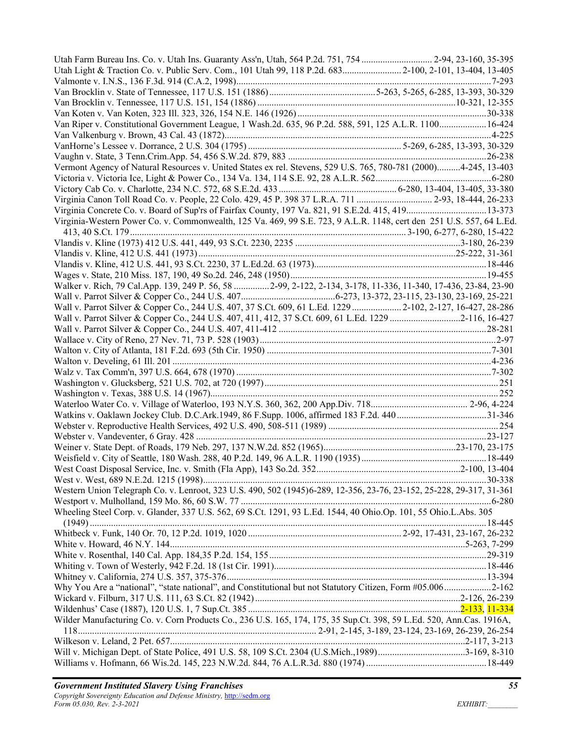| Utah Farm Bureau Ins. Co. v. Utah Ins. Guaranty Ass'n, Utah, 564 P.2d. 751, 754  2-94, 23-160, 35-395<br>Utah Light & Traction Co. v. Public Serv. Com., 101 Utah 99, 118 P.2d. 683 2-100, 2-101, 13-404, 13-405 |  |
|------------------------------------------------------------------------------------------------------------------------------------------------------------------------------------------------------------------|--|
|                                                                                                                                                                                                                  |  |
|                                                                                                                                                                                                                  |  |
|                                                                                                                                                                                                                  |  |
|                                                                                                                                                                                                                  |  |
| Van Riper v. Constitutional Government League, 1 Wash.2d. 635, 96 P.2d. 588, 591, 125 A.L.R. 1100 16-424                                                                                                         |  |
|                                                                                                                                                                                                                  |  |
|                                                                                                                                                                                                                  |  |
|                                                                                                                                                                                                                  |  |
| Vermont Agency of Natural Resources v. United States ex rel. Stevens, 529 U.S. 765, 780-781 (2000)4-245, 13-403                                                                                                  |  |
|                                                                                                                                                                                                                  |  |
|                                                                                                                                                                                                                  |  |
| Virginia Canon Toll Road Co. v. People, 22 Colo. 429, 45 P. 398 37 L.R.A. 711  2-93, 18-444, 26-233                                                                                                              |  |
| Virginia Concrete Co. v. Board of Sup'rs of Fairfax County, 197 Va. 821, 91 S.E.2d. 415, 419 13-373                                                                                                              |  |
| Virginia-Western Power Co. v. Commonwealth, 125 Va. 469, 99 S.E. 723, 9 A.L.R. 1148, cert den 251 U.S. 557, 64 L.Ed.                                                                                             |  |
|                                                                                                                                                                                                                  |  |
|                                                                                                                                                                                                                  |  |
|                                                                                                                                                                                                                  |  |
|                                                                                                                                                                                                                  |  |
|                                                                                                                                                                                                                  |  |
| Walker v. Rich, 79 Cal.App. 139, 249 P. 56, 58  2-99, 2-122, 2-134, 3-178, 11-336, 11-340, 17-436, 23-84, 23-90                                                                                                  |  |
|                                                                                                                                                                                                                  |  |
| Wall v. Parrot Silver & Copper Co., 244 U.S. 407, 37 S.Ct. 609, 61 L.Ed. 1229  2-102, 2-127, 16-427, 28-286                                                                                                      |  |
| Wall v. Parrot Silver & Copper Co., 244 U.S. 407, 411, 412, 37 S.Ct. 609, 61 L.Ed. 1229 2-116, 16-427                                                                                                            |  |
|                                                                                                                                                                                                                  |  |
|                                                                                                                                                                                                                  |  |
|                                                                                                                                                                                                                  |  |
|                                                                                                                                                                                                                  |  |
|                                                                                                                                                                                                                  |  |
|                                                                                                                                                                                                                  |  |
|                                                                                                                                                                                                                  |  |
|                                                                                                                                                                                                                  |  |
|                                                                                                                                                                                                                  |  |
|                                                                                                                                                                                                                  |  |
|                                                                                                                                                                                                                  |  |
|                                                                                                                                                                                                                  |  |
|                                                                                                                                                                                                                  |  |
|                                                                                                                                                                                                                  |  |
|                                                                                                                                                                                                                  |  |
|                                                                                                                                                                                                                  |  |
| Western Union Telegraph Co. v. Lenroot, 323 U.S. 490, 502 (1945)6-289, 12-356, 23-76, 23-152, 25-228, 29-317, 31-361                                                                                             |  |
|                                                                                                                                                                                                                  |  |
| Wheeling Steel Corp. v. Glander, 337 U.S. 562, 69 S.Ct. 1291, 93 L.Ed. 1544, 40 Ohio.Op. 101, 55 Ohio.L.Abs. 305                                                                                                 |  |
|                                                                                                                                                                                                                  |  |
|                                                                                                                                                                                                                  |  |
|                                                                                                                                                                                                                  |  |
|                                                                                                                                                                                                                  |  |
|                                                                                                                                                                                                                  |  |
|                                                                                                                                                                                                                  |  |
| Why You Are a "national", "state national", and Constitutional but not Statutory Citizen, Form #05.0062-162                                                                                                      |  |
|                                                                                                                                                                                                                  |  |
|                                                                                                                                                                                                                  |  |
| Wilder Manufacturing Co. v. Corn Products Co., 236 U.S. 165, 174, 175, 35 Sup.Ct. 398, 59 L.Ed. 520, Ann.Cas. 1916A,                                                                                             |  |
|                                                                                                                                                                                                                  |  |
|                                                                                                                                                                                                                  |  |
|                                                                                                                                                                                                                  |  |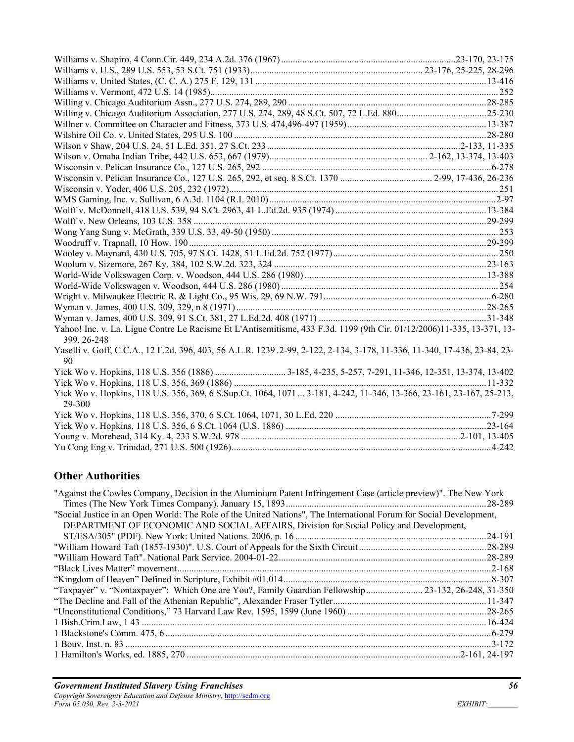| Yahoo! Inc. v. La. Ligue Contre Le Racisme Et L'Antisemitisme, 433 F.3d. 1199 (9th Cir. 01/12/2006)11-335, 13-371, 13-<br>399, 26-248 |  |
|---------------------------------------------------------------------------------------------------------------------------------------|--|
| Yaselli v. Goff, C.C.A., 12 F.2d. 396, 403, 56 A.L.R. 1239.2-99, 2-122, 2-134, 3-178, 11-336, 11-340, 17-436, 23-84, 23-<br>90        |  |
|                                                                                                                                       |  |
|                                                                                                                                       |  |
| Yick Wo v. Hopkins, 118 U.S. 356, 369, 6 S.Sup.Ct. 1064, 1071  3-181, 4-242, 11-346, 13-366, 23-161, 23-167, 25-213,<br>29-300        |  |
|                                                                                                                                       |  |
|                                                                                                                                       |  |
|                                                                                                                                       |  |
|                                                                                                                                       |  |

## **Other Authorities**

| "Against the Cowles Company, Decision in the Aluminium Patent Infringement Case (article preview)". The New York   |         |
|--------------------------------------------------------------------------------------------------------------------|---------|
|                                                                                                                    |         |
| "Social Justice in an Open World: The Role of the United Nations", The International Forum for Social Development, |         |
| DEPARTMENT OF ECONOMIC AND SOCIAL AFFAIRS, Division for Social Policy and Development,                             |         |
|                                                                                                                    | .24-191 |
|                                                                                                                    |         |
|                                                                                                                    |         |
|                                                                                                                    |         |
|                                                                                                                    |         |
| "Taxpayer" v. "Nontaxpayer": Which One are You?, Family Guardian Fellowship 23-132, 26-248, 31-350                 |         |
|                                                                                                                    |         |
|                                                                                                                    |         |
|                                                                                                                    |         |
|                                                                                                                    |         |
|                                                                                                                    |         |
|                                                                                                                    |         |
|                                                                                                                    |         |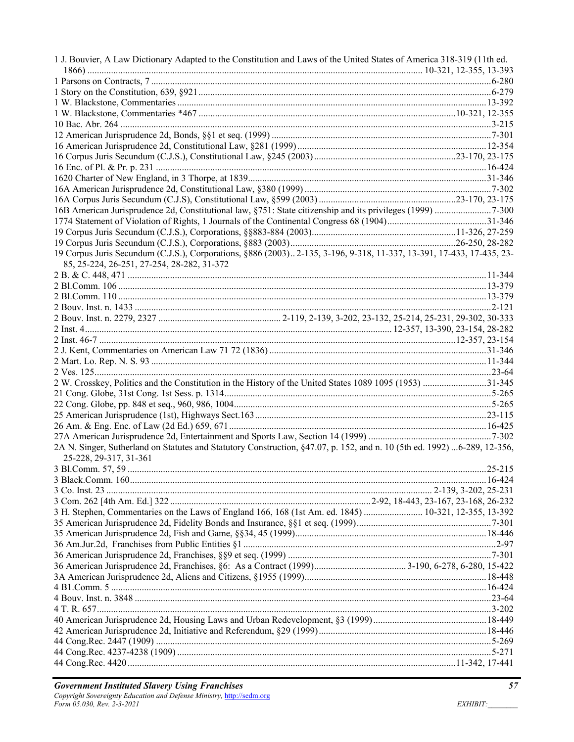| 1 J. Bouvier, A Law Dictionary Adapted to the Constitution and Laws of the United States of America 318-319 (11th ed.                              |  |
|----------------------------------------------------------------------------------------------------------------------------------------------------|--|
|                                                                                                                                                    |  |
|                                                                                                                                                    |  |
|                                                                                                                                                    |  |
|                                                                                                                                                    |  |
|                                                                                                                                                    |  |
|                                                                                                                                                    |  |
|                                                                                                                                                    |  |
|                                                                                                                                                    |  |
|                                                                                                                                                    |  |
|                                                                                                                                                    |  |
|                                                                                                                                                    |  |
|                                                                                                                                                    |  |
|                                                                                                                                                    |  |
|                                                                                                                                                    |  |
|                                                                                                                                                    |  |
|                                                                                                                                                    |  |
| 19 Corpus Juris Secundum (C.J.S.), Corporations, §886 (2003). 2-135, 3-196, 9-318, 11-337, 13-391, 17-433, 17-435, 23-                             |  |
| 85, 25-224, 26-251, 27-254, 28-282, 31-372                                                                                                         |  |
|                                                                                                                                                    |  |
|                                                                                                                                                    |  |
|                                                                                                                                                    |  |
|                                                                                                                                                    |  |
|                                                                                                                                                    |  |
|                                                                                                                                                    |  |
|                                                                                                                                                    |  |
|                                                                                                                                                    |  |
|                                                                                                                                                    |  |
|                                                                                                                                                    |  |
| 2 W. Crosskey, Politics and the Constitution in the History of the United States 1089 1095 (1953) 31-345                                           |  |
|                                                                                                                                                    |  |
|                                                                                                                                                    |  |
|                                                                                                                                                    |  |
|                                                                                                                                                    |  |
|                                                                                                                                                    |  |
| 2A N. Singer, Sutherland on Statutes and Statutory Construction, §47.07, p. 152, and n. 10 (5th ed. 1992) 6-289, 12-356,<br>25-228, 29-317, 31-361 |  |
|                                                                                                                                                    |  |
|                                                                                                                                                    |  |
|                                                                                                                                                    |  |
|                                                                                                                                                    |  |
| 3 H. Stephen, Commentaries on the Laws of England 166, 168 (1st Am. ed. 1845)  10-321, 12-355, 13-392                                              |  |
|                                                                                                                                                    |  |
|                                                                                                                                                    |  |
|                                                                                                                                                    |  |
|                                                                                                                                                    |  |
|                                                                                                                                                    |  |
|                                                                                                                                                    |  |
|                                                                                                                                                    |  |
|                                                                                                                                                    |  |
|                                                                                                                                                    |  |
|                                                                                                                                                    |  |
|                                                                                                                                                    |  |
|                                                                                                                                                    |  |
|                                                                                                                                                    |  |
|                                                                                                                                                    |  |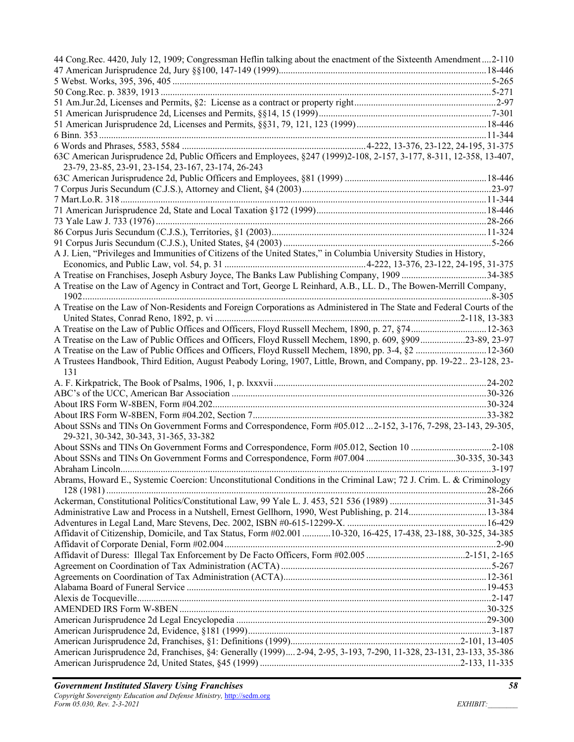| 44 Cong.Rec. 4420, July 12, 1909; Congressman Heflin talking about the enactment of the Sixteenth Amendment2-110                                                            |  |
|-----------------------------------------------------------------------------------------------------------------------------------------------------------------------------|--|
|                                                                                                                                                                             |  |
|                                                                                                                                                                             |  |
|                                                                                                                                                                             |  |
|                                                                                                                                                                             |  |
|                                                                                                                                                                             |  |
|                                                                                                                                                                             |  |
|                                                                                                                                                                             |  |
|                                                                                                                                                                             |  |
| 63C American Jurisprudence 2d, Public Officers and Employees, §247 (1999)2-108, 2-157, 3-177, 8-311, 12-358, 13-407,<br>23-79, 23-85, 23-91, 23-154, 23-167, 23-174, 26-243 |  |
|                                                                                                                                                                             |  |
|                                                                                                                                                                             |  |
|                                                                                                                                                                             |  |
|                                                                                                                                                                             |  |
|                                                                                                                                                                             |  |
|                                                                                                                                                                             |  |
|                                                                                                                                                                             |  |
| A J. Lien, "Privileges and Immunities of Citizens of the United States," in Columbia University Studies in History,                                                         |  |
|                                                                                                                                                                             |  |
|                                                                                                                                                                             |  |
| A Treatise on the Law of Agency in Contract and Tort, George L Reinhard, A.B., LL. D., The Bowen-Merrill Company,                                                           |  |
| A Treatise on the Law of Non-Residents and Foreign Corporations as Administered in The State and Federal Courts of the                                                      |  |
|                                                                                                                                                                             |  |
| A Treatise on the Law of Public Offices and Officers, Floyd Russell Mechem, 1890, p. 27, §74 12-363                                                                         |  |
| A Treatise on the Law of Public Offices and Officers, Floyd Russell Mechem, 1890, p. 609, §90923-89, 23-97                                                                  |  |
| A Treatise on the Law of Public Offices and Officers, Floyd Russell Mechem, 1890, pp. 3-4, §2  12-360                                                                       |  |
| A Trustees Handbook, Third Edition, August Peabody Loring, 1907, Little, Brown, and Company, pp. 19-22 23-128, 23-<br>131                                                   |  |
|                                                                                                                                                                             |  |
|                                                                                                                                                                             |  |
|                                                                                                                                                                             |  |
|                                                                                                                                                                             |  |
| About SSNs and TINs On Government Forms and Correspondence, Form #05.012  2-152, 3-176, 7-298, 23-143, 29-305,                                                              |  |
| 29-321, 30-342, 30-343, 31-365, 33-382                                                                                                                                      |  |
| About SSNs and TINs On Government Forms and Correspondence, Form #05.012, Section 10 2-108                                                                                  |  |
|                                                                                                                                                                             |  |
|                                                                                                                                                                             |  |
| Abrams, Howard E., Systemic Coercion: Unconstitutional Conditions in the Criminal Law; 72 J. Crim. L. & Criminology                                                         |  |
|                                                                                                                                                                             |  |
|                                                                                                                                                                             |  |
|                                                                                                                                                                             |  |
| Affidavit of Citizenship, Domicile, and Tax Status, Form #02.001 10-320, 16-425, 17-438, 23-188, 30-325, 34-385                                                             |  |
|                                                                                                                                                                             |  |
|                                                                                                                                                                             |  |
|                                                                                                                                                                             |  |
|                                                                                                                                                                             |  |
|                                                                                                                                                                             |  |
|                                                                                                                                                                             |  |
|                                                                                                                                                                             |  |
|                                                                                                                                                                             |  |
|                                                                                                                                                                             |  |
|                                                                                                                                                                             |  |
|                                                                                                                                                                             |  |
| American Jurisprudence 2d, Franchises, §4: Generally (1999) 2-94, 2-95, 3-193, 7-290, 11-328, 23-131, 23-133, 35-386                                                        |  |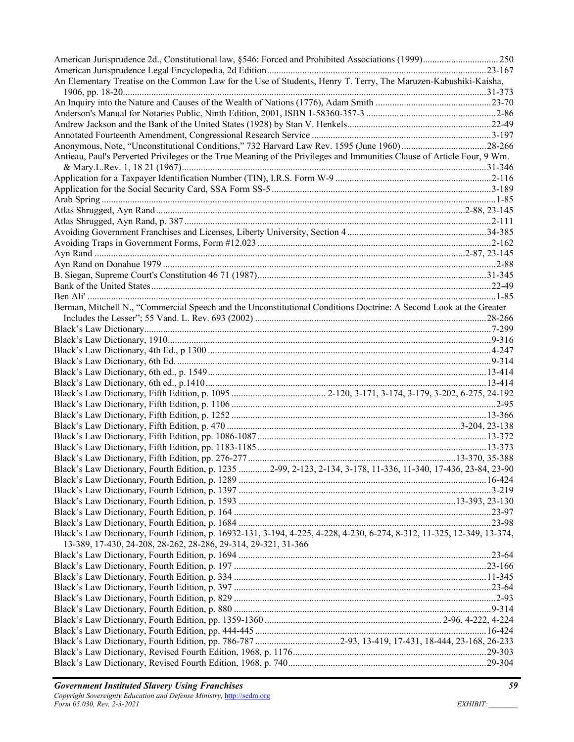| An Elementary Treatise on the Common Law for the Use of Students, Henry T. Terry, The Maruzen-Kabushiki-Kaisha,         |  |
|-------------------------------------------------------------------------------------------------------------------------|--|
|                                                                                                                         |  |
|                                                                                                                         |  |
|                                                                                                                         |  |
|                                                                                                                         |  |
|                                                                                                                         |  |
|                                                                                                                         |  |
| Antieau, Paul's Perverted Privileges or the True Meaning of the Privileges and Immunities Clause of Article Four, 9 Wm. |  |
|                                                                                                                         |  |
|                                                                                                                         |  |
|                                                                                                                         |  |
|                                                                                                                         |  |
|                                                                                                                         |  |
|                                                                                                                         |  |
|                                                                                                                         |  |
|                                                                                                                         |  |
|                                                                                                                         |  |
|                                                                                                                         |  |
|                                                                                                                         |  |
|                                                                                                                         |  |
|                                                                                                                         |  |
| Berman, Mitchell N., "Commercial Speech and the Unconstitutional Conditions Doctrine: A Second Look at the Greater      |  |
|                                                                                                                         |  |
|                                                                                                                         |  |
|                                                                                                                         |  |
|                                                                                                                         |  |
|                                                                                                                         |  |
|                                                                                                                         |  |
|                                                                                                                         |  |
|                                                                                                                         |  |
|                                                                                                                         |  |
|                                                                                                                         |  |
|                                                                                                                         |  |
|                                                                                                                         |  |
|                                                                                                                         |  |
|                                                                                                                         |  |
| Black's Law Dictionary, Fourth Edition, p. 1235  2-99, 2-123, 2-134, 3-178, 11-336, 11-340, 17-436, 23-84, 23-90        |  |
|                                                                                                                         |  |
|                                                                                                                         |  |
|                                                                                                                         |  |
|                                                                                                                         |  |
| Black's Law Dictionary, Fourth Edition, p. 16932-131, 3-194, 4-225, 4-228, 4-230, 6-274, 8-312, 11-325, 12-349, 13-374, |  |
| 13-389, 17-430, 24-208, 28-262, 28-286, 29-314, 29-321, 31-366                                                          |  |
|                                                                                                                         |  |
|                                                                                                                         |  |
|                                                                                                                         |  |
|                                                                                                                         |  |
|                                                                                                                         |  |
|                                                                                                                         |  |
|                                                                                                                         |  |
|                                                                                                                         |  |
|                                                                                                                         |  |
|                                                                                                                         |  |
|                                                                                                                         |  |
|                                                                                                                         |  |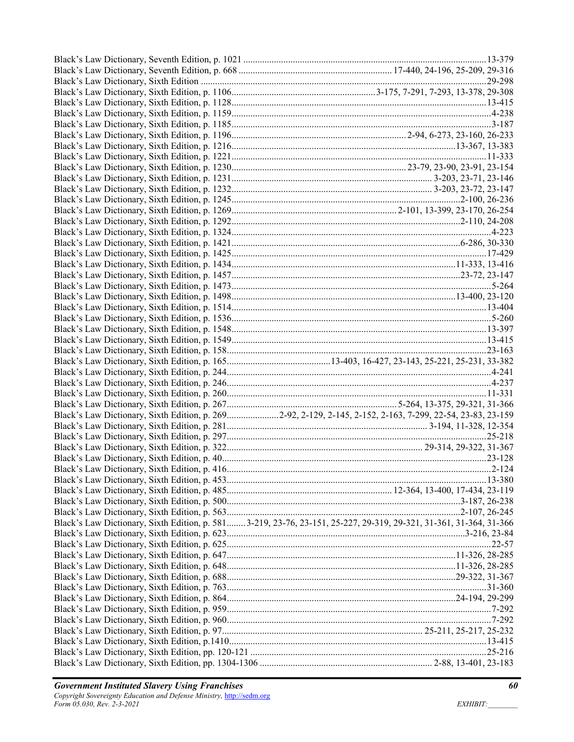| Black's Law Dictionary, Sixth Edition, p. 2692-92, 2-129, 2-145, 2-152, 2-163, 7-299, 22-54, 23-83, 23-159        |
|-------------------------------------------------------------------------------------------------------------------|
|                                                                                                                   |
|                                                                                                                   |
|                                                                                                                   |
|                                                                                                                   |
|                                                                                                                   |
|                                                                                                                   |
|                                                                                                                   |
|                                                                                                                   |
|                                                                                                                   |
|                                                                                                                   |
| Black's Law Dictionary, Sixth Edition, p. 5813-219, 23-76, 23-151, 25-227, 29-319, 29-321, 31-361, 31-364, 31-366 |
|                                                                                                                   |
|                                                                                                                   |
|                                                                                                                   |
|                                                                                                                   |
|                                                                                                                   |
|                                                                                                                   |
|                                                                                                                   |
|                                                                                                                   |
|                                                                                                                   |
|                                                                                                                   |
|                                                                                                                   |
|                                                                                                                   |
|                                                                                                                   |
|                                                                                                                   |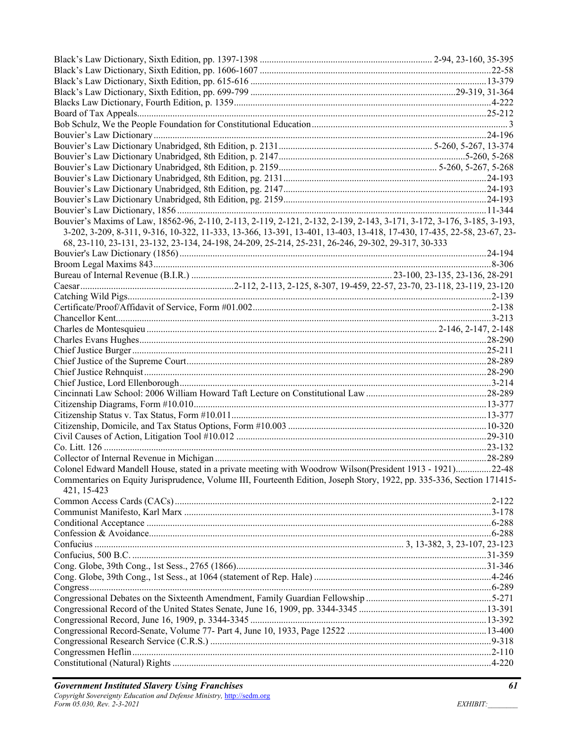| Bouvier's Maxims of Law, 18562-96, 2-110, 2-113, 2-119, 2-121, 2-132, 2-139, 2-143, 3-171, 3-172, 3-176, 3-185, 3-193,                |  |
|---------------------------------------------------------------------------------------------------------------------------------------|--|
| 3-202, 3-209, 8-311, 9-316, 10-322, 11-333, 13-366, 13-391, 13-401, 13-403, 13-418, 17-430, 17-435, 22-58, 23-67, 23-                 |  |
| 68, 23-110, 23-131, 23-132, 23-134, 24-198, 24-209, 25-214, 25-231, 26-246, 29-302, 29-317, 30-333                                    |  |
|                                                                                                                                       |  |
|                                                                                                                                       |  |
|                                                                                                                                       |  |
|                                                                                                                                       |  |
|                                                                                                                                       |  |
|                                                                                                                                       |  |
|                                                                                                                                       |  |
|                                                                                                                                       |  |
|                                                                                                                                       |  |
|                                                                                                                                       |  |
|                                                                                                                                       |  |
|                                                                                                                                       |  |
|                                                                                                                                       |  |
|                                                                                                                                       |  |
|                                                                                                                                       |  |
|                                                                                                                                       |  |
|                                                                                                                                       |  |
|                                                                                                                                       |  |
|                                                                                                                                       |  |
|                                                                                                                                       |  |
| Colonel Edward Mandell House, stated in a private meeting with Woodrow Wilson(President 1913 - 1921)22-48                             |  |
| Commentaries on Equity Jurisprudence, Volume III, Fourteenth Edition, Joseph Story, 1922, pp. 335-336, Section 171415-<br>421, 15-423 |  |
|                                                                                                                                       |  |
|                                                                                                                                       |  |
|                                                                                                                                       |  |
|                                                                                                                                       |  |
|                                                                                                                                       |  |
|                                                                                                                                       |  |
|                                                                                                                                       |  |
|                                                                                                                                       |  |
|                                                                                                                                       |  |
|                                                                                                                                       |  |
|                                                                                                                                       |  |
|                                                                                                                                       |  |
|                                                                                                                                       |  |
|                                                                                                                                       |  |
|                                                                                                                                       |  |
|                                                                                                                                       |  |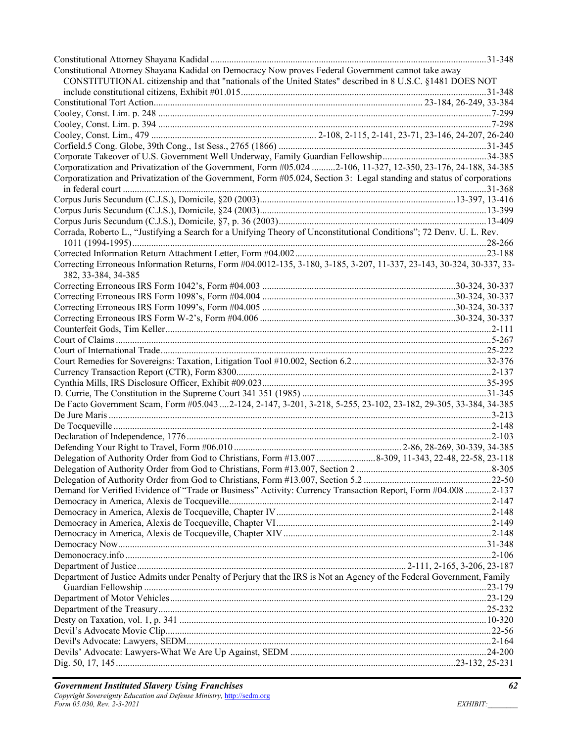| Constitutional Attorney Shayana Kadidal on Democracy Now proves Federal Government cannot take away                                          |  |
|----------------------------------------------------------------------------------------------------------------------------------------------|--|
| CONSTITUTIONAL citizenship and that "nationals of the United States" described in 8 U.S.C. §1481 DOES NOT                                    |  |
|                                                                                                                                              |  |
|                                                                                                                                              |  |
|                                                                                                                                              |  |
|                                                                                                                                              |  |
|                                                                                                                                              |  |
|                                                                                                                                              |  |
|                                                                                                                                              |  |
| Corporatization and Privatization of the Government, Form #05.024 2-106, 11-327, 12-350, 23-176, 24-188, 34-385                              |  |
| Corporatization and Privatization of the Government, Form #05.024, Section 3: Legal standing and status of corporations                      |  |
|                                                                                                                                              |  |
|                                                                                                                                              |  |
|                                                                                                                                              |  |
|                                                                                                                                              |  |
| Corrada, Roberto L., "Justifying a Search for a Unifying Theory of Unconstitutional Conditions"; 72 Denv. U. L. Rev.                         |  |
|                                                                                                                                              |  |
|                                                                                                                                              |  |
| Correcting Erroneous Information Returns, Form #04.0012-135, 3-180, 3-185, 3-207, 11-337, 23-143, 30-324, 30-337, 33-<br>382, 33-384, 34-385 |  |
|                                                                                                                                              |  |
|                                                                                                                                              |  |
|                                                                                                                                              |  |
|                                                                                                                                              |  |
|                                                                                                                                              |  |
|                                                                                                                                              |  |
|                                                                                                                                              |  |
|                                                                                                                                              |  |
|                                                                                                                                              |  |
|                                                                                                                                              |  |
|                                                                                                                                              |  |
| De Facto Government Scam, Form #05.043 2-124, 2-147, 3-201, 3-218, 5-255, 23-102, 23-182, 29-305, 33-384, 34-385                             |  |
|                                                                                                                                              |  |
|                                                                                                                                              |  |
|                                                                                                                                              |  |
|                                                                                                                                              |  |
|                                                                                                                                              |  |
|                                                                                                                                              |  |
|                                                                                                                                              |  |
| Demand for Verified Evidence of "Trade or Business" Activity: Currency Transaction Report, Form #04.008 2-137                                |  |
|                                                                                                                                              |  |
|                                                                                                                                              |  |
|                                                                                                                                              |  |
|                                                                                                                                              |  |
|                                                                                                                                              |  |
|                                                                                                                                              |  |
|                                                                                                                                              |  |
| Department of Justice Admits under Penalty of Perjury that the IRS is Not an Agency of the Federal Government, Family                        |  |
|                                                                                                                                              |  |
|                                                                                                                                              |  |
|                                                                                                                                              |  |
|                                                                                                                                              |  |
|                                                                                                                                              |  |
|                                                                                                                                              |  |
|                                                                                                                                              |  |
|                                                                                                                                              |  |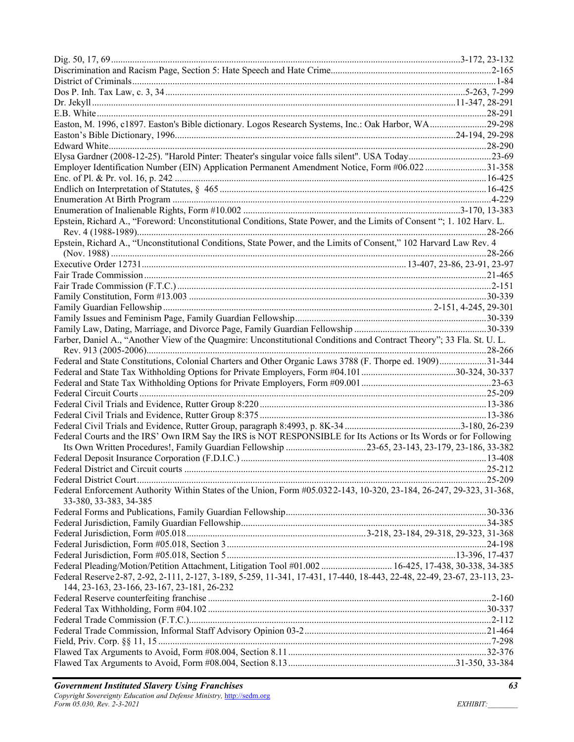| Easton, M. 1996, c1897. Easton's Bible dictionary. Logos Research Systems, Inc.: Oak Harbor, WA29-298                    |  |
|--------------------------------------------------------------------------------------------------------------------------|--|
|                                                                                                                          |  |
|                                                                                                                          |  |
| Elysa Gardner (2008-12-25). "Harold Pinter: Theater's singular voice falls silent". USA Today23-69                       |  |
| Employer Identification Number (EIN) Application Permanent Amendment Notice, Form #06.022 31-358                         |  |
|                                                                                                                          |  |
|                                                                                                                          |  |
|                                                                                                                          |  |
|                                                                                                                          |  |
| Epstein, Richard A., "Foreword: Unconstitutional Conditions, State Power, and the Limits of Consent "; 1. 102 Harv. L.   |  |
|                                                                                                                          |  |
| Epstein, Richard A., "Unconstitutional Conditions, State Power, and the Limits of Consent," 102 Harvard Law Rev. 4       |  |
|                                                                                                                          |  |
|                                                                                                                          |  |
|                                                                                                                          |  |
|                                                                                                                          |  |
|                                                                                                                          |  |
|                                                                                                                          |  |
|                                                                                                                          |  |
|                                                                                                                          |  |
| Farber, Daniel A., "Another View of the Quagmire: Unconstitutional Conditions and Contract Theory"; 33 Fla. St. U. L.    |  |
|                                                                                                                          |  |
| Federal and State Constitutions, Colonial Charters and Other Organic Laws 3788 (F. Thorpe ed. 1909)31-344                |  |
|                                                                                                                          |  |
|                                                                                                                          |  |
|                                                                                                                          |  |
|                                                                                                                          |  |
|                                                                                                                          |  |
|                                                                                                                          |  |
| Federal Courts and the IRS' Own IRM Say the IRS is NOT RESPONSIBLE for Its Actions or Its Words or for Following         |  |
| Its Own Written Procedures!, Family Guardian Fellowship 23-65, 23-143, 23-179, 23-186, 33-382                            |  |
|                                                                                                                          |  |
|                                                                                                                          |  |
|                                                                                                                          |  |
| Federal Enforcement Authority Within States of the Union, Form #05.0322-143, 10-320, 23-184, 26-247, 29-323, 31-368,     |  |
| 33-380, 33-383, 34-385                                                                                                   |  |
|                                                                                                                          |  |
|                                                                                                                          |  |
|                                                                                                                          |  |
|                                                                                                                          |  |
|                                                                                                                          |  |
| Federal Pleading/Motion/Petition Attachment, Litigation Tool #01.002  16-425, 17-438, 30-338, 34-385                     |  |
| Federal Reserve 2-87, 2-92, 2-111, 2-127, 3-189, 5-259, 11-341, 17-431, 17-440, 18-443, 22-48, 22-49, 23-67, 23-113, 23- |  |
| 144, 23-163, 23-166, 23-167, 23-181, 26-232                                                                              |  |
|                                                                                                                          |  |
|                                                                                                                          |  |
|                                                                                                                          |  |
|                                                                                                                          |  |
|                                                                                                                          |  |
|                                                                                                                          |  |
|                                                                                                                          |  |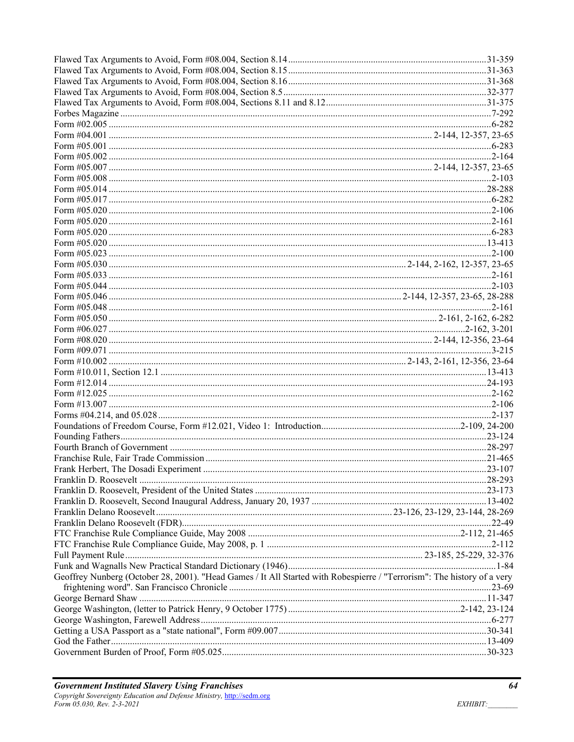| Geoffrey Nunberg (October 28, 2001). "Head Games / It All Started with Robespierre / "Terrorism": The history of a very |  |
|-------------------------------------------------------------------------------------------------------------------------|--|
|                                                                                                                         |  |
|                                                                                                                         |  |
|                                                                                                                         |  |
|                                                                                                                         |  |
|                                                                                                                         |  |
|                                                                                                                         |  |
|                                                                                                                         |  |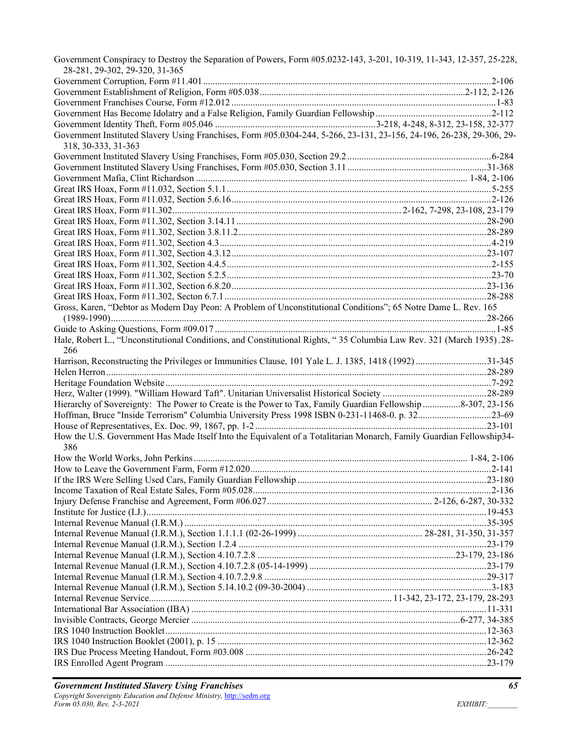| Government Conspiracy to Destroy the Separation of Powers, Form #05.0232-143, 3-201, 10-319, 11-343, 12-357, 25-228,<br>28-281, 29-302, 29-320, 31-365 |  |
|--------------------------------------------------------------------------------------------------------------------------------------------------------|--|
|                                                                                                                                                        |  |
|                                                                                                                                                        |  |
|                                                                                                                                                        |  |
|                                                                                                                                                        |  |
|                                                                                                                                                        |  |
| Government Instituted Slavery Using Franchises, Form #05.0304-244, 5-266, 23-131, 23-156, 24-196, 26-238, 29-306, 29-<br>318, 30-333, 31-363           |  |
|                                                                                                                                                        |  |
|                                                                                                                                                        |  |
|                                                                                                                                                        |  |
|                                                                                                                                                        |  |
|                                                                                                                                                        |  |
|                                                                                                                                                        |  |
|                                                                                                                                                        |  |
|                                                                                                                                                        |  |
|                                                                                                                                                        |  |
|                                                                                                                                                        |  |
|                                                                                                                                                        |  |
|                                                                                                                                                        |  |
|                                                                                                                                                        |  |
|                                                                                                                                                        |  |
| Gross, Karen, "Debtor as Modern Day Peon: A Problem of Unconstitutional Conditions"; 65 Notre Dame L. Rev. 165                                         |  |
|                                                                                                                                                        |  |
|                                                                                                                                                        |  |
| Hale, Robert L., "Unconstitutional Conditions, and Constitutional Rights, "35 Columbia Law Rev. 321 (March 1935).28-<br>266                            |  |
| Harrison, Reconstructing the Privileges or Immunities Clause, 101 Yale L. J. 1385, 1418 (1992) 31-345                                                  |  |
|                                                                                                                                                        |  |
|                                                                                                                                                        |  |
|                                                                                                                                                        |  |
| Hierarchy of Sovereignty: The Power to Create is the Power to Tax, Family Guardian Fellowship 8-307, 23-156                                            |  |
| Hoffman, Bruce "Inside Terrorism" Columbia University Press 1998 ISBN 0-231-11468-0. p. 3223-69                                                        |  |
|                                                                                                                                                        |  |
| How the U.S. Government Has Made Itself Into the Equivalent of a Totalitarian Monarch, Family Guardian Fellowship34-                                   |  |
| 386                                                                                                                                                    |  |
|                                                                                                                                                        |  |
|                                                                                                                                                        |  |
|                                                                                                                                                        |  |
|                                                                                                                                                        |  |
|                                                                                                                                                        |  |
|                                                                                                                                                        |  |
|                                                                                                                                                        |  |
|                                                                                                                                                        |  |
|                                                                                                                                                        |  |
|                                                                                                                                                        |  |
|                                                                                                                                                        |  |
|                                                                                                                                                        |  |
|                                                                                                                                                        |  |
|                                                                                                                                                        |  |
|                                                                                                                                                        |  |
|                                                                                                                                                        |  |
|                                                                                                                                                        |  |
|                                                                                                                                                        |  |
|                                                                                                                                                        |  |
|                                                                                                                                                        |  |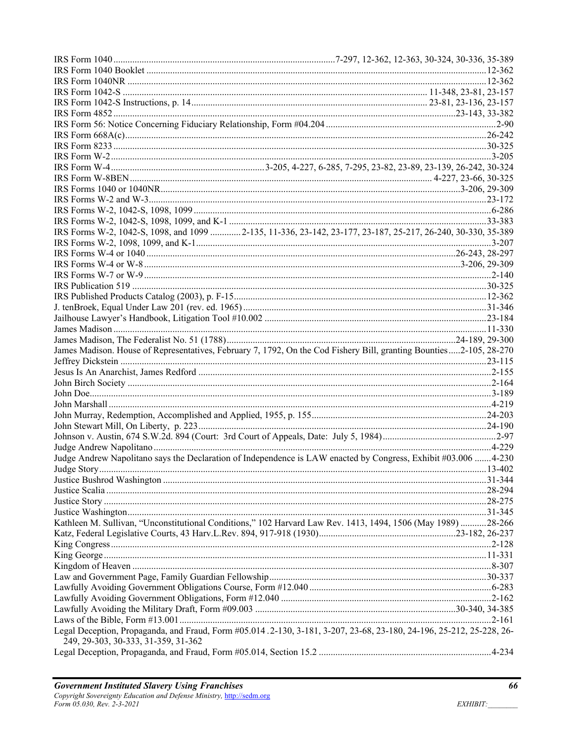| IRS Forms W-2, 1042-S, 1098, and 1099  2-135, 11-336, 23-142, 23-177, 23-187, 25-217, 26-240, 30-330, 35-389                                                |  |
|-------------------------------------------------------------------------------------------------------------------------------------------------------------|--|
|                                                                                                                                                             |  |
|                                                                                                                                                             |  |
|                                                                                                                                                             |  |
|                                                                                                                                                             |  |
|                                                                                                                                                             |  |
|                                                                                                                                                             |  |
|                                                                                                                                                             |  |
|                                                                                                                                                             |  |
|                                                                                                                                                             |  |
|                                                                                                                                                             |  |
| James Madison. House of Representatives, February 7, 1792, On the Cod Fishery Bill, granting Bounties2-105, 28-270                                          |  |
|                                                                                                                                                             |  |
|                                                                                                                                                             |  |
|                                                                                                                                                             |  |
|                                                                                                                                                             |  |
|                                                                                                                                                             |  |
|                                                                                                                                                             |  |
|                                                                                                                                                             |  |
|                                                                                                                                                             |  |
|                                                                                                                                                             |  |
|                                                                                                                                                             |  |
| Judge Andrew Napolitano says the Declaration of Independence is LAW enacted by Congress, Exhibit #03.006 4-230                                              |  |
| Judge Story                                                                                                                                                 |  |
|                                                                                                                                                             |  |
|                                                                                                                                                             |  |
|                                                                                                                                                             |  |
|                                                                                                                                                             |  |
| Kathleen M. Sullivan, "Unconstitutional Conditions," 102 Harvard Law Rev. 1413, 1494, 1506 (May 1989) 28-266                                                |  |
|                                                                                                                                                             |  |
|                                                                                                                                                             |  |
|                                                                                                                                                             |  |
|                                                                                                                                                             |  |
|                                                                                                                                                             |  |
|                                                                                                                                                             |  |
|                                                                                                                                                             |  |
|                                                                                                                                                             |  |
|                                                                                                                                                             |  |
| Legal Deception, Propaganda, and Fraud, Form #05.014.2-130, 3-181, 3-207, 23-68, 23-180, 24-196, 25-212, 25-228, 26-<br>249, 29-303, 30-333, 31-359, 31-362 |  |
|                                                                                                                                                             |  |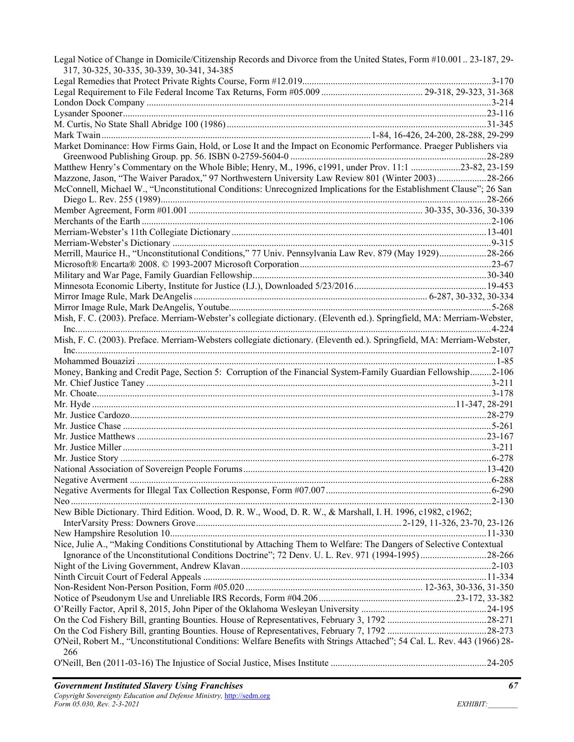| Legal Notice of Change in Domicile/Citizenship Records and Divorce from the United States, Form #10.001 23-187, 29-<br>317, 30-325, 30-335, 30-339, 30-341, 34-385 |  |
|--------------------------------------------------------------------------------------------------------------------------------------------------------------------|--|
|                                                                                                                                                                    |  |
|                                                                                                                                                                    |  |
|                                                                                                                                                                    |  |
|                                                                                                                                                                    |  |
|                                                                                                                                                                    |  |
|                                                                                                                                                                    |  |
| Market Dominance: How Firms Gain, Hold, or Lose It and the Impact on Economic Performance. Praeger Publishers via                                                  |  |
|                                                                                                                                                                    |  |
| Matthew Henry's Commentary on the Whole Bible; Henry, M., 1996, c1991, under Prov. 11:1 23-82, 23-159                                                              |  |
| Mazzone, Jason, "The Waiver Paradox," 97 Northwestern University Law Review 801 (Winter 2003)28-266                                                                |  |
| McConnell, Michael W., "Unconstitutional Conditions: Unrecognized Implications for the Establishment Clause"; 26 San                                               |  |
|                                                                                                                                                                    |  |
|                                                                                                                                                                    |  |
|                                                                                                                                                                    |  |
|                                                                                                                                                                    |  |
|                                                                                                                                                                    |  |
| Merrill, Maurice H., "Unconstitutional Conditions," 77 Univ. Pennsylvania Law Rev. 879 (May 1929)28-266                                                            |  |
|                                                                                                                                                                    |  |
|                                                                                                                                                                    |  |
|                                                                                                                                                                    |  |
|                                                                                                                                                                    |  |
|                                                                                                                                                                    |  |
| Mish, F. C. (2003). Preface. Merriam-Webster's collegiate dictionary. (Eleventh ed.). Springfield, MA: Merriam-Webster,                                            |  |
|                                                                                                                                                                    |  |
| Mish, F. C. (2003). Preface. Merriam-Websters collegiate dictionary. (Eleventh ed.). Springfield, MA: Merriam-Webster,                                             |  |
|                                                                                                                                                                    |  |
|                                                                                                                                                                    |  |
| Money, Banking and Credit Page, Section 5: Corruption of the Financial System-Family Guardian Fellowship2-106                                                      |  |
|                                                                                                                                                                    |  |
|                                                                                                                                                                    |  |
|                                                                                                                                                                    |  |
|                                                                                                                                                                    |  |
|                                                                                                                                                                    |  |
|                                                                                                                                                                    |  |
|                                                                                                                                                                    |  |
|                                                                                                                                                                    |  |
|                                                                                                                                                                    |  |
|                                                                                                                                                                    |  |
|                                                                                                                                                                    |  |
|                                                                                                                                                                    |  |
| New Bible Dictionary. Third Edition. Wood, D. R. W., Wood, D. R. W., & Marshall, I. H. 1996, c1982, c1962;                                                         |  |
|                                                                                                                                                                    |  |
|                                                                                                                                                                    |  |
| Nice, Julie A., "Making Conditions Constitutional by Attaching Them to Welfare: The Dangers of Selective Contextual                                                |  |
| Ignorance of the Unconstitutional Conditions Doctrine"; 72 Denv. U. L. Rev. 971 (1994-1995)28-266                                                                  |  |
|                                                                                                                                                                    |  |
|                                                                                                                                                                    |  |
|                                                                                                                                                                    |  |
|                                                                                                                                                                    |  |
|                                                                                                                                                                    |  |
|                                                                                                                                                                    |  |
|                                                                                                                                                                    |  |
| O'Neil, Robert M., "Unconstitutional Conditions: Welfare Benefits with Strings Attached"; 54 Cal. L. Rev. 443 (1966) 28-<br>266                                    |  |
|                                                                                                                                                                    |  |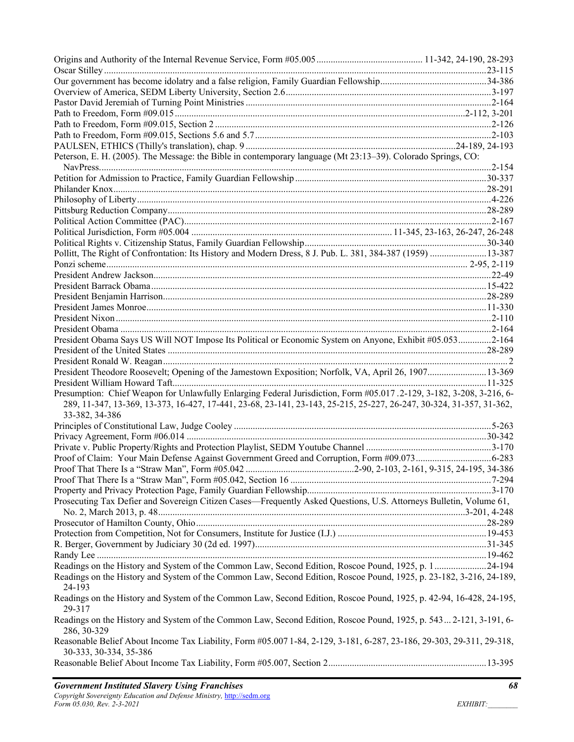| Peterson, E. H. (2005). The Message: the Bible in contemporary language (Mt 23:13-39). Colorado Springs, CO:                                    |  |
|-------------------------------------------------------------------------------------------------------------------------------------------------|--|
|                                                                                                                                                 |  |
|                                                                                                                                                 |  |
|                                                                                                                                                 |  |
|                                                                                                                                                 |  |
|                                                                                                                                                 |  |
|                                                                                                                                                 |  |
|                                                                                                                                                 |  |
|                                                                                                                                                 |  |
| Pollitt, The Right of Confrontation: Its History and Modern Dress, 8 J. Pub. L. 381, 384-387 (1959)  13-387                                     |  |
|                                                                                                                                                 |  |
|                                                                                                                                                 |  |
|                                                                                                                                                 |  |
|                                                                                                                                                 |  |
|                                                                                                                                                 |  |
|                                                                                                                                                 |  |
|                                                                                                                                                 |  |
| President Obama Says US Will NOT Impose Its Political or Economic System on Anyone, Exhibit #05.0532-164                                        |  |
|                                                                                                                                                 |  |
|                                                                                                                                                 |  |
| President Theodore Roosevelt; Opening of the Jamestown Exposition; Norfolk, VA, April 26, 190713-369                                            |  |
|                                                                                                                                                 |  |
| Presumption: Chief Weapon for Unlawfully Enlarging Federal Jurisdiction, Form #05.017.2-129, 3-182, 3-208, 3-216, 6-                            |  |
| 289, 11-347, 13-369, 13-373, 16-427, 17-441, 23-68, 23-141, 23-143, 25-215, 25-227, 26-247, 30-324, 31-357, 31-362,<br>33-382, 34-386           |  |
|                                                                                                                                                 |  |
|                                                                                                                                                 |  |
|                                                                                                                                                 |  |
|                                                                                                                                                 |  |
|                                                                                                                                                 |  |
|                                                                                                                                                 |  |
|                                                                                                                                                 |  |
| Prosecuting Tax Defier and Sovereign Citizen Cases-Frequently Asked Questions, U.S. Attorneys Bulletin, Volume 61,                              |  |
|                                                                                                                                                 |  |
|                                                                                                                                                 |  |
|                                                                                                                                                 |  |
|                                                                                                                                                 |  |
|                                                                                                                                                 |  |
| Readings on the History and System of the Common Law, Second Edition, Roscoe Pound, 1925, p. 124-194                                            |  |
| Readings on the History and System of the Common Law, Second Edition, Roscoe Pound, 1925, p. 23-182, 3-216, 24-189,<br>24-193                   |  |
| Readings on the History and System of the Common Law, Second Edition, Roscoe Pound, 1925, p. 42-94, 16-428, 24-195,<br>29-317                   |  |
| Readings on the History and System of the Common Law, Second Edition, Roscoe Pound, 1925, p. 543 2-121, 3-191, 6-<br>286, 30-329                |  |
| Reasonable Belief About Income Tax Liability, Form #05.007 1-84, 2-129, 3-181, 6-287, 23-186, 29-303, 29-311, 29-318,<br>30-333, 30-334, 35-386 |  |
|                                                                                                                                                 |  |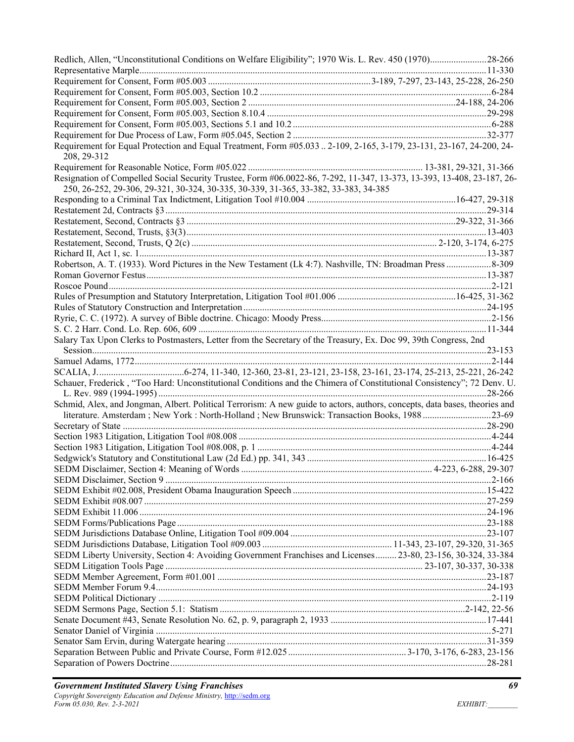| Redlich, Allen, "Unconstitutional Conditions on Welfare Eligibility"; 1970 Wis. L. Rev. 450 (1970)28-266                            |  |
|-------------------------------------------------------------------------------------------------------------------------------------|--|
|                                                                                                                                     |  |
|                                                                                                                                     |  |
|                                                                                                                                     |  |
|                                                                                                                                     |  |
|                                                                                                                                     |  |
|                                                                                                                                     |  |
|                                                                                                                                     |  |
| Requirement for Equal Protection and Equal Treatment, Form #05.033  2-109, 2-165, 3-179, 23-131, 23-167, 24-200, 24-<br>208, 29-312 |  |
|                                                                                                                                     |  |
| Resignation of Compelled Social Security Trustee, Form #06.0022-86, 7-292, 11-347, 13-373, 13-393, 13-408, 23-187, 26-              |  |
| 250, 26-252, 29-306, 29-321, 30-324, 30-335, 30-339, 31-365, 33-382, 33-383, 34-385                                                 |  |
|                                                                                                                                     |  |
|                                                                                                                                     |  |
|                                                                                                                                     |  |
|                                                                                                                                     |  |
|                                                                                                                                     |  |
|                                                                                                                                     |  |
|                                                                                                                                     |  |
|                                                                                                                                     |  |
|                                                                                                                                     |  |
|                                                                                                                                     |  |
|                                                                                                                                     |  |
|                                                                                                                                     |  |
|                                                                                                                                     |  |
| Salary Tax Upon Clerks to Postmasters, Letter from the Secretary of the Treasury, Ex. Doc 99, 39th Congress, 2nd                    |  |
|                                                                                                                                     |  |
|                                                                                                                                     |  |
|                                                                                                                                     |  |
| Schauer, Frederick, "Too Hard: Unconstitutional Conditions and the Chimera of Constitutional Consistency"; 72 Denv. U.              |  |
|                                                                                                                                     |  |
| Schmid, Alex, and Jongman, Albert. Political Terrorism: A new guide to actors, authors, concepts, data bases, theories and          |  |
| literature. Amsterdam ; New York : North-Holland ; New Brunswick: Transaction Books, 198823-69                                      |  |
|                                                                                                                                     |  |
|                                                                                                                                     |  |
|                                                                                                                                     |  |
|                                                                                                                                     |  |
|                                                                                                                                     |  |
|                                                                                                                                     |  |
|                                                                                                                                     |  |
|                                                                                                                                     |  |
|                                                                                                                                     |  |
|                                                                                                                                     |  |
|                                                                                                                                     |  |
|                                                                                                                                     |  |
| SEDM Liberty University, Section 4: Avoiding Government Franchises and Licenses 23-80, 23-156, 30-324, 33-384                       |  |
|                                                                                                                                     |  |
|                                                                                                                                     |  |
|                                                                                                                                     |  |
|                                                                                                                                     |  |
|                                                                                                                                     |  |
|                                                                                                                                     |  |
|                                                                                                                                     |  |
|                                                                                                                                     |  |
|                                                                                                                                     |  |
|                                                                                                                                     |  |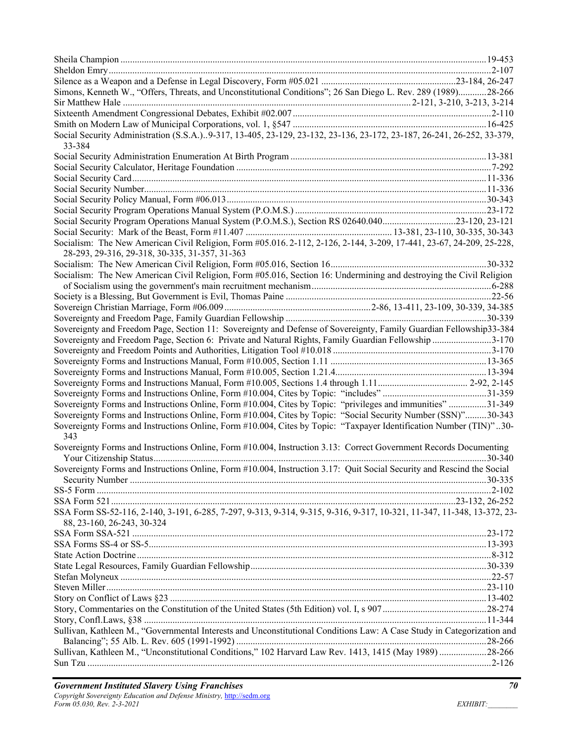| Simons, Kenneth W., "Offers, Threats, and Unconstitutional Conditions"; 26 San Diego L. Rev. 289 (1989)28-266                                                                                                                       |  |
|-------------------------------------------------------------------------------------------------------------------------------------------------------------------------------------------------------------------------------------|--|
|                                                                                                                                                                                                                                     |  |
|                                                                                                                                                                                                                                     |  |
|                                                                                                                                                                                                                                     |  |
| Social Security Administration (S.S.A.)9-317, 13-405, 23-129, 23-132, 23-136, 23-172, 23-187, 26-241, 26-252, 33-379,<br>33-384                                                                                                     |  |
|                                                                                                                                                                                                                                     |  |
|                                                                                                                                                                                                                                     |  |
|                                                                                                                                                                                                                                     |  |
|                                                                                                                                                                                                                                     |  |
|                                                                                                                                                                                                                                     |  |
|                                                                                                                                                                                                                                     |  |
| Social Security Program Operations Manual System (P.O.M.S.), Section RS 02640.04023-120, 23-121                                                                                                                                     |  |
|                                                                                                                                                                                                                                     |  |
| Socialism: The New American Civil Religion, Form #05.016.2-112, 2-126, 2-144, 3-209, 17-441, 23-67, 24-209, 25-228,                                                                                                                 |  |
| 28-293, 29-316, 29-318, 30-335, 31-357, 31-363                                                                                                                                                                                      |  |
|                                                                                                                                                                                                                                     |  |
| Socialism: The New American Civil Religion, Form #05.016, Section 16: Undermining and destroying the Civil Religion                                                                                                                 |  |
|                                                                                                                                                                                                                                     |  |
|                                                                                                                                                                                                                                     |  |
|                                                                                                                                                                                                                                     |  |
|                                                                                                                                                                                                                                     |  |
| Sovereignty and Freedom Page, Section 11: Sovereignty and Defense of Sovereignty, Family Guardian Fellowship33-384                                                                                                                  |  |
| Sovereignty and Freedom Page, Section 6: Private and Natural Rights, Family Guardian Fellowship 3-170                                                                                                                               |  |
|                                                                                                                                                                                                                                     |  |
|                                                                                                                                                                                                                                     |  |
|                                                                                                                                                                                                                                     |  |
|                                                                                                                                                                                                                                     |  |
|                                                                                                                                                                                                                                     |  |
| Sovereignty Forms and Instructions Online, Form #10.004, Cites by Topic: "privileges and immunities"31-349                                                                                                                          |  |
| Sovereignty Forms and Instructions Online, Form #10.004, Cites by Topic: "Social Security Number (SSN)"30-343<br>Sovereignty Forms and Instructions Online, Form #10.004, Cites by Topic: "Taxpayer Identification Number (TIN)"30- |  |
| 343<br>Sovereignty Forms and Instructions Online, Form #10.004, Instruction 3.13: Correct Government Records Documenting                                                                                                            |  |
|                                                                                                                                                                                                                                     |  |
| Sovereignty Forms and Instructions Online, Form #10.004, Instruction 3.17: Quit Social Security and Rescind the Social                                                                                                              |  |
|                                                                                                                                                                                                                                     |  |
|                                                                                                                                                                                                                                     |  |
|                                                                                                                                                                                                                                     |  |
| SSA Form SS-52-116, 2-140, 3-191, 6-285, 7-297, 9-313, 9-314, 9-315, 9-316, 9-317, 10-321, 11-347, 11-348, 13-372, 23-                                                                                                              |  |
| 88, 23-160, 26-243, 30-324                                                                                                                                                                                                          |  |
|                                                                                                                                                                                                                                     |  |
|                                                                                                                                                                                                                                     |  |
|                                                                                                                                                                                                                                     |  |
|                                                                                                                                                                                                                                     |  |
|                                                                                                                                                                                                                                     |  |
|                                                                                                                                                                                                                                     |  |
|                                                                                                                                                                                                                                     |  |
|                                                                                                                                                                                                                                     |  |
|                                                                                                                                                                                                                                     |  |
| Sullivan, Kathleen M., "Governmental Interests and Unconstitutional Conditions Law: A Case Study in Categorization and                                                                                                              |  |
| Sullivan, Kathleen M., "Unconstitutional Conditions," 102 Harvard Law Rev. 1413, 1415 (May 1989) 28-266                                                                                                                             |  |
|                                                                                                                                                                                                                                     |  |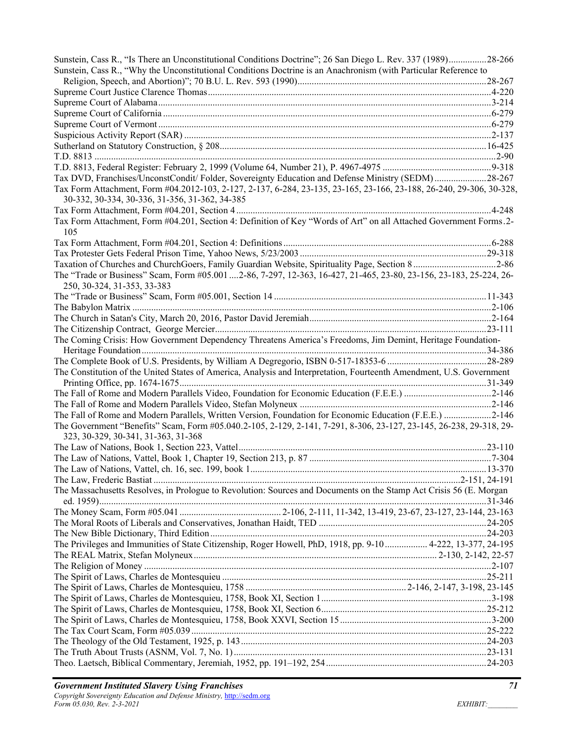| Sunstein, Cass R., "Is There an Unconstitutional Conditions Doctrine"; 26 San Diego L. Rev. 337 (1989)28-266                                      |  |
|---------------------------------------------------------------------------------------------------------------------------------------------------|--|
| Sunstein, Cass R., "Why the Unconstitutional Conditions Doctrine is an Anachronism (with Particular Reference to                                  |  |
|                                                                                                                                                   |  |
|                                                                                                                                                   |  |
|                                                                                                                                                   |  |
|                                                                                                                                                   |  |
|                                                                                                                                                   |  |
|                                                                                                                                                   |  |
|                                                                                                                                                   |  |
|                                                                                                                                                   |  |
|                                                                                                                                                   |  |
| Tax DVD, Franchises/UnconstCondit/Folder, Sovereignty Education and Defense Ministry (SEDM)28-267                                                 |  |
| Tax Form Attachment, Form #04.2012-103, 2-127, 2-137, 6-284, 23-135, 23-165, 23-166, 23-188, 26-240, 29-306, 30-328,                              |  |
| 30-332, 30-334, 30-336, 31-356, 31-362, 34-385                                                                                                    |  |
| Tax Form Attachment, Form #04.201, Section 4: Definition of Key "Words of Art" on all Attached Government Forms.2-                                |  |
| 105                                                                                                                                               |  |
|                                                                                                                                                   |  |
|                                                                                                                                                   |  |
| Taxation of Churches and ChurchGoers, Family Guardian Website, Spirituality Page, Section 82-86                                                   |  |
| The "Trade or Business" Scam, Form #05.001 2-86, 7-297, 12-363, 16-427, 21-465, 23-80, 23-156, 23-183, 25-224, 26-<br>250, 30-324, 31-353, 33-383 |  |
|                                                                                                                                                   |  |
|                                                                                                                                                   |  |
|                                                                                                                                                   |  |
|                                                                                                                                                   |  |
| The Coming Crisis: How Government Dependency Threatens America's Freedoms, Jim Demint, Heritage Foundation-                                       |  |
|                                                                                                                                                   |  |
|                                                                                                                                                   |  |
| The Constitution of the United States of America, Analysis and Interpretation, Fourteenth Amendment, U.S. Government                              |  |
|                                                                                                                                                   |  |
|                                                                                                                                                   |  |
|                                                                                                                                                   |  |
| The Fall of Rome and Modern Parallels, Written Version, Foundation for Economic Education (F.E.E.) 2-146                                          |  |
| The Government "Benefits" Scam, Form #05.040.2-105, 2-129, 2-141, 7-291, 8-306, 23-127, 23-145, 26-238, 29-318, 29-                               |  |
| 323, 30-329, 30-341, 31-363, 31-368                                                                                                               |  |
|                                                                                                                                                   |  |
|                                                                                                                                                   |  |
|                                                                                                                                                   |  |
|                                                                                                                                                   |  |
| The Massachusetts Resolves, in Prologue to Revolution: Sources and Documents on the Stamp Act Crisis 56 (E. Morgan                                |  |
|                                                                                                                                                   |  |
|                                                                                                                                                   |  |
|                                                                                                                                                   |  |
|                                                                                                                                                   |  |
| The Privileges and Immunities of State Citizenship, Roger Howell, PhD, 1918, pp. 9-10 4-222, 13-377, 24-195                                       |  |
|                                                                                                                                                   |  |
|                                                                                                                                                   |  |
|                                                                                                                                                   |  |
|                                                                                                                                                   |  |
|                                                                                                                                                   |  |
|                                                                                                                                                   |  |
|                                                                                                                                                   |  |
|                                                                                                                                                   |  |
|                                                                                                                                                   |  |
|                                                                                                                                                   |  |
|                                                                                                                                                   |  |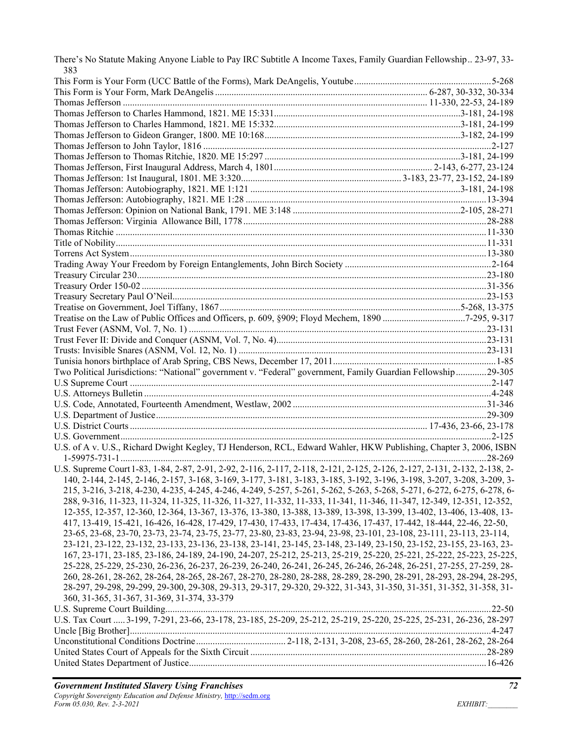| There's No Statute Making Anyone Liable to Pay IRC Subtitle A Income Taxes, Family Guardian Fellowship 23-97, 33-<br>383  |  |
|---------------------------------------------------------------------------------------------------------------------------|--|
|                                                                                                                           |  |
|                                                                                                                           |  |
|                                                                                                                           |  |
|                                                                                                                           |  |
|                                                                                                                           |  |
|                                                                                                                           |  |
|                                                                                                                           |  |
|                                                                                                                           |  |
|                                                                                                                           |  |
|                                                                                                                           |  |
|                                                                                                                           |  |
|                                                                                                                           |  |
|                                                                                                                           |  |
|                                                                                                                           |  |
|                                                                                                                           |  |
|                                                                                                                           |  |
|                                                                                                                           |  |
|                                                                                                                           |  |
|                                                                                                                           |  |
|                                                                                                                           |  |
|                                                                                                                           |  |
|                                                                                                                           |  |
| Treatise on the Law of Public Offices and Officers, p. 609, §909; Floyd Mechem, 1890 7-295, 9-317                         |  |
|                                                                                                                           |  |
|                                                                                                                           |  |
|                                                                                                                           |  |
|                                                                                                                           |  |
| Two Political Jurisdictions: "National" government v. "Federal" government, Family Guardian Fellowship29-305              |  |
|                                                                                                                           |  |
|                                                                                                                           |  |
|                                                                                                                           |  |
|                                                                                                                           |  |
|                                                                                                                           |  |
|                                                                                                                           |  |
| U.S. of A v. U.S., Richard Dwight Kegley, TJ Henderson, RCL, Edward Wahler, HKW Publishing, Chapter 3, 2006, ISBN         |  |
| U.S. Supreme Court 1-83, 1-84, 2-87, 2-91, 2-92, 2-116, 2-117, 2-118, 2-121, 2-125, 2-126, 2-127, 2-131, 2-132, 2-138, 2- |  |
| 140, 2-144, 2-145, 2-146, 2-157, 3-168, 3-169, 3-177, 3-181, 3-183, 3-185, 3-192, 3-196, 3-198, 3-207, 3-208, 3-209, 3-   |  |
| 215, 3-216, 3-218, 4-230, 4-235, 4-245, 4-246, 4-249, 5-257, 5-261, 5-262, 5-263, 5-268, 5-271, 6-272, 6-275, 6-278, 6-   |  |
| 288, 9-316, 11-323, 11-324, 11-325, 11-326, 11-327, 11-332, 11-333, 11-341, 11-346, 11-347, 12-349, 12-351, 12-352,       |  |
| 12-355, 12-357, 12-360, 12-364, 13-367, 13-376, 13-380, 13-388, 13-389, 13-398, 13-399, 13-402, 13-406, 13-408, 13-       |  |
| 417, 13-419, 15-421, 16-426, 16-428, 17-429, 17-430, 17-433, 17-434, 17-436, 17-437, 17-442, 18-444, 22-46, 22-50,        |  |
| 23-65, 23-68, 23-70, 23-73, 23-74, 23-75, 23-77, 23-80, 23-83, 23-94, 23-98, 23-101, 23-108, 23-111, 23-113, 23-114,      |  |
| 23-121, 23-122, 23-132, 23-133, 23-136, 23-138, 23-141, 23-145, 23-148, 23-149, 23-150, 23-152, 23-155, 23-163, 23-       |  |
| 167, 23-171, 23-185, 23-186, 24-189, 24-190, 24-207, 25-212, 25-213, 25-219, 25-220, 25-221, 25-222, 25-223, 25-225,      |  |
| 25-228, 25-229, 25-230, 26-236, 26-237, 26-239, 26-240, 26-241, 26-245, 26-246, 26-248, 26-251, 27-255, 27-259, 28-       |  |
| 260, 28-261, 28-262, 28-264, 28-265, 28-267, 28-270, 28-280, 28-288, 28-289, 28-290, 28-291, 28-293, 28-294, 28-295,      |  |
| 28-297, 29-298, 29-299, 29-300, 29-308, 29-313, 29-317, 29-320, 29-322, 31-343, 31-350, 31-351, 31-352, 31-358, 31-       |  |
| 360, 31-365, 31-367, 31-369, 31-374, 33-379                                                                               |  |
|                                                                                                                           |  |
| U.S. Tax Court  3-199, 7-291, 23-66, 23-178, 23-185, 25-209, 25-212, 25-219, 25-220, 25-225, 25-231, 26-236, 28-297       |  |
|                                                                                                                           |  |
|                                                                                                                           |  |
|                                                                                                                           |  |
|                                                                                                                           |  |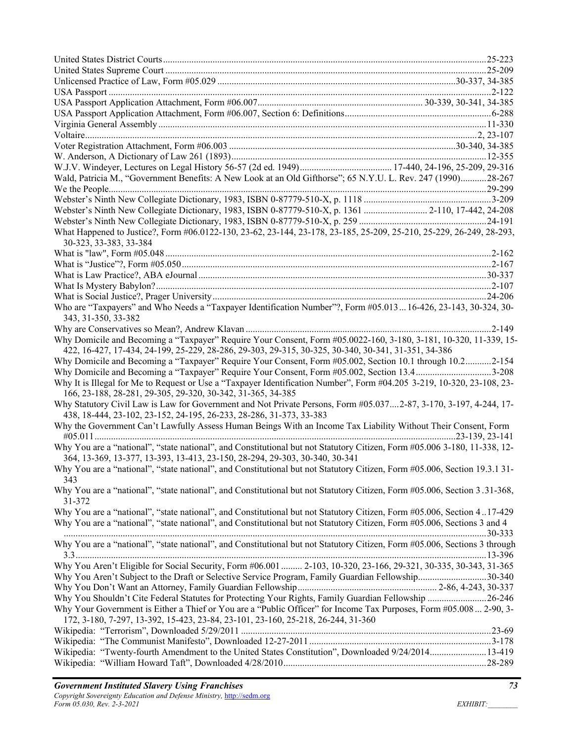| Wald, Patricia M., "Government Benefits: A New Look at an Old Gifthorse"; 65 N.Y.U. L. Rev. 247 (1990)28-267                                                                                                             |  |
|--------------------------------------------------------------------------------------------------------------------------------------------------------------------------------------------------------------------------|--|
|                                                                                                                                                                                                                          |  |
|                                                                                                                                                                                                                          |  |
| Webster's Ninth New Collegiate Dictionary, 1983, ISBN 0-87779-510-X, p. 1361  2-110, 17-442, 24-208                                                                                                                      |  |
|                                                                                                                                                                                                                          |  |
| What Happened to Justice?, Form #06.0122-130, 23-62, 23-144, 23-178, 23-185, 25-209, 25-210, 25-229, 26-249, 28-293,                                                                                                     |  |
| 30-323, 33-383, 33-384                                                                                                                                                                                                   |  |
|                                                                                                                                                                                                                          |  |
|                                                                                                                                                                                                                          |  |
|                                                                                                                                                                                                                          |  |
|                                                                                                                                                                                                                          |  |
|                                                                                                                                                                                                                          |  |
| Who are "Taxpayers" and Who Needs a "Taxpayer Identification Number"?, Form #05.013  16-426, 23-143, 30-324, 30-                                                                                                         |  |
| 343, 31-350, 33-382                                                                                                                                                                                                      |  |
|                                                                                                                                                                                                                          |  |
| Why Domicile and Becoming a "Taxpayer" Require Your Consent, Form #05.0022-160, 3-180, 3-181, 10-320, 11-339, 15-<br>422, 16-427, 17-434, 24-199, 25-229, 28-286, 29-303, 29-315, 30-325, 30-340, 30-341, 31-351, 34-386 |  |
| Why Domicile and Becoming a "Taxpayer" Require Your Consent, Form #05.002, Section 10.1 through 10.22-154                                                                                                                |  |
| Why Domicile and Becoming a "Taxpayer" Require Your Consent, Form #05.002, Section 13.43-208                                                                                                                             |  |
| Why It is Illegal for Me to Request or Use a "Taxpayer Identification Number", Form #04.205 3-219, 10-320, 23-108, 23-                                                                                                   |  |
| 166, 23-188, 28-281, 29-305, 29-320, 30-342, 31-365, 34-385                                                                                                                                                              |  |
| Why Statutory Civil Law is Law for Government and Not Private Persons, Form #05.0372-87, 3-170, 3-197, 4-244, 17-<br>438, 18-444, 23-102, 23-152, 24-195, 26-233, 28-286, 31-373, 33-383                                 |  |
| Why the Government Can't Lawfully Assess Human Beings With an Income Tax Liability Without Their Consent, Form                                                                                                           |  |
| Why You are a "national", "state national", and Constitutional but not Statutory Citizen, Form #05.006 3-180, 11-338, 12-                                                                                                |  |
| 364, 13-369, 13-377, 13-393, 13-413, 23-150, 28-294, 29-303, 30-340, 30-341                                                                                                                                              |  |
| Why You are a "national", "state national", and Constitutional but not Statutory Citizen, Form #05.006, Section 19.3.131-                                                                                                |  |
| 343                                                                                                                                                                                                                      |  |
| Why You are a "national", "state national", and Constitutional but not Statutory Citizen, Form #05.006, Section 3.31-368,<br>31-372                                                                                      |  |
| Why You are a "national", "state national", and Constitutional but not Statutory Citizen, Form #05.006, Section 417-429                                                                                                  |  |
| Why You are a "national", "state national", and Constitutional but not Statutory Citizen, Form #05.006, Sections 3 and 4                                                                                                 |  |
| Why You are a "national", "state national", and Constitutional but not Statutory Citizen, Form #05.006, Sections 3 through                                                                                               |  |
|                                                                                                                                                                                                                          |  |
| Why You Aren't Eligible for Social Security, Form #06.001  2-103, 10-320, 23-166, 29-321, 30-335, 30-343, 31-365                                                                                                         |  |
| Why You Aren't Subject to the Draft or Selective Service Program, Family Guardian Fellowship30-340                                                                                                                       |  |
|                                                                                                                                                                                                                          |  |
| Why You Shouldn't Cite Federal Statutes for Protecting Your Rights, Family Guardian Fellowship 26-246                                                                                                                    |  |
| Why Your Government is Either a Thief or You are a "Public Officer" for Income Tax Purposes, Form #05.008  2-90, 3-<br>172, 3-180, 7-297, 13-392, 15-423, 23-84, 23-101, 23-160, 25-218, 26-244, 31-360                  |  |
|                                                                                                                                                                                                                          |  |
|                                                                                                                                                                                                                          |  |
| Wikipedia: "Twenty-fourth Amendment to the United States Constitution", Downloaded 9/24/201413-419                                                                                                                       |  |
|                                                                                                                                                                                                                          |  |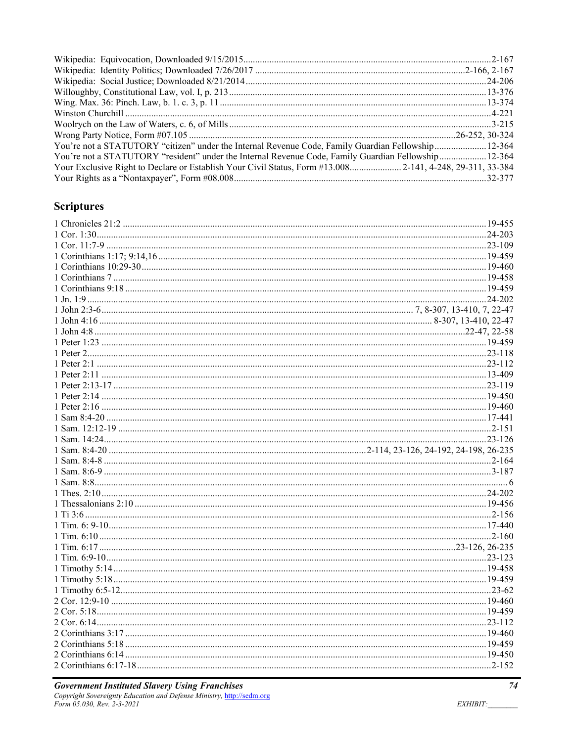| You're not a STATUTORY "citizen" under the Internal Revenue Code, Family Guardian Fellowship 12-364       |  |
|-----------------------------------------------------------------------------------------------------------|--|
| You're not a STATUTORY "resident" under the Internal Revenue Code, Family Guardian Fellowship12-364       |  |
| Your Exclusive Right to Declare or Establish Your Civil Status, Form #13.008 2-141, 4-248, 29-311, 33-384 |  |
|                                                                                                           |  |

## **Scriptures**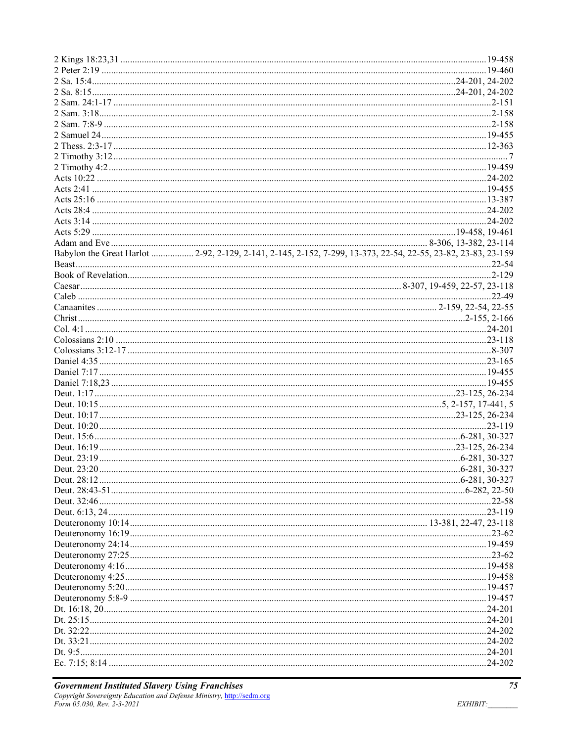| Babylon the Great Harlot  2-92, 2-129, 2-141, 2-145, 2-152, 7-299, 13-373, 22-54, 22-55, 23-82, 23-83, 23-159 |
|---------------------------------------------------------------------------------------------------------------|
|                                                                                                               |
|                                                                                                               |
|                                                                                                               |
|                                                                                                               |
|                                                                                                               |
|                                                                                                               |
|                                                                                                               |
|                                                                                                               |
|                                                                                                               |
|                                                                                                               |
|                                                                                                               |
|                                                                                                               |
|                                                                                                               |
|                                                                                                               |
|                                                                                                               |
|                                                                                                               |
|                                                                                                               |
|                                                                                                               |
|                                                                                                               |
|                                                                                                               |
|                                                                                                               |
|                                                                                                               |
|                                                                                                               |
|                                                                                                               |
|                                                                                                               |
|                                                                                                               |
|                                                                                                               |
|                                                                                                               |
|                                                                                                               |
|                                                                                                               |
|                                                                                                               |
|                                                                                                               |
|                                                                                                               |
|                                                                                                               |
|                                                                                                               |
|                                                                                                               |
|                                                                                                               |
|                                                                                                               |
|                                                                                                               |
|                                                                                                               |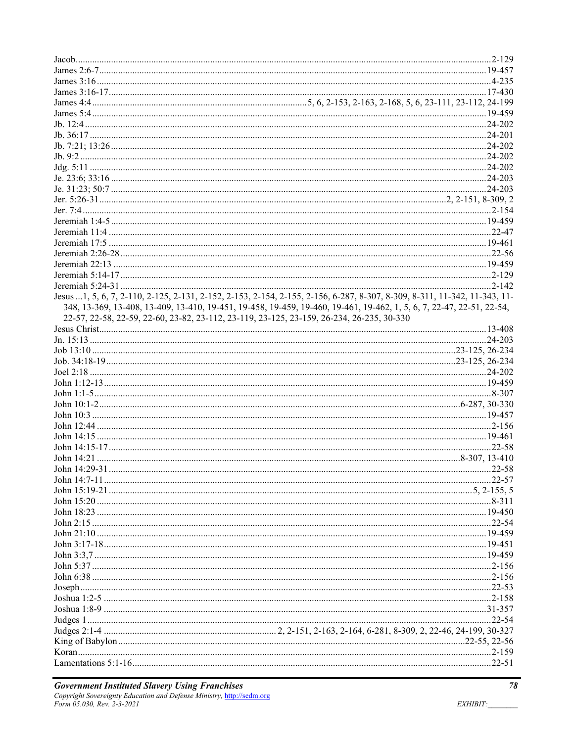|                                                                                           | Jesus 1, 5, 6, 7, 2-110, 2-125, 2-131, 2-152, 2-153, 2-154, 2-155, 2-156, 6-287, 8-307, 8-309, 8-311, 11-342, 11-343, 11- |
|-------------------------------------------------------------------------------------------|---------------------------------------------------------------------------------------------------------------------------|
|                                                                                           | 348, 13-369, 13-408, 13-409, 13-410, 19-451, 19-458, 19-459, 19-460, 19-461, 19-462, 1, 5, 6, 7, 22-47, 22-51, 22-54,     |
| 22-57, 22-58, 22-59, 22-60, 23-82, 23-112, 23-119, 23-125, 23-159, 26-234, 26-235, 30-330 |                                                                                                                           |
|                                                                                           |                                                                                                                           |
|                                                                                           |                                                                                                                           |
|                                                                                           |                                                                                                                           |
|                                                                                           |                                                                                                                           |
|                                                                                           |                                                                                                                           |
|                                                                                           |                                                                                                                           |
|                                                                                           |                                                                                                                           |
|                                                                                           |                                                                                                                           |
|                                                                                           |                                                                                                                           |
|                                                                                           |                                                                                                                           |
|                                                                                           |                                                                                                                           |
|                                                                                           |                                                                                                                           |
|                                                                                           |                                                                                                                           |
|                                                                                           |                                                                                                                           |
|                                                                                           |                                                                                                                           |
|                                                                                           |                                                                                                                           |
|                                                                                           |                                                                                                                           |
|                                                                                           |                                                                                                                           |
|                                                                                           |                                                                                                                           |
|                                                                                           |                                                                                                                           |
|                                                                                           |                                                                                                                           |
|                                                                                           |                                                                                                                           |
|                                                                                           |                                                                                                                           |
|                                                                                           |                                                                                                                           |
|                                                                                           |                                                                                                                           |
|                                                                                           |                                                                                                                           |
|                                                                                           |                                                                                                                           |
|                                                                                           |                                                                                                                           |
|                                                                                           |                                                                                                                           |
|                                                                                           |                                                                                                                           |
|                                                                                           |                                                                                                                           |
|                                                                                           |                                                                                                                           |
|                                                                                           |                                                                                                                           |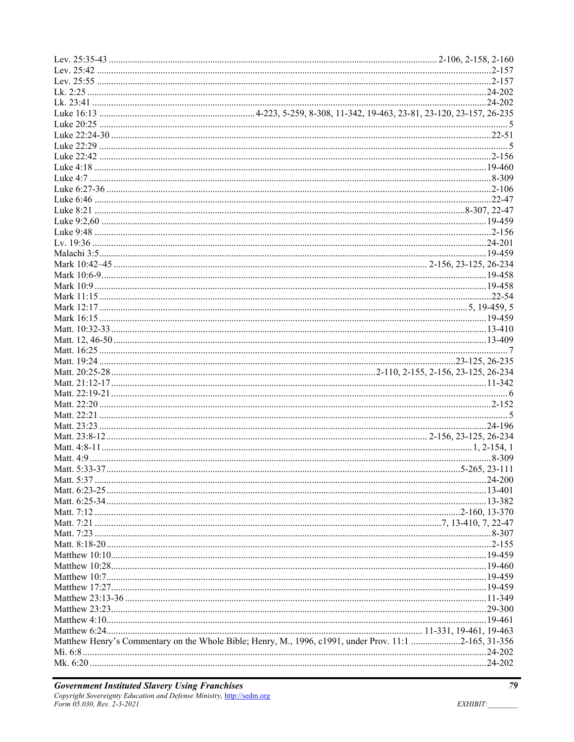| Matthew Henry's Commentary on the Whole Bible; Henry, M., 1996, c1991, under Prov. 11:1 2-165, 31-356 |
|-------------------------------------------------------------------------------------------------------|
|                                                                                                       |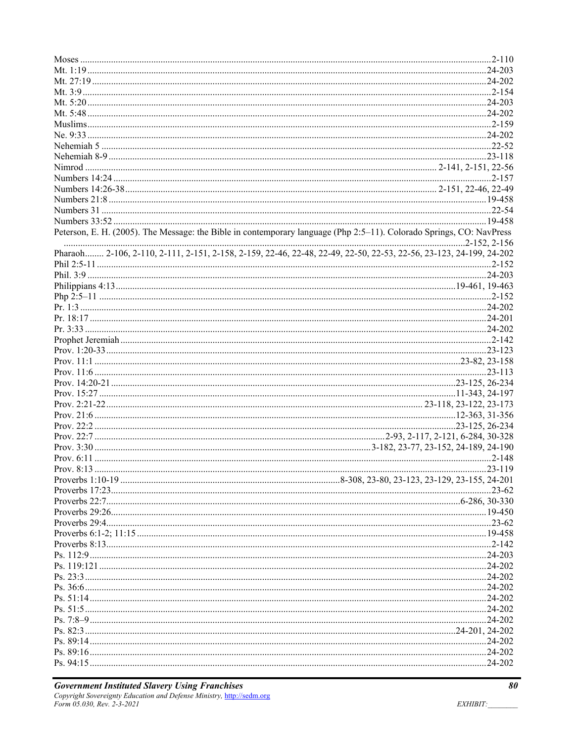| Peterson, E. H. (2005). The Message: the Bible in contemporary language (Php 2:5-11). Colorado Springs, CO: NavPress |  |
|----------------------------------------------------------------------------------------------------------------------|--|
|                                                                                                                      |  |
| Pharaoh 2-106, 2-110, 2-111, 2-151, 2-158, 2-159, 22-46, 22-48, 22-49, 22-50, 22-53, 22-56, 23-123, 24-199, 24-202   |  |
|                                                                                                                      |  |
|                                                                                                                      |  |
|                                                                                                                      |  |
|                                                                                                                      |  |
|                                                                                                                      |  |
|                                                                                                                      |  |
|                                                                                                                      |  |
|                                                                                                                      |  |
|                                                                                                                      |  |
|                                                                                                                      |  |
|                                                                                                                      |  |
|                                                                                                                      |  |
|                                                                                                                      |  |
|                                                                                                                      |  |
|                                                                                                                      |  |
|                                                                                                                      |  |
|                                                                                                                      |  |
|                                                                                                                      |  |
|                                                                                                                      |  |
|                                                                                                                      |  |
|                                                                                                                      |  |
|                                                                                                                      |  |
|                                                                                                                      |  |
|                                                                                                                      |  |
|                                                                                                                      |  |
|                                                                                                                      |  |
|                                                                                                                      |  |
|                                                                                                                      |  |
|                                                                                                                      |  |
|                                                                                                                      |  |
|                                                                                                                      |  |
|                                                                                                                      |  |
|                                                                                                                      |  |
|                                                                                                                      |  |
|                                                                                                                      |  |
|                                                                                                                      |  |
|                                                                                                                      |  |
|                                                                                                                      |  |
|                                                                                                                      |  |
|                                                                                                                      |  |
|                                                                                                                      |  |
|                                                                                                                      |  |
|                                                                                                                      |  |
|                                                                                                                      |  |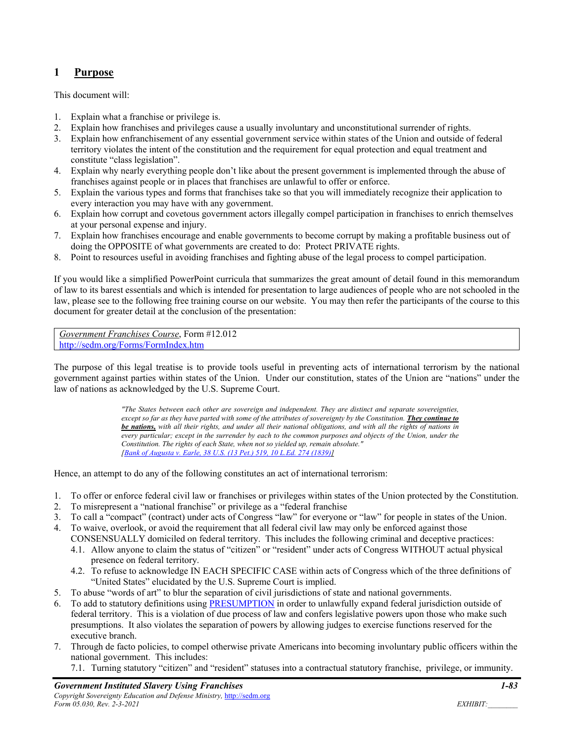## **1 Purpose**

This document will:

- 1. Explain what a franchise or privilege is.
- 2. Explain how franchises and privileges cause a usually involuntary and unconstitutional surrender of rights.
- 3. Explain how enfranchisement of any essential government service within states of the Union and outside of federal territory violates the intent of the constitution and the requirement for equal protection and equal treatment and constitute "class legislation".
- 4. Explain why nearly everything people don't like about the present government is implemented through the abuse of franchises against people or in places that franchises are unlawful to offer or enforce.
- 5. Explain the various types and forms that franchises take so that you will immediately recognize their application to every interaction you may have with any government.
- 6. Explain how corrupt and covetous government actors illegally compel participation in franchises to enrich themselves at your personal expense and injury.
- 7. Explain how franchises encourage and enable governments to become corrupt by making a profitable business out of doing the OPPOSITE of what governments are created to do: Protect PRIVATE rights.
- 8. Point to resources useful in avoiding franchises and fighting abuse of the legal process to compel participation.

If you would like a simplified PowerPoint curricula that summarizes the great amount of detail found in this memorandum of law to its barest essentials and which is intended for presentation to large audiences of people who are not schooled in the law, please see to the following free training course on our website. You may then refer the participants of the course to this document for greater detail at the conclusion of the presentation:

*Government Franchises Course*, Form #12.012 http://sedm.org/Forms/FormIndex.htm

The purpose of this legal treatise is to provide tools useful in preventing acts of international terrorism by the national government against parties within states of the Union. Under our constitution, states of the Union are "nations" under the law of nations as acknowledged by the U.S. Supreme Court.

> *"The States between each other are sovereign and independent. They are distinct and separate sovereignties, except so far as they have parted with some of the attributes of sovereignty by the Constitution. They continue to be nations, with all their rights, and under all their national obligations, and with all the rights of nations in every particular; except in the surrender by each to the common purposes and objects of the Union, under the Constitution. The rights of each State, when not so yielded up, remain absolute." [Bank of Augusta v. Earle, 38 U.S. (13 Pet.) 519, 10 L.Ed. 274 (1839)]*

Hence, an attempt to do any of the following constitutes an act of international terrorism:

- 1. To offer or enforce federal civil law or franchises or privileges within states of the Union protected by the Constitution.
- 2. To misrepresent a "national franchise" or privilege as a "federal franchise
- 3. To call a "compact" (contract) under acts of Congress "law" for everyone or "law" for people in states of the Union.
- 4. To waive, overlook, or avoid the requirement that all federal civil law may only be enforced against those CONSENSUALLY domiciled on federal territory. This includes the following criminal and deceptive practices:
	- 4.1. Allow anyone to claim the status of "citizen" or "resident" under acts of Congress WITHOUT actual physical presence on federal territory.
	- 4.2. To refuse to acknowledge IN EACH SPECIFIC CASE within acts of Congress which of the three definitions of "United States" elucidated by the U.S. Supreme Court is implied.
- 5. To abuse "words of art" to blur the separation of civil jurisdictions of state and national governments.
- To add to statutory definitions using PRESUMPTION in order to unlawfully expand federal jurisdiction outside of federal territory. This is a violation of due process of law and confers legislative powers upon those who make such presumptions. It also violates the separation of powers by allowing judges to exercise functions reserved for the executive branch.
- 7. Through de facto policies, to compel otherwise private Americans into becoming involuntary public officers within the national government. This includes:
	- 7.1. Turning statutory "citizen" and "resident" statuses into a contractual statutory franchise, privilege, or immunity.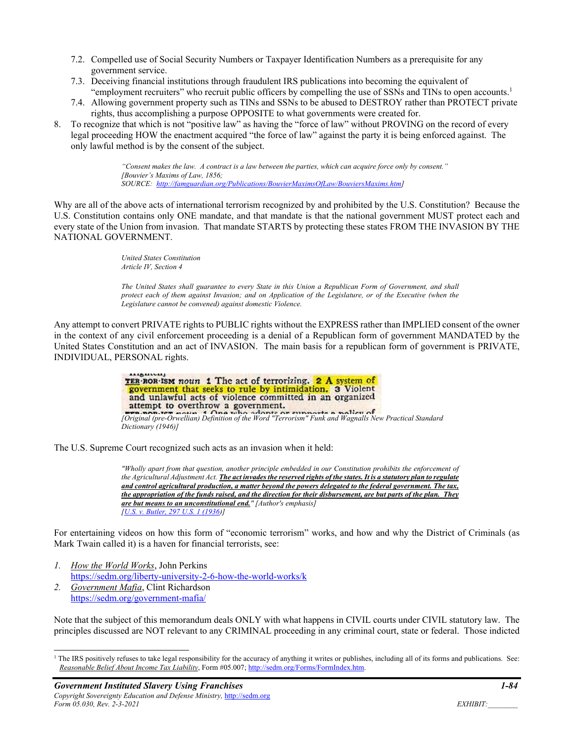- 7.2. Compelled use of Social Security Numbers or Taxpayer Identification Numbers as a prerequisite for any government service.
- 7.3. Deceiving financial institutions through fraudulent IRS publications into becoming the equivalent of "employment recruiters" who recruit public officers by compelling the use of SSNs and TINs to open accounts.1
- 7.4. Allowing government property such as TINs and SSNs to be abused to DESTROY rather than PROTECT private rights, thus accomplishing a purpose OPPOSITE to what governments were created for.
- 8. To recognize that which is not "positive law" as having the "force of law" without PROVING on the record of every legal proceeding HOW the enactment acquired "the force of law" against the party it is being enforced against. The only lawful method is by the consent of the subject.

*"Consent makes the law. A contract is a law between the parties, which can acquire force only by consent." [Bouvier's Maxims of Law, 1856; SOURCE: http://famguardian.org/Publications/BouvierMaximsOfLaw/BouviersMaxims.htm]* 

Why are all of the above acts of international terrorism recognized by and prohibited by the U.S. Constitution? Because the U.S. Constitution contains only ONE mandate, and that mandate is that the national government MUST protect each and every state of the Union from invasion. That mandate STARTS by protecting these states FROM THE INVASION BY THE NATIONAL GOVERNMENT.

> *United States Constitution Article IV, Section 4*

*The United States shall guarantee to every State in this Union a Republican Form of Government, and shall protect each of them against Invasion; and on Application of the Legislature, or of the Executive (when the Legislature cannot be convened) against domestic Violence.* 

Any attempt to convert PRIVATE rights to PUBLIC rights without the EXPRESS rather than IMPLIED consent of the owner in the context of any civil enforcement proceeding is a denial of a Republican form of government MANDATED by the United States Constitution and an act of INVASION. The main basis for a republican form of government is PRIVATE, INDIVIDUAL, PERSONAL rights.

| <b>ALIMALIALLY</b>                                                                                    |
|-------------------------------------------------------------------------------------------------------|
| TER ROR ISM noun 1 The act of terrorizing. 2 A system of                                              |
| government that seeks to rule by intimidation. 3 Violent                                              |
| and unlawful acts of violence committed in an organized                                               |
| attempt to overthrow a government.                                                                    |
| p.pop.ter notto 1 One who adopts or supports a policy of                                              |
| [Original (pre-Orwellian) Definition of the Word "Terrorism" Funk and Wagnalls New Practical Standard |
| Dictionary (1946)]                                                                                    |

The U.S. Supreme Court recognized such acts as an invasion when it held:

*"Wholly apart from that question, another principle embedded in our Constitution prohibits the enforcement of the Agricultural Adjustment Act. The act invades the reserved rights of the states. It is a statutory plan to regulate and control agricultural production, a matter beyond the powers delegated to the federal government. The tax, the appropriation of the funds raised, and the direction for their disbursement, are but parts of the plan. They are but means to an unconstitutional end." [Author's emphasis] [U.S. v. Butler, 297 U.S. 1 (1936)]* 

For entertaining videos on how this form of "economic terrorism" works, and how and why the District of Criminals (as Mark Twain called it) is a haven for financial terrorists, see:

- *1. How the World Works*, John Perkins https://sedm.org/liberty-university-2-6-how-the-world-works/k
- *2. Government Mafia*, Clint Richardson https://sedm.org/government-mafia/

Note that the subject of this memorandum deals ONLY with what happens in CIVIL courts under CIVIL statutory law. The principles discussed are NOT relevant to any CRIMINAL proceeding in any criminal court, state or federal. Those indicted

<sup>&</sup>lt;sup>1</sup> The IRS positively refuses to take legal responsibility for the accuracy of anything it writes or publishes, including all of its forms and publications. See: *Reasonable Belief About Income Tax Liability*, Form #05.007; http://sedm.org/Forms/FormIndex.htm.